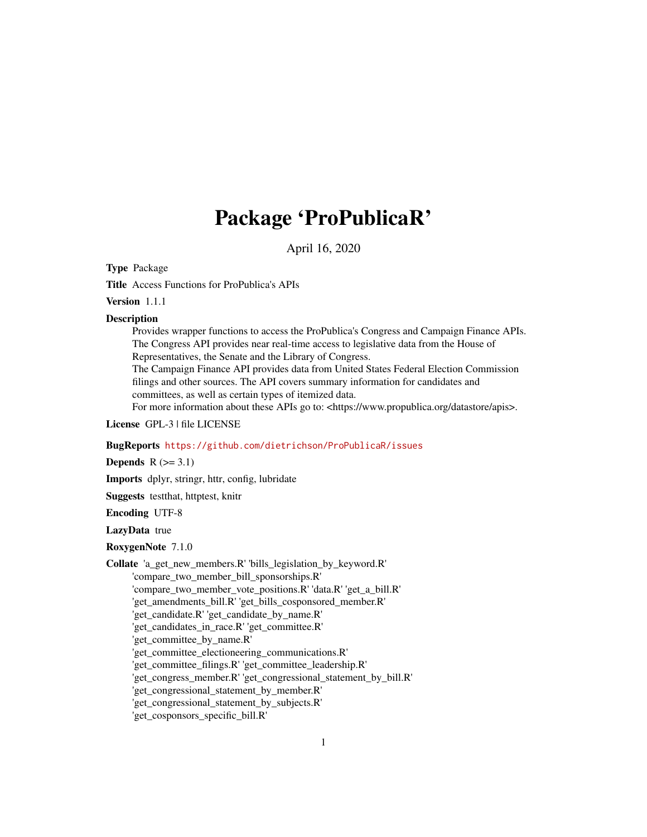# Package 'ProPublicaR'

April 16, 2020

Type Package

Title Access Functions for ProPublica's APIs

Version 1.1.1

#### **Description**

Provides wrapper functions to access the ProPublica's Congress and Campaign Finance APIs. The Congress API provides near real-time access to legislative data from the House of Representatives, the Senate and the Library of Congress.

The Campaign Finance API provides data from United States Federal Election Commission filings and other sources. The API covers summary information for candidates and committees, as well as certain types of itemized data.

For more information about these APIs go to: <https://www.propublica.org/datastore/apis>.

License GPL-3 | file LICENSE

#### BugReports <https://github.com/dietrichson/ProPublicaR/issues>

**Depends**  $R$  ( $>= 3.1$ )

Imports dplyr, stringr, httr, config, lubridate

Suggests testthat, httptest, knitr

Encoding UTF-8

LazyData true

RoxygenNote 7.1.0

Collate 'a\_get\_new\_members.R' 'bills\_legislation\_by\_keyword.R' 'compare\_two\_member\_bill\_sponsorships.R' 'compare\_two\_member\_vote\_positions.R' 'data.R' 'get\_a\_bill.R' 'get\_amendments\_bill.R' 'get\_bills\_cosponsored\_member.R' 'get\_candidate.R' 'get\_candidate\_by\_name.R' 'get\_candidates\_in\_race.R' 'get\_committee.R' 'get\_committee\_by\_name.R' 'get committee electioneering communications.R' 'get\_committee\_filings.R' 'get\_committee\_leadership.R' 'get congress member.R' 'get congressional statement by bill.R' 'get\_congressional\_statement\_by\_member.R' 'get\_congressional\_statement\_by\_subjects.R' 'get\_cosponsors\_specific\_bill.R'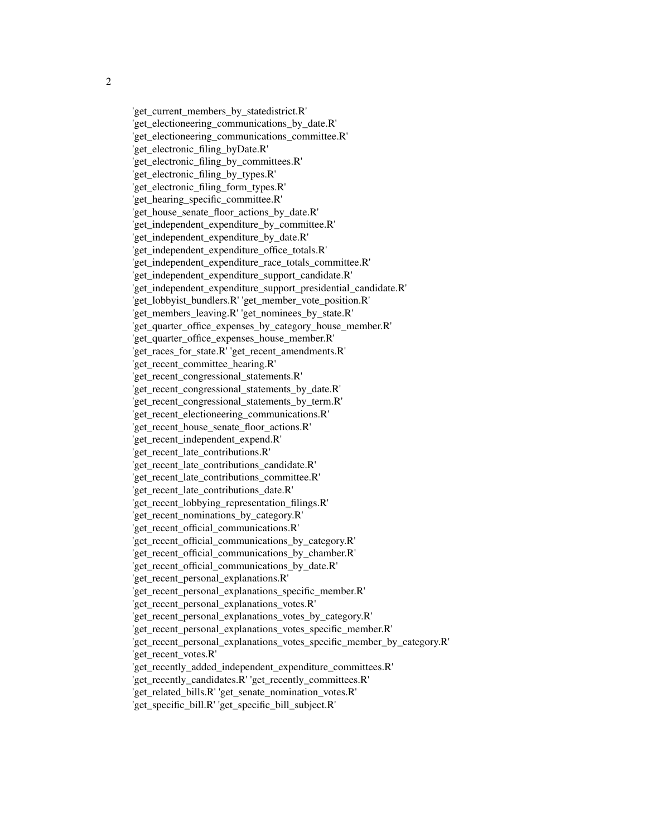'get\_current\_members\_by\_statedistrict.R' 'get electioneering communications by date.R' 'get electioneering communications committee.R' 'get\_electronic\_filing\_byDate.R' 'get electronic filing by committees.R' 'get\_electronic\_filing\_by\_types.R' 'get electronic filing form types.R' 'get hearing specific committee.R' 'get house senate floor actions by date.R' 'get independent expenditure by committee.R' 'get independent expenditure by date.R' 'get\_independent\_expenditure\_office\_totals.R' 'get\_independent\_expenditure\_race\_totals\_committee.R' 'get\_independent\_expenditure\_support\_candidate.R' 'get\_independent\_expenditure\_support\_presidential\_candidate.R' 'get\_lobbyist\_bundlers.R' 'get\_member\_vote\_position.R' 'get\_members\_leaving.R' 'get\_nominees\_by\_state.R' 'get\_quarter\_office\_expenses\_by\_category\_house\_member.R' 'get\_quarter\_office\_expenses\_house\_member.R' 'get races for state.R' 'get recent amendments.R' 'get\_recent\_committee\_hearing.R' 'get\_recent\_congressional\_statements.R' 'get\_recent\_congressional\_statements\_by\_date.R' 'get\_recent\_congressional\_statements\_by\_term.R' 'get recent electioneering communications.R' 'get recent house senate floor actions.R' 'get recent independent expend.R' 'get\_recent\_late\_contributions.R' 'get\_recent\_late\_contributions\_candidate.R' 'get\_recent\_late\_contributions\_committee.R' 'get\_recent\_late\_contributions\_date.R' 'get\_recent\_lobbying\_representation\_filings.R' 'get\_recent\_nominations\_by\_category.R' 'get\_recent\_official\_communications.R' 'get\_recent\_official\_communications\_by\_category.R' 'get\_recent\_official\_communications\_by\_chamber.R' 'get recent official communications by date.R' 'get\_recent\_personal\_explanations.R' 'get recent personal explanations specific member.R' 'get\_recent\_personal\_explanations\_votes.R' 'get recent personal explanations votes by category.R' 'get recent personal explanations votes specific member.R' 'get recent personal explanations votes specific member by category.R' 'get\_recent\_votes.R' 'get\_recently\_added\_independent\_expenditure\_committees.R' 'get\_recently\_candidates.R' 'get\_recently\_committees.R' 'get\_related\_bills.R' 'get\_senate\_nomination\_votes.R'

'get\_specific\_bill.R' 'get\_specific\_bill\_subject.R'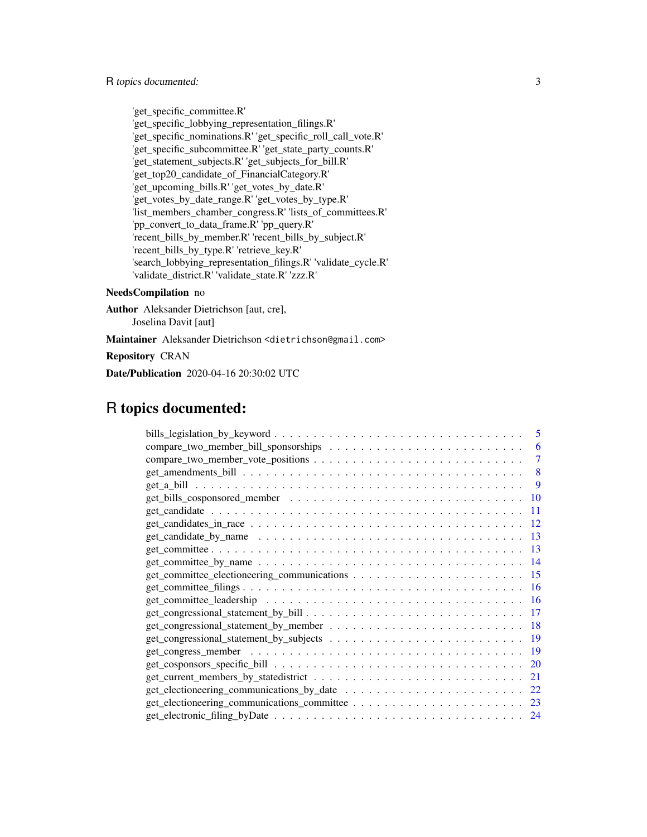'get\_specific\_committee.R' 'get\_specific\_lobbying\_representation\_filings.R' 'get\_specific\_nominations.R' 'get\_specific\_roll\_call\_vote.R' 'get\_specific\_subcommittee.R' 'get\_state\_party\_counts.R' 'get\_statement\_subjects.R' 'get\_subjects\_for\_bill.R' 'get\_top20\_candidate\_of\_FinancialCategory.R' 'get\_upcoming\_bills.R' 'get\_votes\_by\_date.R' 'get\_votes\_by\_date\_range.R' 'get\_votes\_by\_type.R' 'list\_members\_chamber\_congress.R' 'lists\_of\_committees.R' 'pp\_convert\_to\_data\_frame.R' 'pp\_query.R' 'recent\_bills\_by\_member.R' 'recent\_bills\_by\_subject.R' 'recent\_bills\_by\_type.R' 'retrieve\_key.R' 'search\_lobbying\_representation\_filings.R' 'validate\_cycle.R' 'validate\_district.R' 'validate\_state.R' 'zzz.R'

#### NeedsCompilation no

Author Aleksander Dietrichson [aut, cre], Joselina Davit [aut] Maintainer Aleksander Dietrichson <dietrichson@gmail.com>

Repository CRAN

Date/Publication 2020-04-16 20:30:02 UTC

# R topics documented:

| 5   |
|-----|
| 6   |
| 7   |
| 8   |
| 9   |
| 10  |
| 11  |
| 12  |
| 13  |
| 13  |
| 14  |
| 15  |
| -16 |
| 16  |
| 17  |
| 18  |
| 19  |
| 19  |
| 20  |
| 21  |
| 22  |
| 23  |
| 24  |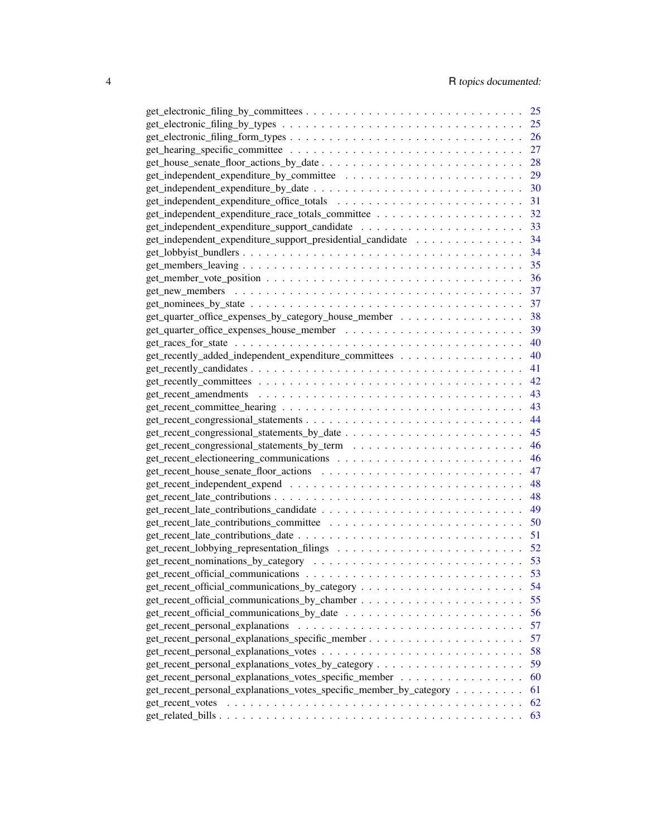|                                                                    | 25 |
|--------------------------------------------------------------------|----|
|                                                                    | 25 |
|                                                                    | 26 |
|                                                                    | 27 |
|                                                                    | 28 |
|                                                                    | 29 |
|                                                                    | 30 |
|                                                                    | 31 |
|                                                                    | 32 |
|                                                                    | 33 |
| get_independent_expenditure_support_presidential_candidate         | 34 |
|                                                                    | 34 |
|                                                                    | 35 |
|                                                                    | 36 |
|                                                                    | 37 |
|                                                                    |    |
|                                                                    | 37 |
| get_quarter_office_expenses_by_category_house_member               | 38 |
|                                                                    | 39 |
|                                                                    | 40 |
| get_recently_added_independent_expenditure_committees              | 40 |
|                                                                    | 41 |
|                                                                    | 42 |
|                                                                    | 43 |
|                                                                    | 43 |
|                                                                    | 44 |
|                                                                    | 45 |
|                                                                    | 46 |
|                                                                    | 46 |
|                                                                    | 47 |
|                                                                    | 48 |
|                                                                    | 48 |
|                                                                    | 49 |
|                                                                    | 50 |
|                                                                    | 51 |
|                                                                    | 52 |
|                                                                    | 53 |
|                                                                    |    |
|                                                                    | 54 |
|                                                                    | 55 |
|                                                                    | 56 |
|                                                                    | 57 |
|                                                                    | 57 |
|                                                                    | 58 |
|                                                                    | 59 |
| get_recent_personal_explanations_votes_specific_member             | 60 |
| get_recent_personal_explanations_votes_specific_member_by_category | 61 |
| get recent votes                                                   | 62 |
|                                                                    | 63 |
|                                                                    |    |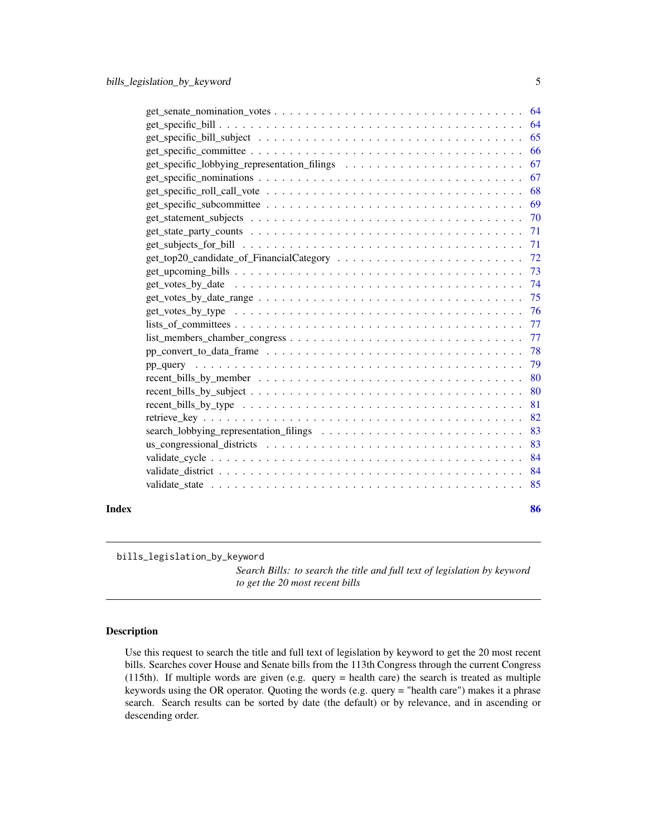<span id="page-4-0"></span>

|       | $get\_sentence\_nomination\_votes \dots \dots \dots \dots \dots \dots \dots \dots \dots \dots \dots \dots \dots \dots \dots$ |     |
|-------|------------------------------------------------------------------------------------------------------------------------------|-----|
|       |                                                                                                                              |     |
|       |                                                                                                                              |     |
|       |                                                                                                                              | 66  |
|       |                                                                                                                              | 67  |
|       | $get\_specific\_nominations \ldots \ldots \ldots \ldots \ldots \ldots \ldots \ldots \ldots \ldots \ldots$                    | 67  |
|       | get specific roll call vote $\ldots \ldots \ldots \ldots \ldots \ldots \ldots \ldots \ldots \ldots \ldots \ldots$            | 68  |
|       | $get\_specific\_subcommittee \dots \dots \dots \dots \dots \dots \dots \dots \dots \dots \dots \dots \dots$                  | 69  |
|       |                                                                                                                              |     |
|       | $get\_state\_party\_counts \dots \dots \dots \dots \dots \dots \dots \dots \dots \dots \dots \dots \dots$                    | 71  |
|       |                                                                                                                              |     |
|       |                                                                                                                              |     |
|       |                                                                                                                              | 73  |
|       |                                                                                                                              |     |
|       | $get_votes_by_data_range \dots \dots \dots \dots \dots \dots \dots \dots \dots \dots \dots \dots \dots \dots$                | 75  |
|       |                                                                                                                              |     |
|       |                                                                                                                              |     |
|       |                                                                                                                              |     |
|       |                                                                                                                              |     |
|       |                                                                                                                              |     |
|       |                                                                                                                              |     |
|       |                                                                                                                              | 80  |
|       |                                                                                                                              | 81  |
|       |                                                                                                                              | 82  |
|       |                                                                                                                              | 83  |
|       |                                                                                                                              | 83  |
|       |                                                                                                                              | 84  |
|       |                                                                                                                              | -84 |
|       |                                                                                                                              |     |
|       |                                                                                                                              |     |
| Index |                                                                                                                              | 86  |

bills\_legislation\_by\_keyword

*Search Bills: to search the title and full text of legislation by keyword to get the 20 most recent bills*

# Description

Use this request to search the title and full text of legislation by keyword to get the 20 most recent bills. Searches cover House and Senate bills from the 113th Congress through the current Congress (115th). If multiple words are given (e.g. query = health care) the search is treated as multiple keywords using the OR operator. Quoting the words (e.g. query = "health care") makes it a phrase search. Search results can be sorted by date (the default) or by relevance, and in ascending or descending order.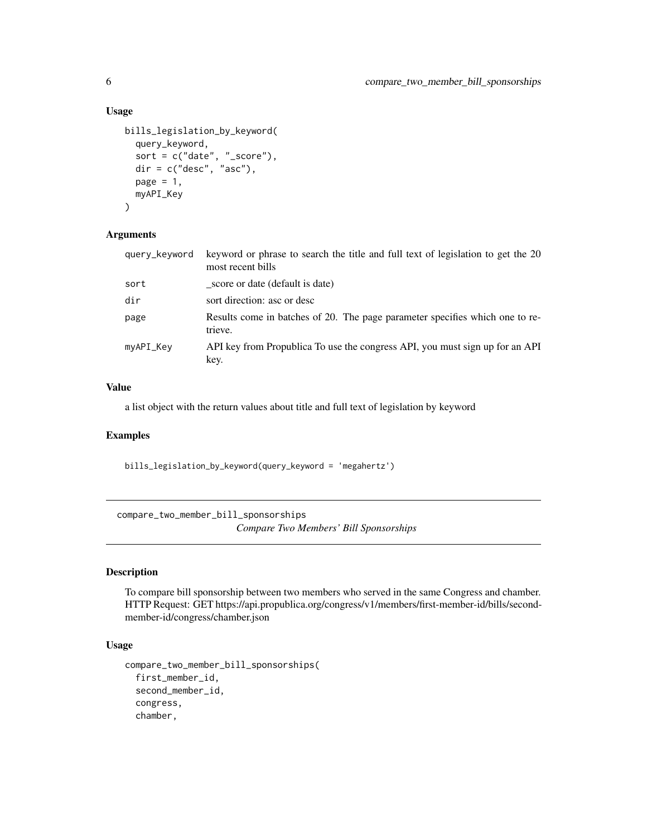#### Usage

```
bills_legislation_by_keyword(
  query_keyword,
  sort = c("date", "_score"),
  dir = c("desc", "asc"),
 page = 1,
 myAPI_Key
)
```
#### Arguments

| query_keyword | keyword or phrase to search the title and full text of legislation to get the 20<br>most recent bills |
|---------------|-------------------------------------------------------------------------------------------------------|
| sort          | score or date (default is date)                                                                       |
| dir           | sort direction: asc or desc                                                                           |
| page          | Results come in batches of 20. The page parameter specifies which one to re-<br>trieve.               |
| myAPI_Key     | API key from Propublica To use the congress API, you must sign up for an API<br>key.                  |

# Value

a list object with the return values about title and full text of legislation by keyword

#### Examples

bills\_legislation\_by\_keyword(query\_keyword = 'megahertz')

compare\_two\_member\_bill\_sponsorships *Compare Two Members' Bill Sponsorships*

#### Description

To compare bill sponsorship between two members who served in the same Congress and chamber. HTTP Request: GET https://api.propublica.org/congress/v1/members/first-member-id/bills/secondmember-id/congress/chamber.json

# Usage

```
compare_two_member_bill_sponsorships(
  first_member_id,
  second_member_id,
  congress,
  chamber,
```
<span id="page-5-0"></span>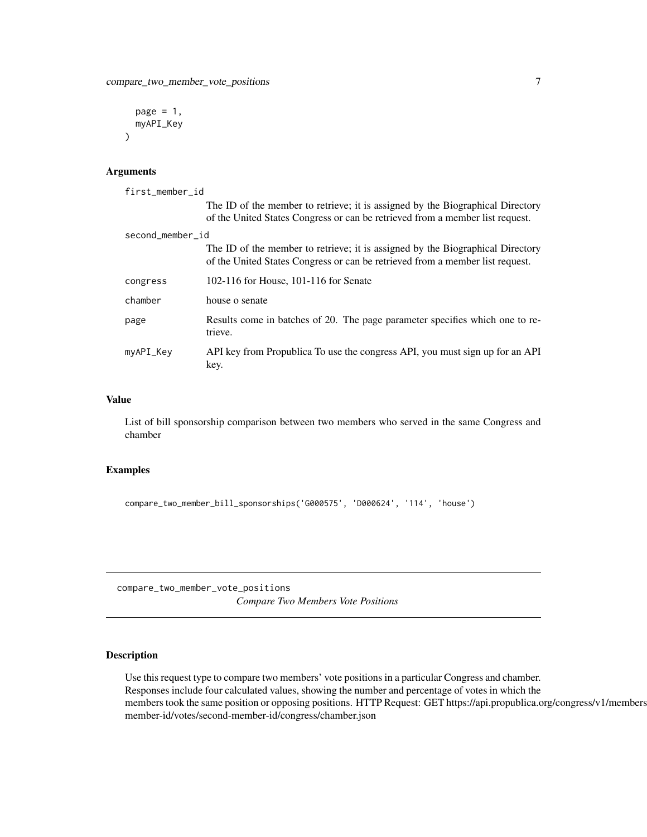```
page = 1,
myAPI_Key
```
#### Arguments

)

```
first_member_id
                 The ID of the member to retrieve; it is assigned by the Biographical Directory
                 of the United States Congress or can be retrieved from a member list request.
second_member_id
                 The ID of the member to retrieve; it is assigned by the Biographical Directory
                 of the United States Congress or can be retrieved from a member list request.
congress 102-116 for House, 101-116 for Senate
chamber house o senate
page Results come in batches of 20. The page parameter specifies which one to re-
                 trieve.
myAPI_Key API key from Propublica To use the congress API, you must sign up for an API
                 key.
```
#### Value

List of bill sponsorship comparison between two members who served in the same Congress and chamber

#### Examples

```
compare_two_member_bill_sponsorships('G000575', 'D000624', '114', 'house')
```
compare\_two\_member\_vote\_positions *Compare Two Members Vote Positions*

#### Description

Use this request type to compare two members' vote positions in a particular Congress and chamber. Responses include four calculated values, showing the number and percentage of votes in which the members took the same position or opposing positions. HTTP Request: GET https://api.propublica.org/congress/v1/members member-id/votes/second-member-id/congress/chamber.json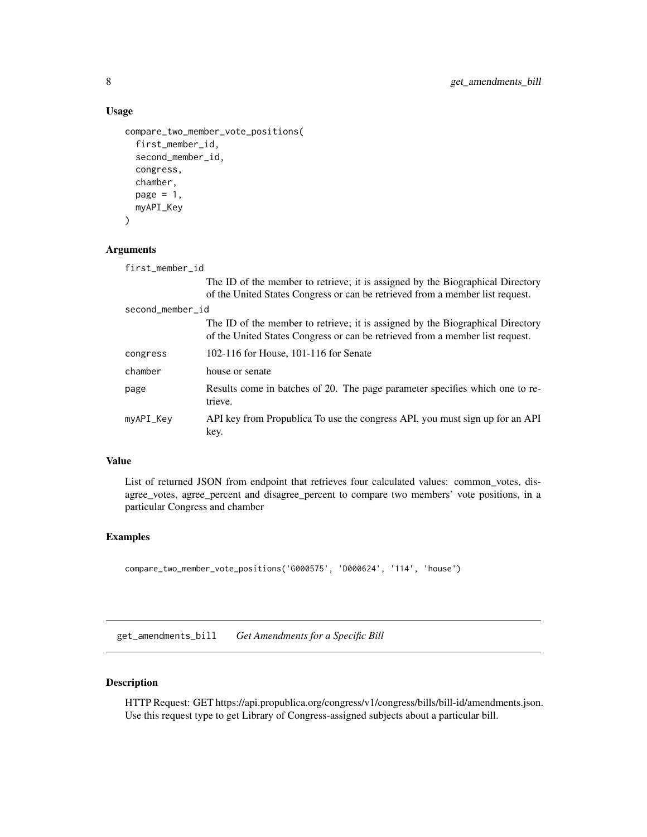#### Usage

```
compare_two_member_vote_positions(
  first_member_id,
  second_member_id,
  congress,
  chamber,
  page = 1,
  myAPI_Key
\lambda
```
#### Arguments

first\_member\_id

The ID of the member to retrieve; it is assigned by the Biographical Directory of the United States Congress or can be retrieved from a member list request. second\_member\_id The ID of the member to retrieve; it is assigned by the Biographical Directory of the United States Congress or can be retrieved from a member list request. congress 102-116 for House, 101-116 for Senate chamber house or senate page Results come in batches of 20. The page parameter specifies which one to retrieve. myAPI\_Key API key from Propublica To use the congress API, you must sign up for an API key.

#### Value

List of returned JSON from endpoint that retrieves four calculated values: common\_votes, disagree\_votes, agree\_percent and disagree\_percent to compare two members' vote positions, in a particular Congress and chamber

#### Examples

```
compare_two_member_vote_positions('G000575', 'D000624', '114', 'house')
```
get\_amendments\_bill *Get Amendments for a Specific Bill*

#### Description

HTTP Request: GET https://api.propublica.org/congress/v1/congress/bills/bill-id/amendments.json. Use this request type to get Library of Congress-assigned subjects about a particular bill.

<span id="page-7-0"></span>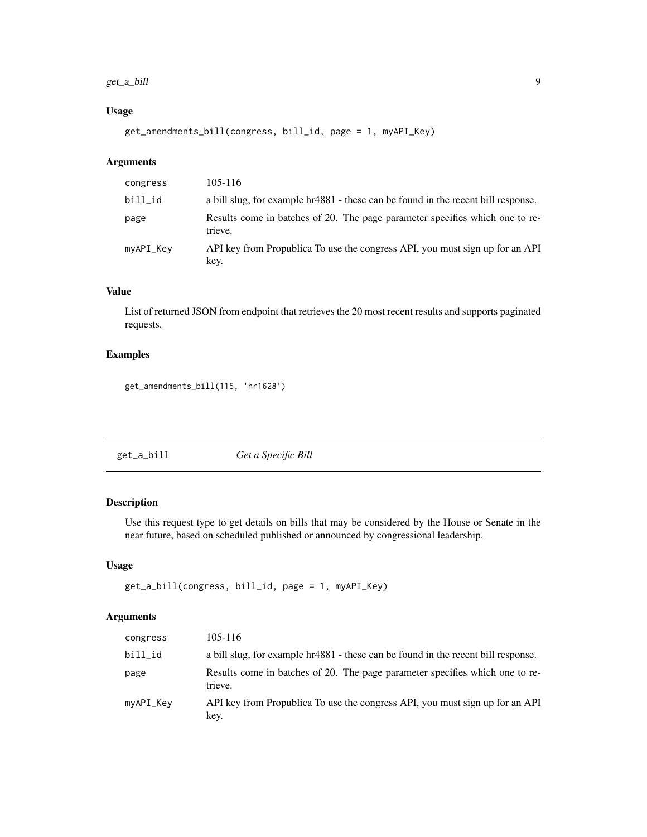#### <span id="page-8-0"></span>get\_a\_bill 9

#### Usage

get\_amendments\_bill(congress, bill\_id, page = 1, myAPI\_Key)

#### Arguments

| congress  | 105-116                                                                                 |
|-----------|-----------------------------------------------------------------------------------------|
| bill_id   | a bill slug, for example hr4881 - these can be found in the recent bill response.       |
| page      | Results come in batches of 20. The page parameter specifies which one to re-<br>trieve. |
| myAPI_Key | API key from Propublica To use the congress API, you must sign up for an API<br>key.    |

# Value

List of returned JSON from endpoint that retrieves the 20 most recent results and supports paginated requests.

#### Examples

get\_amendments\_bill(115, 'hr1628')

| get_a_bill | Get a Specific Bill |  |
|------------|---------------------|--|
|------------|---------------------|--|

#### Description

Use this request type to get details on bills that may be considered by the House or Senate in the near future, based on scheduled published or announced by congressional leadership.

#### Usage

```
get_a_bill(congress, bill_id, page = 1, myAPI_Key)
```
#### Arguments

| congress  | 105-116                                                                                 |
|-----------|-----------------------------------------------------------------------------------------|
| bill_id   | a bill slug, for example hr4881 - these can be found in the recent bill response.       |
| page      | Results come in batches of 20. The page parameter specifies which one to re-<br>trieve. |
| myAPI_Key | API key from Propublica To use the congress API, you must sign up for an API<br>key.    |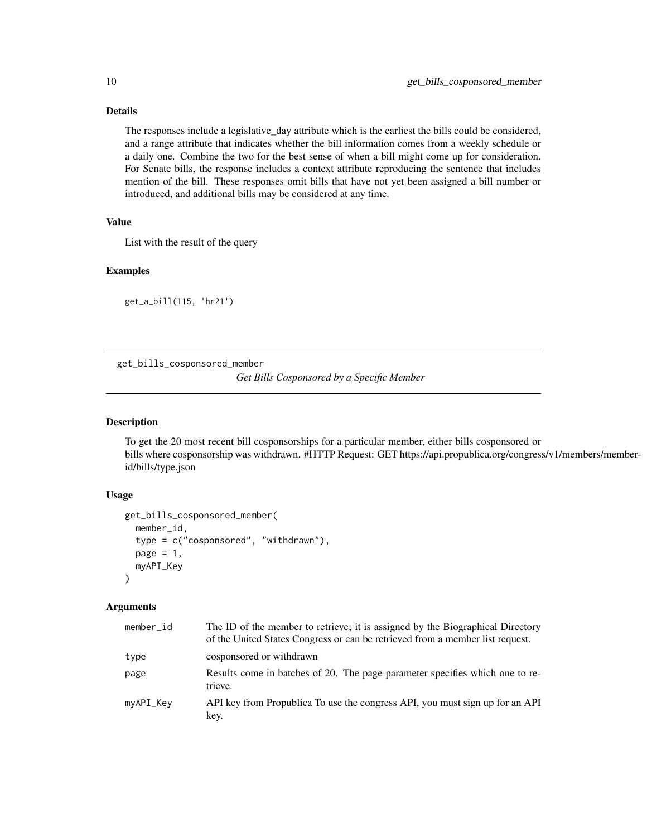#### <span id="page-9-0"></span>Details

The responses include a legislative\_day attribute which is the earliest the bills could be considered, and a range attribute that indicates whether the bill information comes from a weekly schedule or a daily one. Combine the two for the best sense of when a bill might come up for consideration. For Senate bills, the response includes a context attribute reproducing the sentence that includes mention of the bill. These responses omit bills that have not yet been assigned a bill number or introduced, and additional bills may be considered at any time.

#### Value

List with the result of the query

#### Examples

get\_a\_bill(115, 'hr21')

get\_bills\_cosponsored\_member

*Get Bills Cosponsored by a Specific Member*

#### Description

To get the 20 most recent bill cosponsorships for a particular member, either bills cosponsored or bills where cosponsorship was withdrawn. #HTTP Request: GET https://api.propublica.org/congress/v1/members/memberid/bills/type.json

#### Usage

```
get_bills_cosponsored_member(
 member_id,
  type = c("cosponsored", "withdrawn"),
 page = 1,
 myAPI_Key
)
```
#### Arguments

| member id | The ID of the member to retrieve; it is assigned by the Biographical Directory<br>of the United States Congress or can be retrieved from a member list request. |
|-----------|-----------------------------------------------------------------------------------------------------------------------------------------------------------------|
| type      | cosponsored or withdrawn                                                                                                                                        |
| page      | Results come in batches of 20. The page parameter specifies which one to re-<br>trieve.                                                                         |
| myAPI_Key | API key from Propublica To use the congress API, you must sign up for an API<br>key.                                                                            |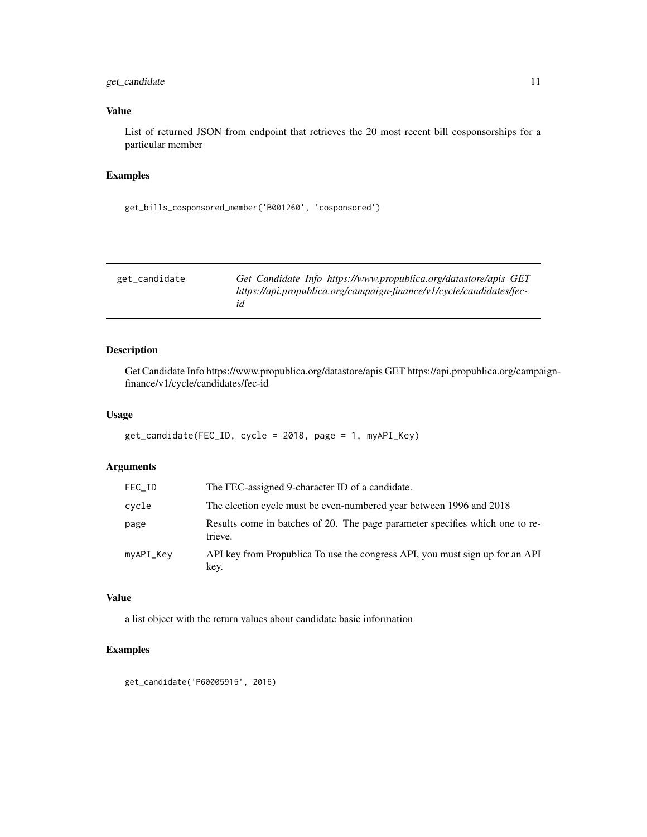#### <span id="page-10-0"></span>get\_candidate 11

#### Value

List of returned JSON from endpoint that retrieves the 20 most recent bill cosponsorships for a particular member

#### Examples

```
get_bills_cosponsored_member('B001260', 'cosponsored')
```

| get_candidate | Get Candidate Info https://www.propublica.org/datastore/apis GET     |
|---------------|----------------------------------------------------------------------|
|               | https://api.propublica.org/campaign-finance/v1/cycle/candidates/fec- |
|               |                                                                      |

# Description

Get Candidate Info https://www.propublica.org/datastore/apis GET https://api.propublica.org/campaignfinance/v1/cycle/candidates/fec-id

#### Usage

```
get_candidate(FEC_ID, cycle = 2018, page = 1, myAPI_Key)
```
#### Arguments

| FEC_ID    | The FEC-assigned 9-character ID of a candidate.                                         |
|-----------|-----------------------------------------------------------------------------------------|
| cycle     | The election cycle must be even-numbered year between 1996 and 2018                     |
| page      | Results come in batches of 20. The page parameter specifies which one to re-<br>trieve. |
| myAPI_Key | API key from Propublica To use the congress API, you must sign up for an API<br>key.    |

#### Value

a list object with the return values about candidate basic information

#### Examples

get\_candidate('P60005915', 2016)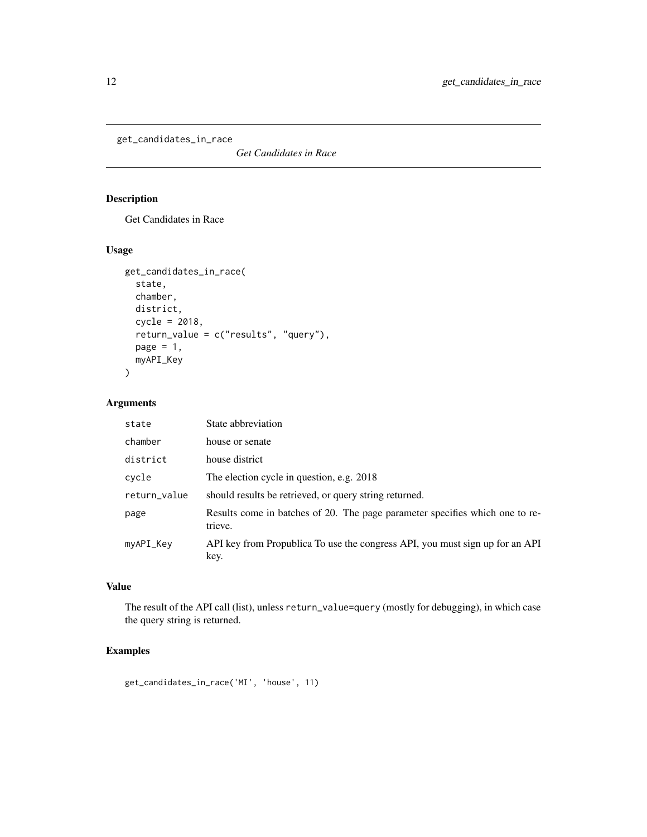```
get_candidates_in_race
```
*Get Candidates in Race*

# Description

Get Candidates in Race

# Usage

```
get_candidates_in_race(
  state,
 chamber,
 district,
 cycle = 2018,
  return_value = c("results", "query"),
 page = 1,
 myAPI_Key
)
```
#### Arguments

| state        | State abbreviation                                                                      |
|--------------|-----------------------------------------------------------------------------------------|
| chamber      | house or senate                                                                         |
| district     | house district                                                                          |
| cycle        | The election cycle in question, e.g. 2018                                               |
| return_value | should result be retrieved, or query string returned.                                   |
| page         | Results come in batches of 20. The page parameter specifies which one to re-<br>trieve. |
| myAPI_Key    | API key from Propublica To use the congress API, you must sign up for an API<br>key.    |

# Value

The result of the API call (list), unless return\_value=query (mostly for debugging), in which case the query string is returned.

# Examples

get\_candidates\_in\_race('MI', 'house', 11)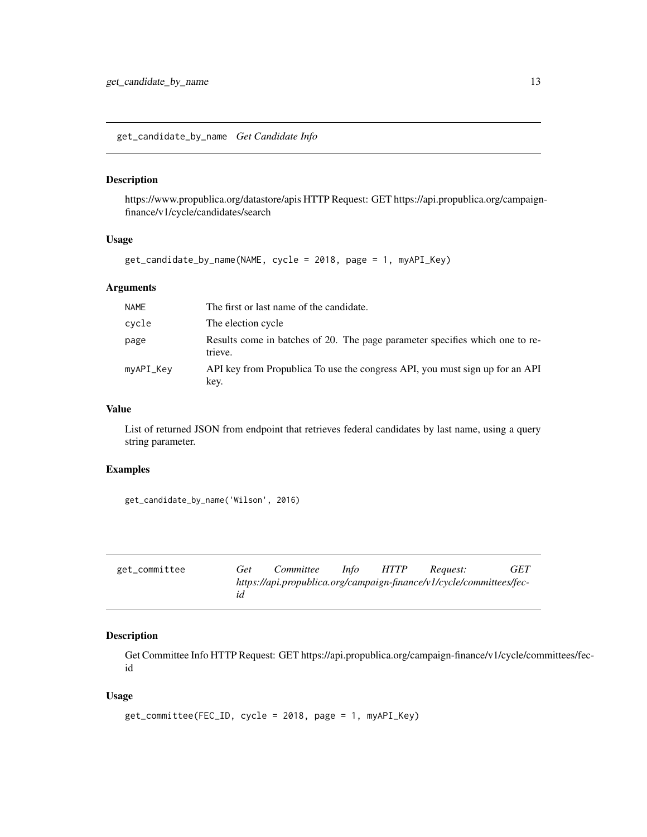<span id="page-12-0"></span>get\_candidate\_by\_name *Get Candidate Info*

#### Description

https://www.propublica.org/datastore/apis HTTP Request: GET https://api.propublica.org/campaignfinance/v1/cycle/candidates/search

#### Usage

get\_candidate\_by\_name(NAME, cycle = 2018, page = 1, myAPI\_Key)

#### Arguments

| <b>NAME</b> | The first or last name of the candidate.                                                |
|-------------|-----------------------------------------------------------------------------------------|
| cycle       | The election cycle                                                                      |
| page        | Results come in batches of 20. The page parameter specifies which one to re-<br>trieve. |
| myAPI_Key   | API key from Propublica To use the congress API, you must sign up for an API<br>key.    |

#### Value

List of returned JSON from endpoint that retrieves federal candidates by last name, using a query string parameter.

#### Examples

get\_candidate\_by\_name('Wilson', 2016)

| get_committee | Get | Committee | <i>Info</i> | <i>HTTP</i> | Reauest:                                                             | GET |
|---------------|-----|-----------|-------------|-------------|----------------------------------------------------------------------|-----|
|               |     |           |             |             | https://api.propublica.org/campaign-finance/v1/cycle/committees/fec- |     |

# Description

Get Committee Info HTTP Request: GET https://api.propublica.org/campaign-finance/v1/cycle/committees/fecid

#### Usage

```
get_committee(FEC_ID, cycle = 2018, page = 1, myAPI_Key)
```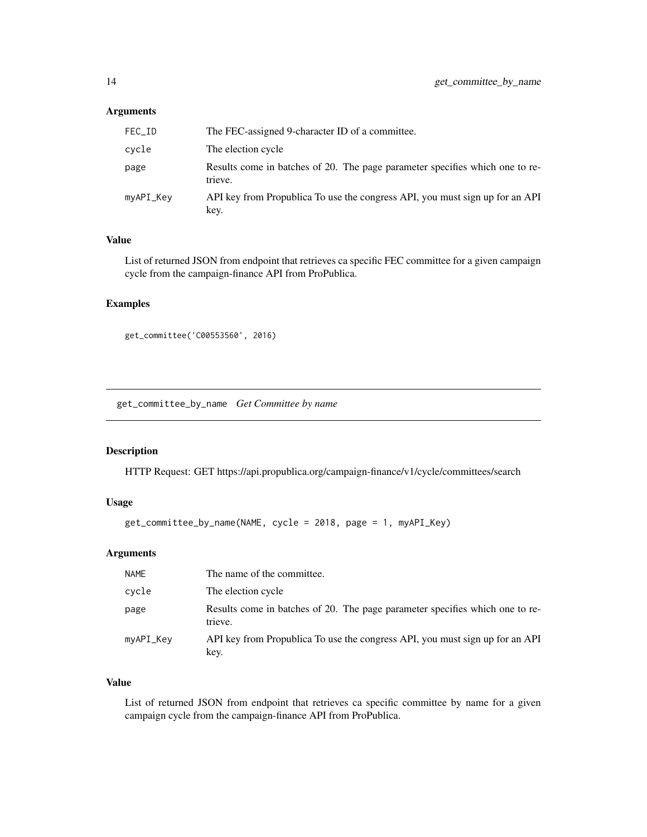#### <span id="page-13-0"></span>Arguments

| FEC_ID    | The FEC-assigned 9-character ID of a committee.                                         |
|-----------|-----------------------------------------------------------------------------------------|
| cycle     | The election cycle                                                                      |
| page      | Results come in batches of 20. The page parameter specifies which one to re-<br>trieve. |
| myAPI_Key | API key from Propublica To use the congress API, you must sign up for an API<br>key.    |

#### Value

List of returned JSON from endpoint that retrieves ca specific FEC committee for a given campaign cycle from the campaign-finance API from ProPublica.

#### Examples

```
get_committee('C00553560', 2016)
```
get\_committee\_by\_name *Get Committee by name*

#### Description

HTTP Request: GET https://api.propublica.org/campaign-finance/v1/cycle/committees/search

#### Usage

```
get_committee_by_name(NAME, cycle = 2018, page = 1, myAPI_Key)
```
#### Arguments

| <b>NAME</b> | The name of the committee.                                                              |
|-------------|-----------------------------------------------------------------------------------------|
| cycle       | The election cycle                                                                      |
| page        | Results come in batches of 20. The page parameter specifies which one to re-<br>trieve. |
| myAPI_Key   | API key from Propublica To use the congress API, you must sign up for an API<br>key.    |

## Value

List of returned JSON from endpoint that retrieves ca specific committee by name for a given campaign cycle from the campaign-finance API from ProPublica.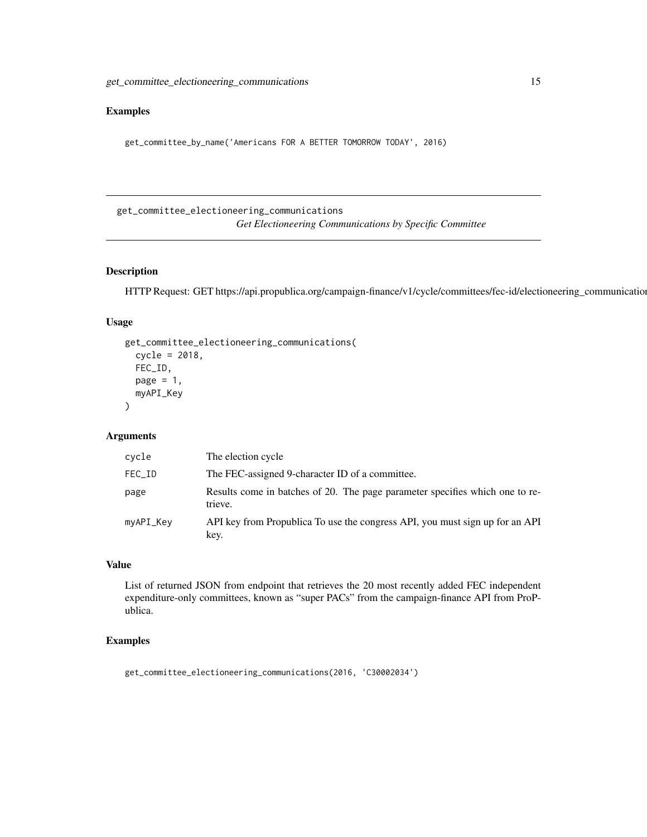#### <span id="page-14-0"></span>Examples

get\_committee\_by\_name('Americans FOR A BETTER TOMORROW TODAY', 2016)

get\_committee\_electioneering\_communications *Get Electioneering Communications by Specific Committee*

#### Description

HTTP Request: GET https://api.propublica.org/campaign-finance/v1/cycle/committees/fec-id/electioneering\_communications

#### Usage

```
get_committee_electioneering_communications(
  cycle = 2018,
  FEC_ID,
 page = 1,
  myAPI_Key
)
```
# Arguments

| cycle     | The election cycle                                                                      |
|-----------|-----------------------------------------------------------------------------------------|
| FEC_ID    | The FEC-assigned 9-character ID of a committee.                                         |
| page      | Results come in batches of 20. The page parameter specifies which one to re-<br>trieve. |
| myAPI_Key | API key from Propublica To use the congress API, you must sign up for an API<br>key.    |

# Value

List of returned JSON from endpoint that retrieves the 20 most recently added FEC independent expenditure-only committees, known as "super PACs" from the campaign-finance API from ProPublica.

#### Examples

get\_committee\_electioneering\_communications(2016, 'C30002034')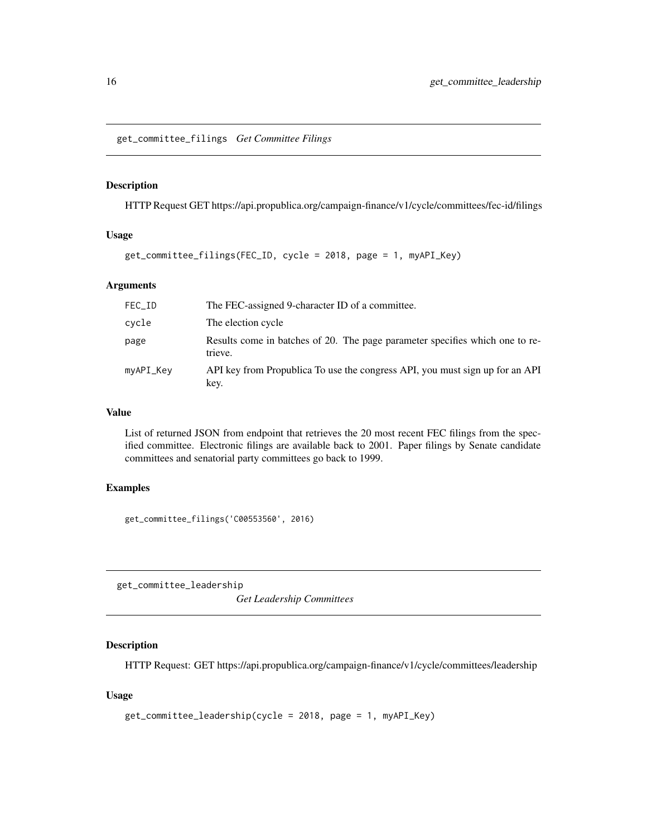<span id="page-15-0"></span>get\_committee\_filings *Get Committee Filings*

#### Description

HTTP Request GET https://api.propublica.org/campaign-finance/v1/cycle/committees/fec-id/filings

#### Usage

```
get_committee_filings(FEC_ID, cycle = 2018, page = 1, myAPI_Key)
```
#### Arguments

| FEC_ID    | The FEC-assigned 9-character ID of a committee.                                         |
|-----------|-----------------------------------------------------------------------------------------|
| cycle     | The election cycle                                                                      |
| page      | Results come in batches of 20. The page parameter specifies which one to re-<br>trieve. |
| myAPI_Key | API key from Propublica To use the congress API, you must sign up for an API<br>key.    |

#### Value

List of returned JSON from endpoint that retrieves the 20 most recent FEC filings from the specified committee. Electronic filings are available back to 2001. Paper filings by Senate candidate committees and senatorial party committees go back to 1999.

# Examples

get\_committee\_filings('C00553560', 2016)

get\_committee\_leadership

*Get Leadership Committees*

#### Description

HTTP Request: GET https://api.propublica.org/campaign-finance/v1/cycle/committees/leadership

#### Usage

```
get_committee_leadership(cycle = 2018, page = 1, myAPI_Key)
```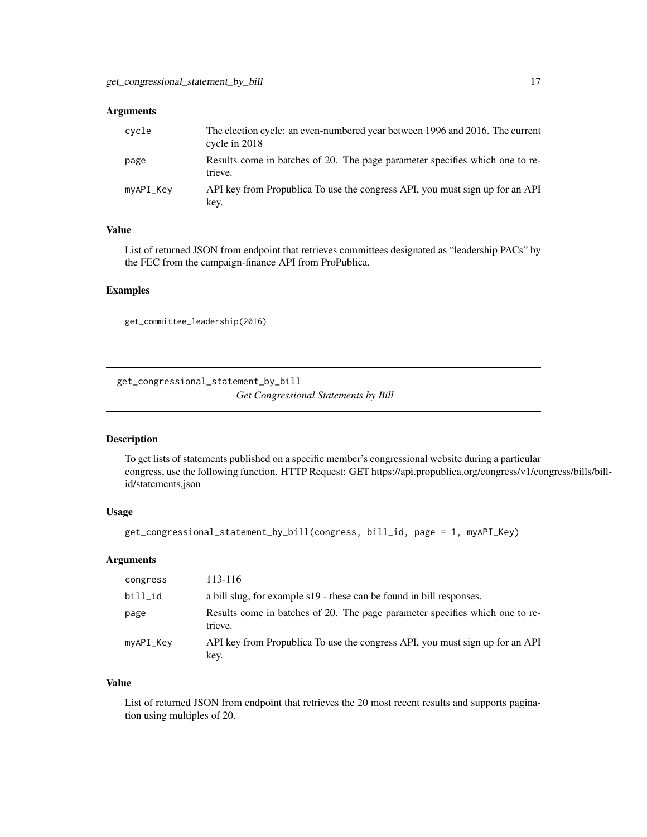#### <span id="page-16-0"></span>Arguments

| cvcle     | The election cycle: an even-numbered year between 1996 and 2016. The current<br>cycle in 2018 |
|-----------|-----------------------------------------------------------------------------------------------|
| page      | Results come in batches of 20. The page parameter specifies which one to re-<br>trieve.       |
| myAPI_Key | API key from Propublica To use the congress API, you must sign up for an API<br>key.          |

#### Value

List of returned JSON from endpoint that retrieves committees designated as "leadership PACs" by the FEC from the campaign-finance API from ProPublica.

#### Examples

get\_committee\_leadership(2016)

get\_congressional\_statement\_by\_bill *Get Congressional Statements by Bill*

#### Description

To get lists of statements published on a specific member's congressional website during a particular congress, use the following function. HTTP Request: GET https://api.propublica.org/congress/v1/congress/bills/billid/statements.json

## Usage

```
get_congressional_statement_by_bill(congress, bill_id, page = 1, myAPI_Key)
```
#### Arguments

| congress  | 113-116                                                                                 |
|-----------|-----------------------------------------------------------------------------------------|
| bill_id   | a bill slug, for example s19 - these can be found in bill responses.                    |
| page      | Results come in batches of 20. The page parameter specifies which one to re-<br>trieve. |
| myAPI_Key | API key from Propublica To use the congress API, you must sign up for an API<br>key.    |

#### Value

List of returned JSON from endpoint that retrieves the 20 most recent results and supports pagination using multiples of 20.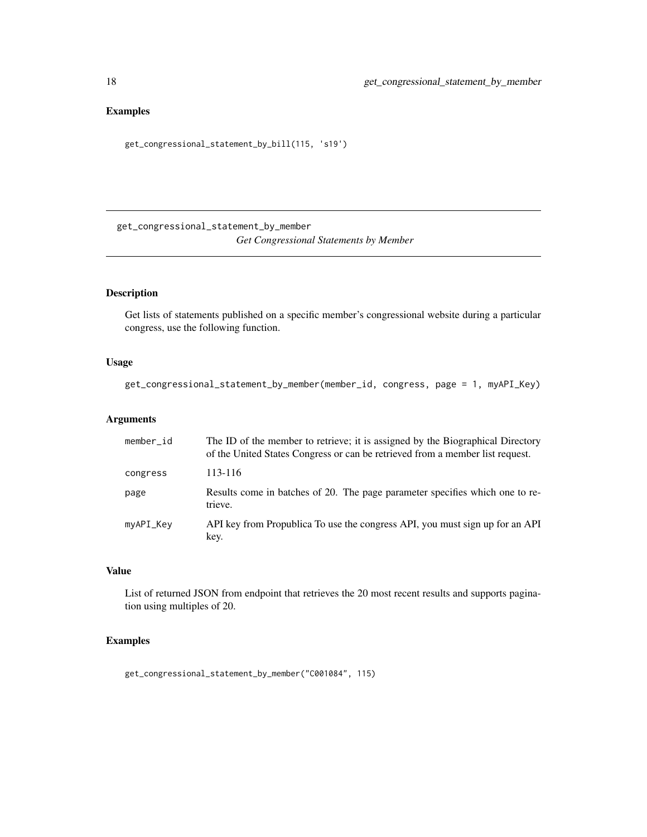# <span id="page-17-0"></span>Examples

```
get_congressional_statement_by_bill(115, 's19')
```
get\_congressional\_statement\_by\_member *Get Congressional Statements by Member*

#### Description

Get lists of statements published on a specific member's congressional website during a particular congress, use the following function.

#### Usage

```
get_congressional_statement_by_member(member_id, congress, page = 1, myAPI_Key)
```
#### Arguments

| member_id | The ID of the member to retrieve; it is assigned by the Biographical Directory<br>of the United States Congress or can be retrieved from a member list request. |
|-----------|-----------------------------------------------------------------------------------------------------------------------------------------------------------------|
| congress  | 113-116                                                                                                                                                         |
| page      | Results come in batches of 20. The page parameter specifies which one to re-<br>trieve.                                                                         |
| myAPI_Key | API key from Propublica To use the congress API, you must sign up for an API<br>key.                                                                            |

#### Value

List of returned JSON from endpoint that retrieves the 20 most recent results and supports pagination using multiples of 20.

#### Examples

get\_congressional\_statement\_by\_member("C001084", 115)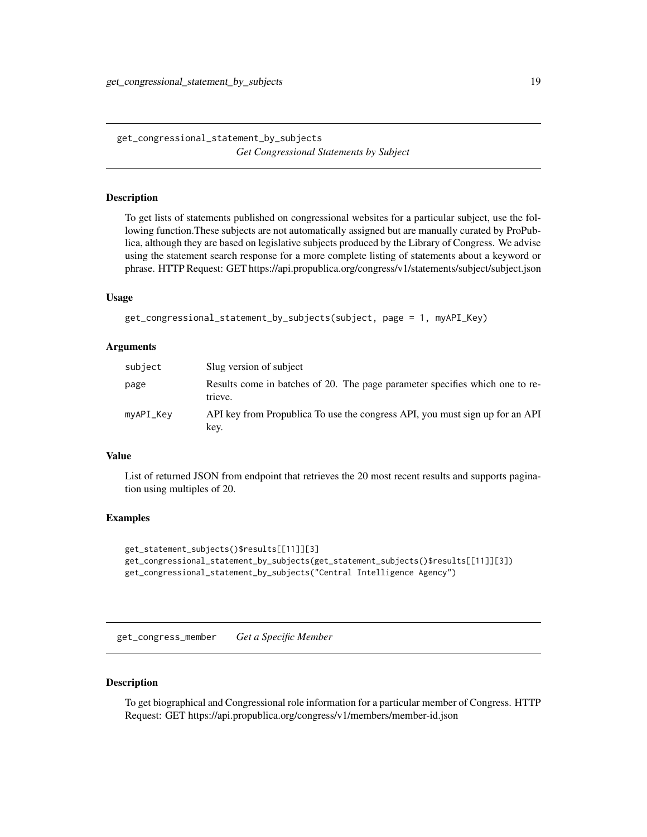<span id="page-18-0"></span>get\_congressional\_statement\_by\_subjects *Get Congressional Statements by Subject*

#### Description

To get lists of statements published on congressional websites for a particular subject, use the following function.These subjects are not automatically assigned but are manually curated by ProPublica, although they are based on legislative subjects produced by the Library of Congress. We advise using the statement search response for a more complete listing of statements about a keyword or phrase. HTTP Request: GET https://api.propublica.org/congress/v1/statements/subject/subject.json

#### Usage

```
get_congressional_statement_by_subjects(subject, page = 1, myAPI_Key)
```
#### Arguments

| subject   | Slug version of subject                                                                 |
|-----------|-----------------------------------------------------------------------------------------|
| page      | Results come in batches of 20. The page parameter specifies which one to re-<br>trieve. |
| myAPI_Key | API key from Propublica To use the congress API, you must sign up for an API<br>key.    |

#### Value

List of returned JSON from endpoint that retrieves the 20 most recent results and supports pagination using multiples of 20.

#### Examples

```
get_statement_subjects()$results[[11]][3]
get_congressional_statement_by_subjects(get_statement_subjects()$results[[11]][3])
get_congressional_statement_by_subjects("Central Intelligence Agency")
```
get\_congress\_member *Get a Specific Member*

#### Description

To get biographical and Congressional role information for a particular member of Congress. HTTP Request: GET https://api.propublica.org/congress/v1/members/member-id.json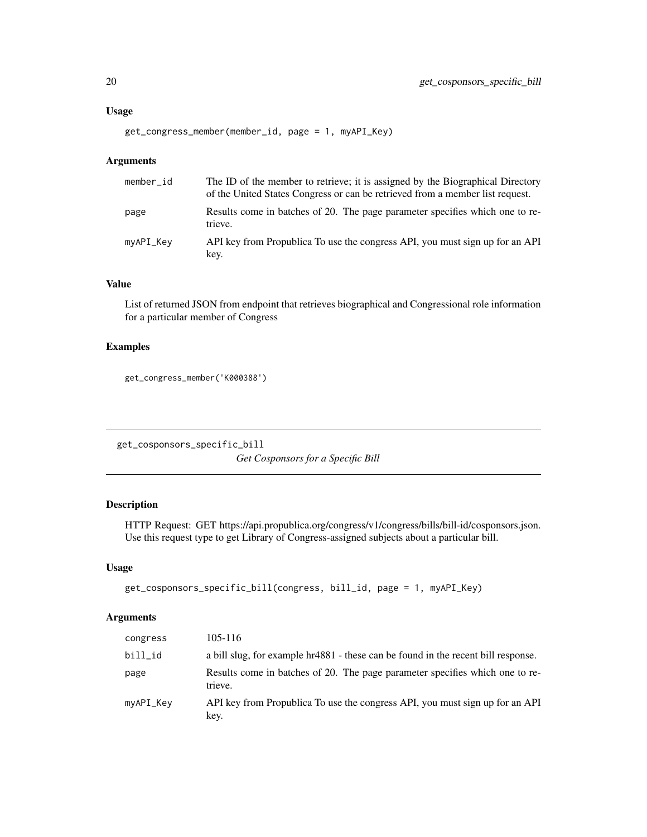```
get_congress_member(member_id, page = 1, myAPI_Key)
```
#### Arguments

| member_id | The ID of the member to retrieve; it is assigned by the Biographical Directory<br>of the United States Congress or can be retrieved from a member list request. |
|-----------|-----------------------------------------------------------------------------------------------------------------------------------------------------------------|
| page      | Results come in batches of 20. The page parameter specifies which one to re-<br>trieve.                                                                         |
| myAPI_Key | API key from Propublica To use the congress API, you must sign up for an API<br>key.                                                                            |

#### Value

List of returned JSON from endpoint that retrieves biographical and Congressional role information for a particular member of Congress

#### Examples

```
get_congress_member('K000388')
```
get\_cosponsors\_specific\_bill *Get Cosponsors for a Specific Bill*

#### Description

HTTP Request: GET https://api.propublica.org/congress/v1/congress/bills/bill-id/cosponsors.json. Use this request type to get Library of Congress-assigned subjects about a particular bill.

#### Usage

```
get_cosponsors_specific_bill(congress, bill_id, page = 1, myAPI_Key)
```
#### Arguments

| congress  | 105-116                                                                                 |
|-----------|-----------------------------------------------------------------------------------------|
| bill_id   | a bill slug, for example hr4881 - these can be found in the recent bill response.       |
| page      | Results come in batches of 20. The page parameter specifies which one to re-<br>trieve. |
| myAPI_Key | API key from Propublica To use the congress API, you must sign up for an API<br>key.    |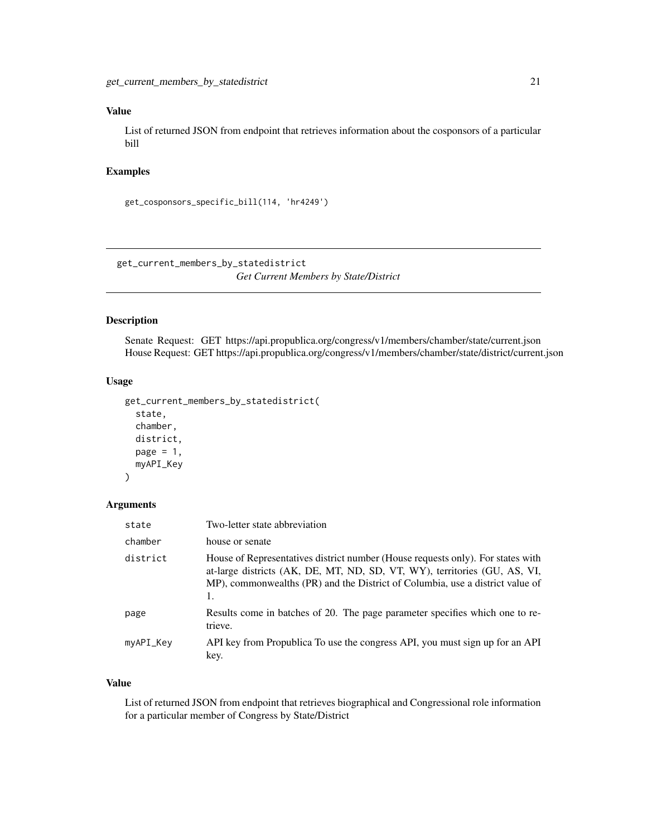#### <span id="page-20-0"></span>Value

List of returned JSON from endpoint that retrieves information about the cosponsors of a particular bill

#### Examples

```
get_cosponsors_specific_bill(114, 'hr4249')
```
get\_current\_members\_by\_statedistrict *Get Current Members by State/District*

#### Description

Senate Request: GET https://api.propublica.org/congress/v1/members/chamber/state/current.json House Request: GET https://api.propublica.org/congress/v1/members/chamber/state/district/current.json

#### Usage

```
get_current_members_by_statedistrict(
  state,
 chamber,
 district,
 page = 1,
 myAPI_Key
)
```
#### Arguments

| state     | Two-letter state abbreviation                                                                                                                                                                                                                       |
|-----------|-----------------------------------------------------------------------------------------------------------------------------------------------------------------------------------------------------------------------------------------------------|
| chamber   | house or senate                                                                                                                                                                                                                                     |
| district  | House of Representatives district number (House requests only). For states with<br>at-large districts (AK, DE, MT, ND, SD, VT, WY), territories (GU, AS, VI,<br>MP), commonwealths (PR) and the District of Columbia, use a district value of<br>1. |
| page      | Results come in batches of 20. The page parameter specifies which one to re-<br>trieve.                                                                                                                                                             |
| myAPI_Key | API key from Propublica To use the congress API, you must sign up for an API<br>key.                                                                                                                                                                |

#### Value

List of returned JSON from endpoint that retrieves biographical and Congressional role information for a particular member of Congress by State/District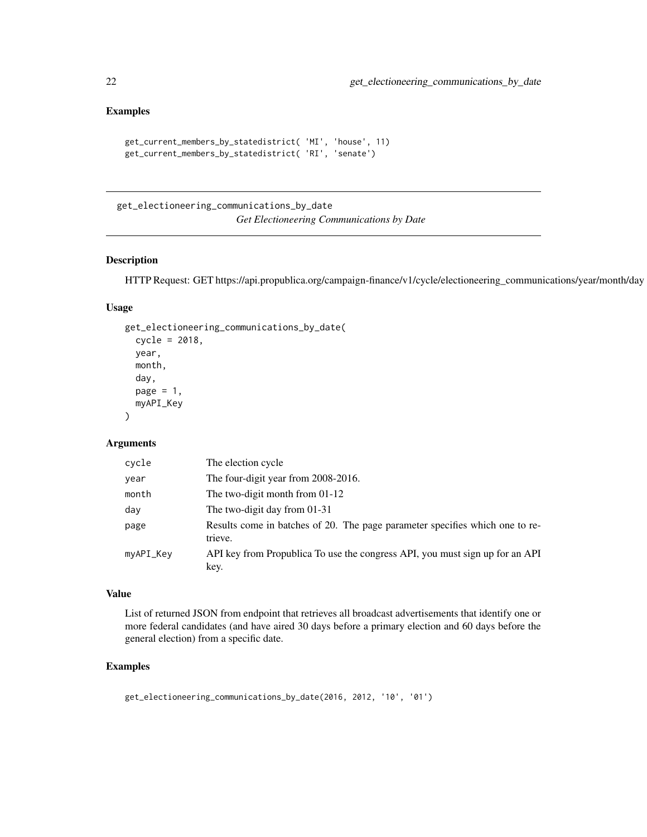#### <span id="page-21-0"></span>Examples

```
get_current_members_by_statedistrict( 'MI', 'house', 11)
get_current_members_by_statedistrict( 'RI', 'senate')
```
get\_electioneering\_communications\_by\_date *Get Electioneering Communications by Date*

#### Description

HTTP Request: GET https://api.propublica.org/campaign-finance/v1/cycle/electioneering\_communications/year/month/day

#### Usage

```
get_electioneering_communications_by_date(
  cycle = 2018,
  year,
  month,
  day,
  page = 1,
  myAPI_Key
\lambda
```
#### Arguments

| cycle     | The election cycle                                                                      |
|-----------|-----------------------------------------------------------------------------------------|
| year      | The four-digit year from 2008-2016.                                                     |
| month     | The two-digit month from $01-12$                                                        |
| day       | The two-digit day from $01-31$                                                          |
| page      | Results come in batches of 20. The page parameter specifies which one to re-<br>trieve. |
| myAPI_Key | API key from Propublica To use the congress API, you must sign up for an API<br>key.    |

#### Value

List of returned JSON from endpoint that retrieves all broadcast advertisements that identify one or more federal candidates (and have aired 30 days before a primary election and 60 days before the general election) from a specific date.

#### Examples

get\_electioneering\_communications\_by\_date(2016, 2012, '10', '01')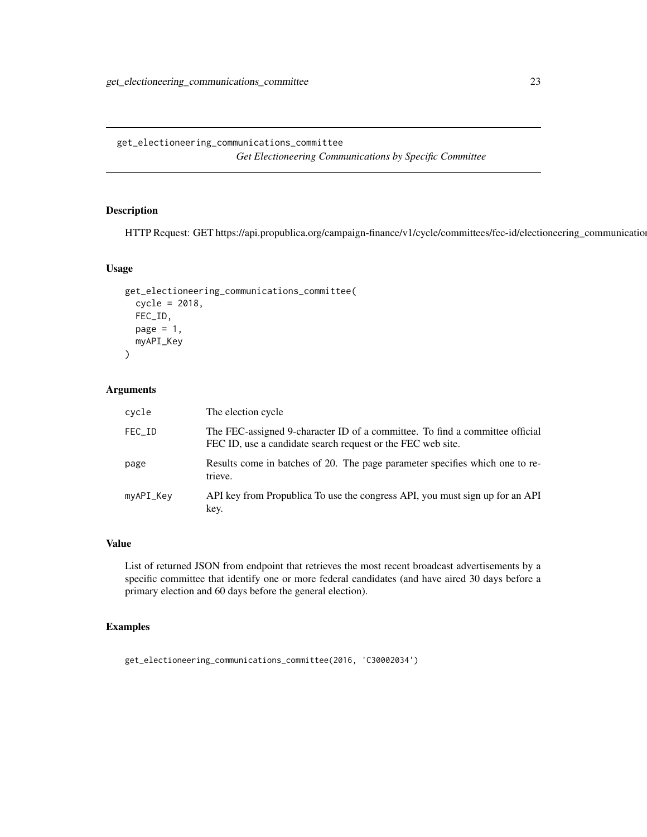### <span id="page-22-0"></span>Description

HTTP Request: GET https://api.propublica.org/campaign-finance/v1/cycle/committees/fec-id/electioneering\_communications

#### Usage

```
get_electioneering_communications_committee(
  cycle = 2018,
 FEC_ID,
 page = 1,
 myAPI_Key
\lambda
```
# Arguments

| cycle     | The election cycle                                                                                                                          |
|-----------|---------------------------------------------------------------------------------------------------------------------------------------------|
| FEC_ID    | The FEC-assigned 9-character ID of a committee. To find a committee official<br>FEC ID, use a candidate search request or the FEC web site. |
| page      | Results come in batches of 20. The page parameter specifies which one to re-<br>trieve.                                                     |
| myAPI_Key | API key from Propublica To use the congress API, you must sign up for an API<br>key.                                                        |

#### Value

List of returned JSON from endpoint that retrieves the most recent broadcast advertisements by a specific committee that identify one or more federal candidates (and have aired 30 days before a primary election and 60 days before the general election).

#### Examples

get\_electioneering\_communications\_committee(2016, 'C30002034')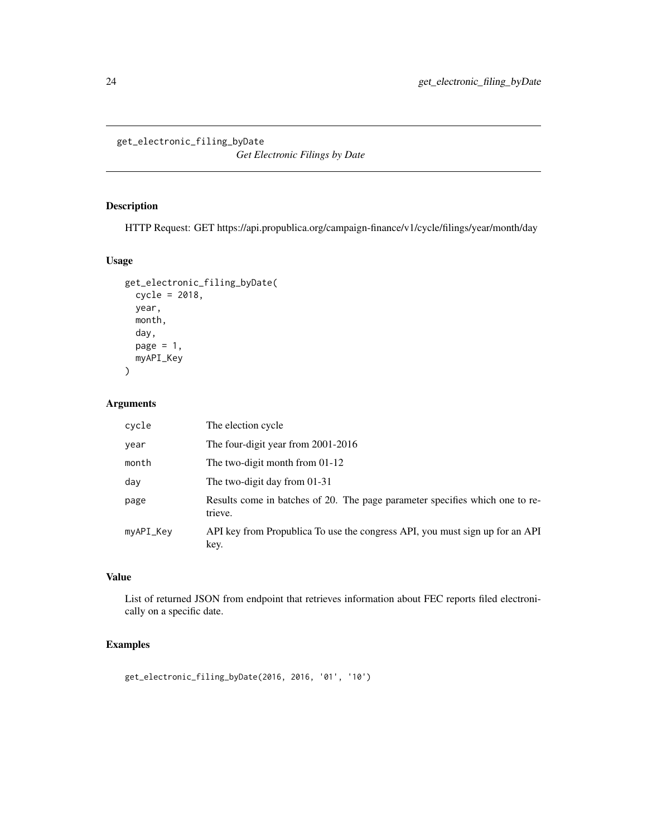<span id="page-23-0"></span>get\_electronic\_filing\_byDate

*Get Electronic Filings by Date*

# Description

HTTP Request: GET https://api.propublica.org/campaign-finance/v1/cycle/filings/year/month/day

#### Usage

```
get_electronic_filing_byDate(
  cycle = 2018,
 year,
 month,
 day,
 page = 1,
 myAPI_Key
)
```
#### Arguments

| cycle     | The election cycle                                                                      |
|-----------|-----------------------------------------------------------------------------------------|
| year      | The four-digit year from 2001-2016                                                      |
| month     | The two-digit month from 01-12                                                          |
| day       | The two-digit day from $01-31$                                                          |
| page      | Results come in batches of 20. The page parameter specifies which one to re-<br>trieve. |
| myAPI_Key | API key from Propublica To use the congress API, you must sign up for an API<br>key.    |

#### Value

List of returned JSON from endpoint that retrieves information about FEC reports filed electronically on a specific date.

#### Examples

get\_electronic\_filing\_byDate(2016, 2016, '01', '10')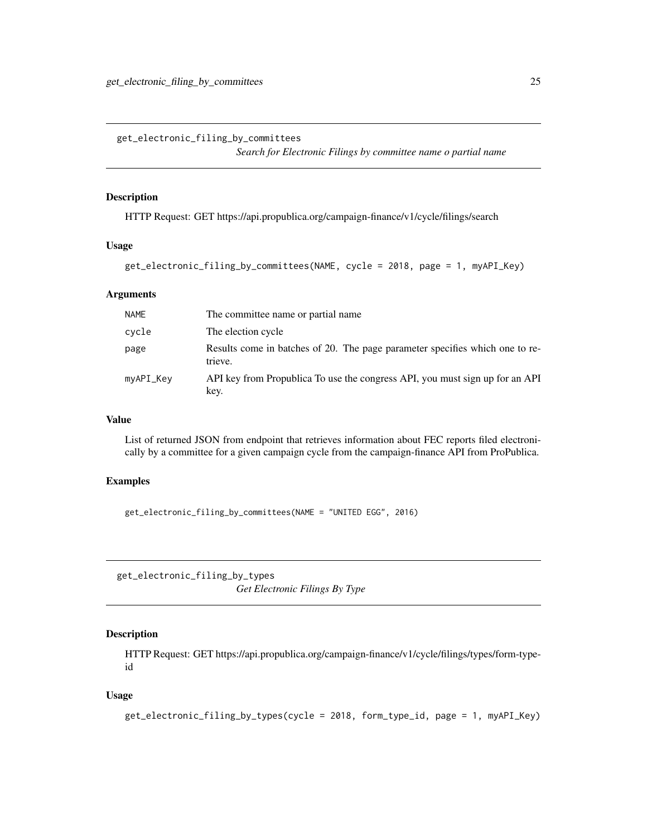<span id="page-24-0"></span>get\_electronic\_filing\_by\_committees

*Search for Electronic Filings by committee name o partial name*

#### Description

HTTP Request: GET https://api.propublica.org/campaign-finance/v1/cycle/filings/search

#### Usage

```
get_electronic_filing_by_committees(NAME, cycle = 2018, page = 1, myAPI_Key)
```
#### Arguments

| <b>NAME</b> | The committee name or partial name.                                                     |
|-------------|-----------------------------------------------------------------------------------------|
| cycle       | The election cycle                                                                      |
| page        | Results come in batches of 20. The page parameter specifies which one to re-<br>trieve. |
| myAPI_Key   | API key from Propublica To use the congress API, you must sign up for an API<br>key.    |

#### Value

List of returned JSON from endpoint that retrieves information about FEC reports filed electronically by a committee for a given campaign cycle from the campaign-finance API from ProPublica.

#### Examples

get\_electronic\_filing\_by\_committees(NAME = "UNITED EGG", 2016)

get\_electronic\_filing\_by\_types *Get Electronic Filings By Type*

# Description

HTTP Request: GET https://api.propublica.org/campaign-finance/v1/cycle/filings/types/form-typeid

#### Usage

```
get_electronic_filing_by_types(cycle = 2018, form_type_id, page = 1, myAPI_Key)
```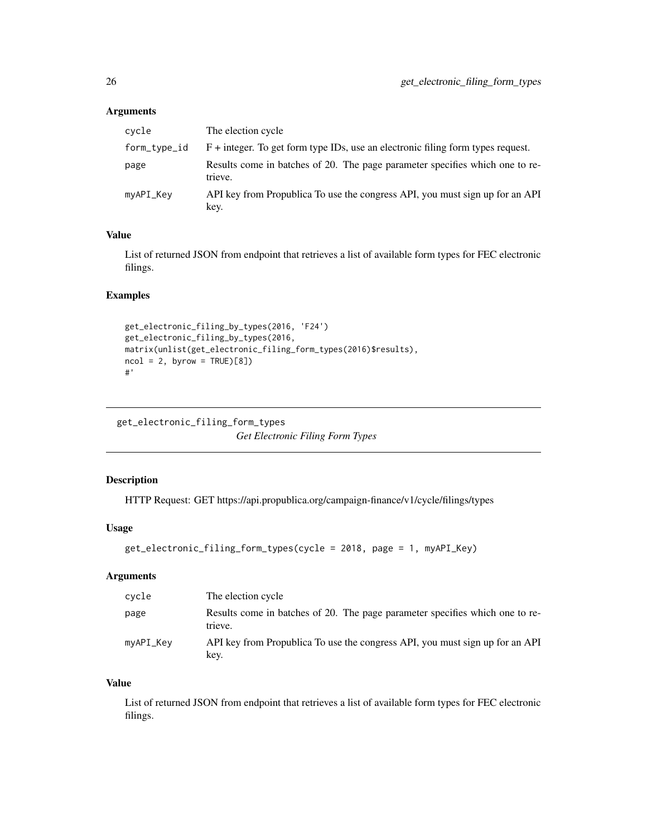#### <span id="page-25-0"></span>Arguments

| cycle        | The election cycle                                                                      |
|--------------|-----------------------------------------------------------------------------------------|
| form_type_id | $F$ + integer. To get form type IDs, use an electronic filing form types request.       |
| page         | Results come in batches of 20. The page parameter specifies which one to re-<br>trieve. |
| myAPI_Key    | API key from Propublica To use the congress API, you must sign up for an API<br>key.    |

#### Value

List of returned JSON from endpoint that retrieves a list of available form types for FEC electronic filings.

#### Examples

```
get_electronic_filing_by_types(2016, 'F24')
get_electronic_filing_by_types(2016,
matrix(unlist(get_electronic_filing_form_types(2016)$results),
ncol = 2, byrow = TRUE)[8])
#'
```
get\_electronic\_filing\_form\_types *Get Electronic Filing Form Types*

#### Description

HTTP Request: GET https://api.propublica.org/campaign-finance/v1/cycle/filings/types

# Usage

```
get_electronic_filing_form_types(cycle = 2018, page = 1, myAPI_Key)
```
### Arguments

| cycle     | The election cycle                                                                      |
|-----------|-----------------------------------------------------------------------------------------|
| page      | Results come in batches of 20. The page parameter specifies which one to re-<br>trieve. |
| myAPI_Key | API key from Propublica To use the congress API, you must sign up for an API<br>key.    |

#### Value

List of returned JSON from endpoint that retrieves a list of available form types for FEC electronic filings.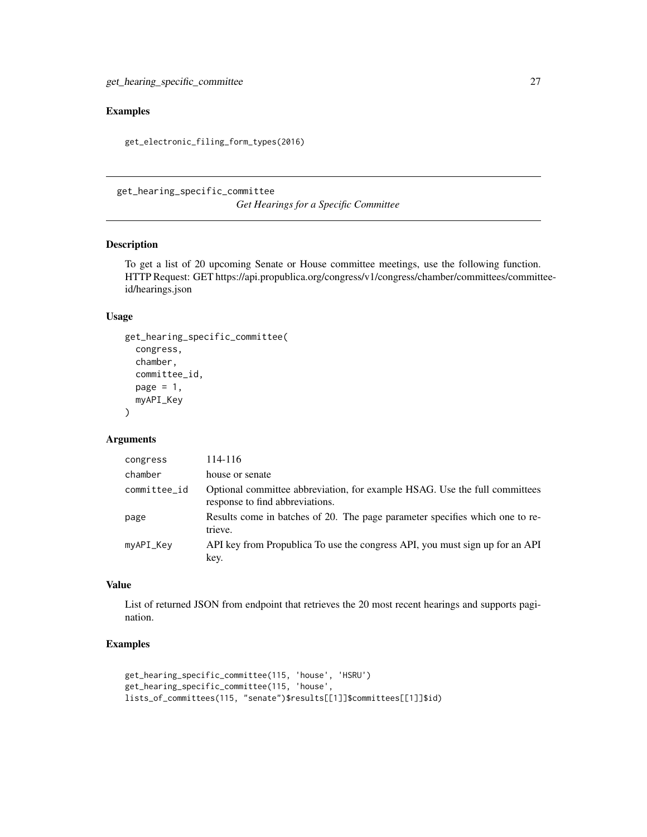# <span id="page-26-0"></span>Examples

get\_electronic\_filing\_form\_types(2016)

get\_hearing\_specific\_committee *Get Hearings for a Specific Committee*

#### Description

To get a list of 20 upcoming Senate or House committee meetings, use the following function. HTTP Request: GET https://api.propublica.org/congress/v1/congress/chamber/committees/committeeid/hearings.json

#### Usage

```
get_hearing_specific_committee(
 congress,
  chamber,
 committee_id,
 page = 1,
 myAPI_Key
)
```
#### Arguments

| congress     | 114-116                                                                                                       |
|--------------|---------------------------------------------------------------------------------------------------------------|
| chamber      | house or senate                                                                                               |
| committee_id | Optional committee abbreviation, for example HSAG. Use the full committees<br>response to find abbreviations. |
| page         | Results come in batches of 20. The page parameter specifies which one to re-<br>trieve.                       |
| myAPI_Key    | API key from Propublica To use the congress API, you must sign up for an API<br>key.                          |

#### Value

List of returned JSON from endpoint that retrieves the 20 most recent hearings and supports pagination.

# Examples

```
get_hearing_specific_committee(115, 'house', 'HSRU')
get_hearing_specific_committee(115, 'house',
lists_of_committees(115, "senate")$results[[1]]$committees[[1]]$id)
```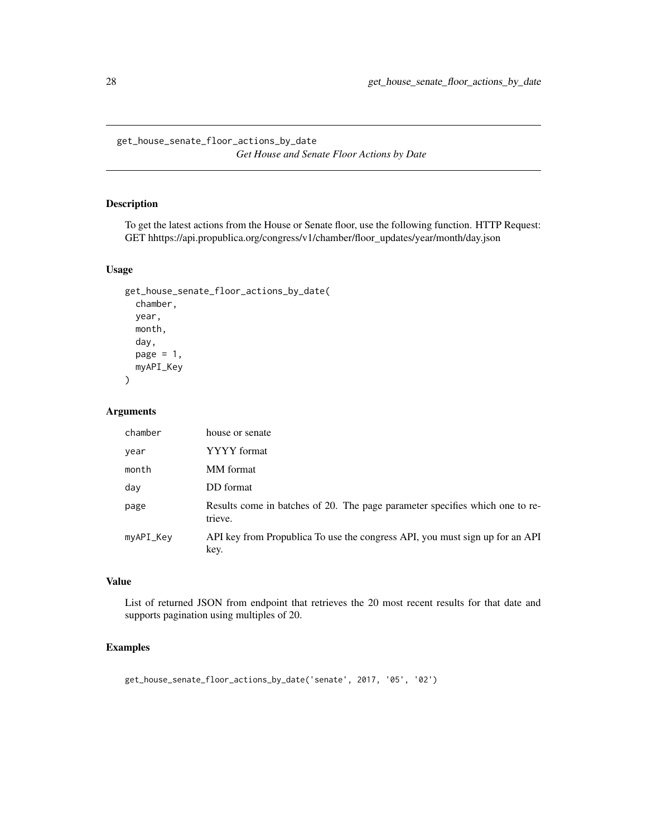<span id="page-27-0"></span>get\_house\_senate\_floor\_actions\_by\_date *Get House and Senate Floor Actions by Date*

#### Description

To get the latest actions from the House or Senate floor, use the following function. HTTP Request: GET hhttps://api.propublica.org/congress/v1/chamber/floor\_updates/year/month/day.json

#### Usage

```
get_house_senate_floor_actions_by_date(
  chamber,
 year,
 month,
  day,
 page = 1,
 myAPI_Key
```
 $\lambda$ 

#### Arguments

| chamber   | house or senate                                                                         |
|-----------|-----------------------------------------------------------------------------------------|
| year      | YYYY format                                                                             |
| month     | MM format                                                                               |
| day       | DD format                                                                               |
| page      | Results come in batches of 20. The page parameter specifies which one to re-<br>trieve. |
| myAPI_Key | API key from Propublica To use the congress API, you must sign up for an API<br>key.    |

# Value

List of returned JSON from endpoint that retrieves the 20 most recent results for that date and supports pagination using multiples of 20.

#### Examples

get\_house\_senate\_floor\_actions\_by\_date('senate', 2017, '05', '02')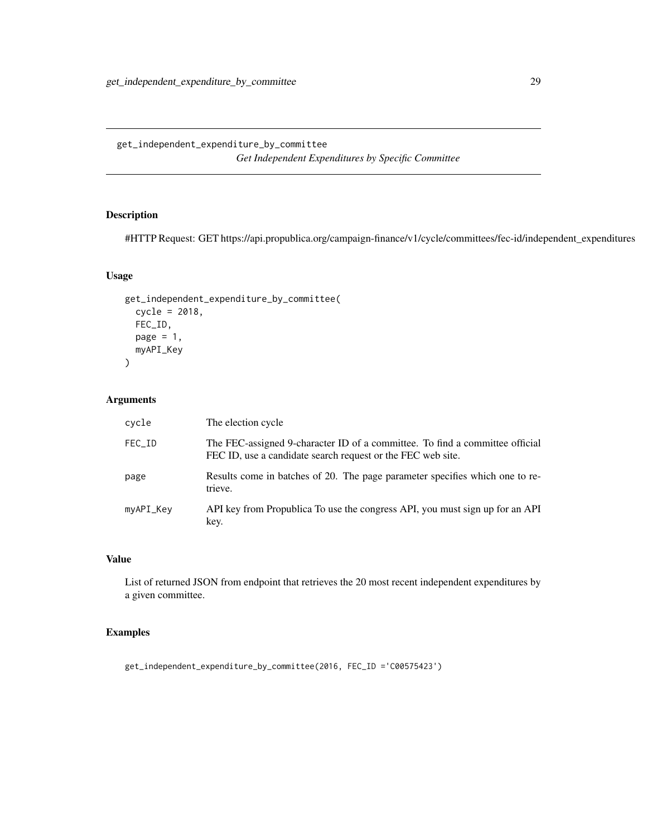<span id="page-28-0"></span>get\_independent\_expenditure\_by\_committee *Get Independent Expenditures by Specific Committee*

# Description

#HTTP Request: GET https://api.propublica.org/campaign-finance/v1/cycle/committees/fec-id/independent\_expenditures

#### Usage

```
get_independent_expenditure_by_committee(
  cycle = 2018,
  FEC_ID,
 page = 1,
 myAPI_Key
)
```
#### Arguments

| cycle     | The election cycle                                                                                                                          |
|-----------|---------------------------------------------------------------------------------------------------------------------------------------------|
| FEC_ID    | The FEC-assigned 9-character ID of a committee. To find a committee official<br>FEC ID, use a candidate search request or the FEC web site. |
| page      | Results come in batches of 20. The page parameter specifies which one to re-<br>trieve.                                                     |
| myAPI_Key | API key from Propublica To use the congress API, you must sign up for an API<br>key.                                                        |

# Value

List of returned JSON from endpoint that retrieves the 20 most recent independent expenditures by a given committee.

#### Examples

get\_independent\_expenditure\_by\_committee(2016, FEC\_ID ='C00575423')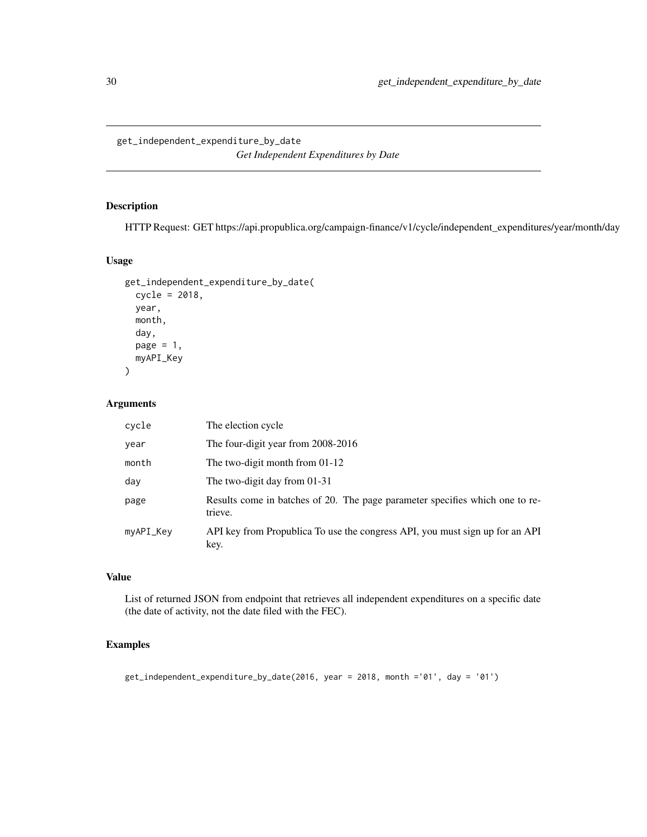<span id="page-29-0"></span>get\_independent\_expenditure\_by\_date *Get Independent Expenditures by Date*

#### Description

HTTP Request: GET https://api.propublica.org/campaign-finance/v1/cycle/independent\_expenditures/year/month/day

#### Usage

```
get_independent_expenditure_by_date(
  cycle = 2018,
 year,
 month,
 day,
 page = 1,
 myAPI_Key
)
```
#### Arguments

| cycle     | The election cycle                                                                      |
|-----------|-----------------------------------------------------------------------------------------|
| year      | The four-digit year from 2008-2016                                                      |
| month     | The two-digit month from $01-12$                                                        |
| day       | The two-digit day from $01-31$                                                          |
| page      | Results come in batches of 20. The page parameter specifies which one to re-<br>trieve. |
| myAPI_Key | API key from Propublica To use the congress API, you must sign up for an API<br>key.    |

#### Value

List of returned JSON from endpoint that retrieves all independent expenditures on a specific date (the date of activity, not the date filed with the FEC).

#### Examples

get\_independent\_expenditure\_by\_date(2016, year = 2018, month ='01', day = '01')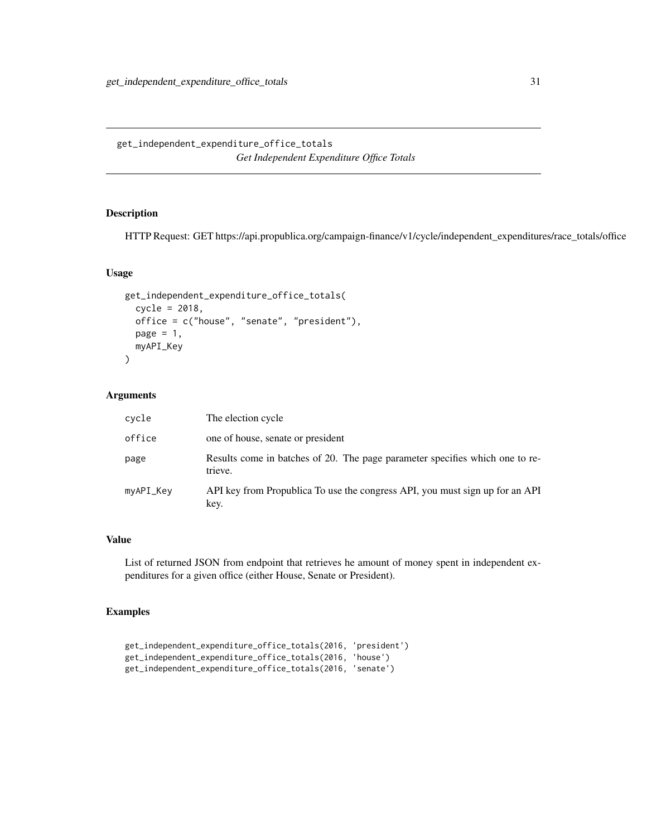<span id="page-30-0"></span>get\_independent\_expenditure\_office\_totals *Get Independent Expenditure Office Totals*

#### Description

HTTP Request: GET https://api.propublica.org/campaign-finance/v1/cycle/independent\_expenditures/race\_totals/office

#### Usage

```
get_independent_expenditure_office_totals(
  cycle = 2018,
  office = c("house", "senate", "president"),
 page = 1,
 myAPI_Key
)
```
#### Arguments

| cycle     | The election cycle                                                                      |
|-----------|-----------------------------------------------------------------------------------------|
| office    | one of house, senate or president                                                       |
| page      | Results come in batches of 20. The page parameter specifies which one to re-<br>trieve. |
| myAPI_Key | API key from Propublica To use the congress API, you must sign up for an API<br>key.    |

# Value

List of returned JSON from endpoint that retrieves he amount of money spent in independent expenditures for a given office (either House, Senate or President).

#### Examples

```
get_independent_expenditure_office_totals(2016, 'president')
get_independent_expenditure_office_totals(2016, 'house')
get_independent_expenditure_office_totals(2016, 'senate')
```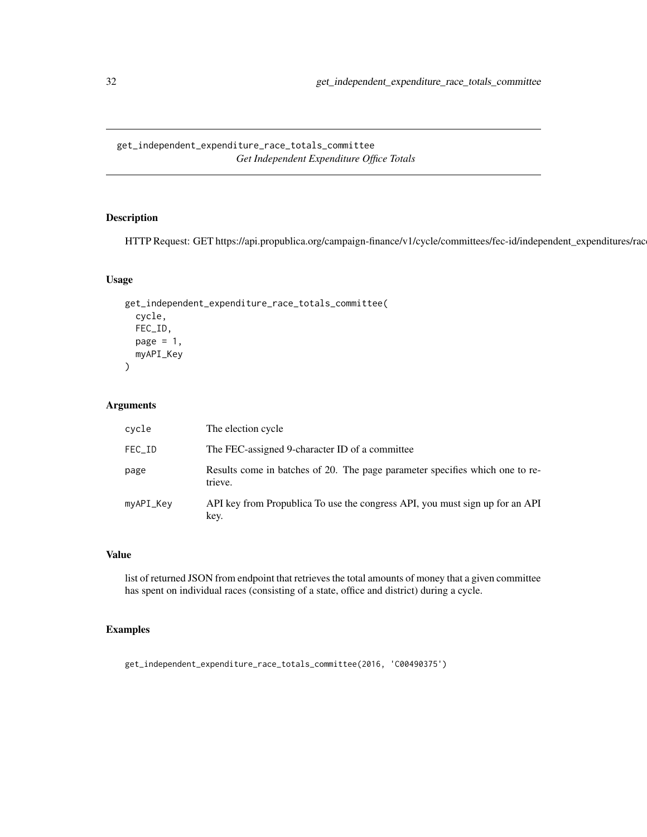<span id="page-31-0"></span>get\_independent\_expenditure\_race\_totals\_committee *Get Independent Expenditure Office Totals*

# Description

HTTP Request: GET https://api.propublica.org/campaign-finance/v1/cycle/committees/fec-id/independent\_expenditures/races

#### Usage

```
get_independent_expenditure_race_totals_committee(
 cycle,
 FEC_ID,
 page = 1,
 myAPI_Key
)
```
#### Arguments

| cycle     | The election cycle                                                                      |
|-----------|-----------------------------------------------------------------------------------------|
| FEC_ID    | The FEC-assigned 9-character ID of a committee                                          |
| page      | Results come in batches of 20. The page parameter specifies which one to re-<br>trieve. |
| myAPI_Key | API key from Propublica To use the congress API, you must sign up for an API<br>key.    |

#### Value

list of returned JSON from endpoint that retrieves the total amounts of money that a given committee has spent on individual races (consisting of a state, office and district) during a cycle.

#### Examples

get\_independent\_expenditure\_race\_totals\_committee(2016, 'C00490375')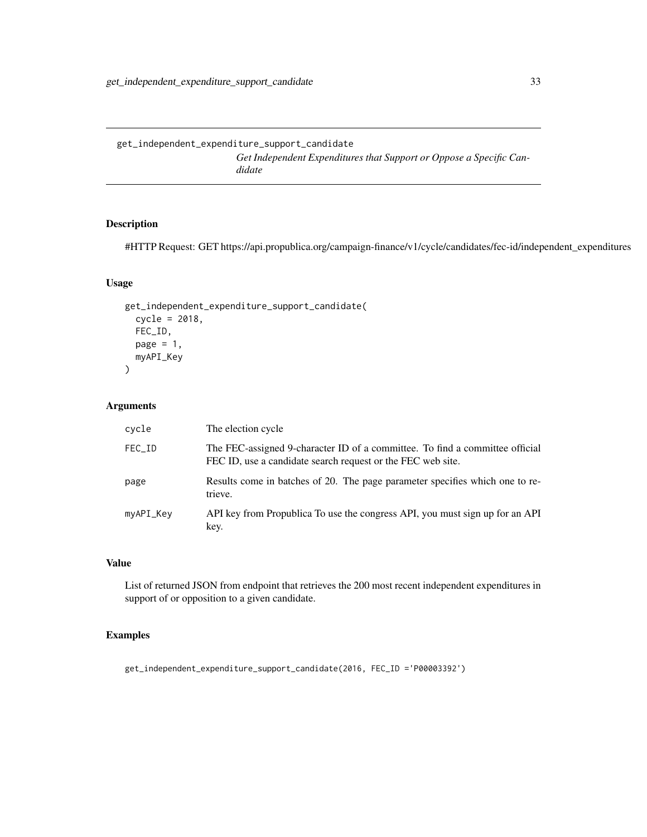<span id="page-32-0"></span>get\_independent\_expenditure\_support\_candidate *Get Independent Expenditures that Support or Oppose a Specific Candidate*

#### Description

#HTTP Request: GET https://api.propublica.org/campaign-finance/v1/cycle/candidates/fec-id/independent\_expenditures

# Usage

```
get_independent_expenditure_support_candidate(
  cycle = 2018,
 FEC_ID,
 page = 1,
 myAPI_Key
)
```
#### Arguments

| cycle     | The election cycle                                                                                                                          |
|-----------|---------------------------------------------------------------------------------------------------------------------------------------------|
| FEC_ID    | The FEC-assigned 9-character ID of a committee. To find a committee official<br>FEC ID, use a candidate search request or the FEC web site. |
| page      | Results come in batches of 20. The page parameter specifies which one to re-<br>trieve.                                                     |
| myAPI_Key | API key from Propublica To use the congress API, you must sign up for an API<br>key.                                                        |

#### Value

List of returned JSON from endpoint that retrieves the 200 most recent independent expenditures in support of or opposition to a given candidate.

#### Examples

get\_independent\_expenditure\_support\_candidate(2016, FEC\_ID ='P00003392')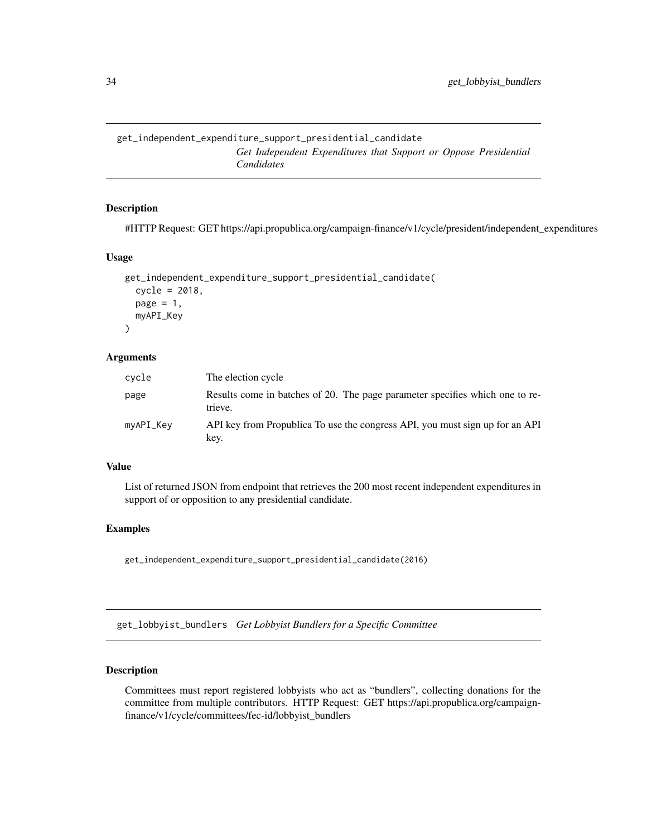<span id="page-33-0"></span>get\_independent\_expenditure\_support\_presidential\_candidate *Get Independent Expenditures that Support or Oppose Presidential Candidates*

#### Description

#HTTP Request: GET https://api.propublica.org/campaign-finance/v1/cycle/president/independent\_expenditures

#### Usage

```
get_independent_expenditure_support_presidential_candidate(
  cycle = 2018,
 page = 1,
 myAPI_Key
)
```
#### **Arguments**

| cycle     | The election cycle                                                                      |
|-----------|-----------------------------------------------------------------------------------------|
| page      | Results come in batches of 20. The page parameter specifies which one to re-<br>trieve. |
| myAPI_Key | API key from Propublica To use the congress API, you must sign up for an API<br>key.    |

#### Value

List of returned JSON from endpoint that retrieves the 200 most recent independent expenditures in support of or opposition to any presidential candidate.

#### Examples

get\_independent\_expenditure\_support\_presidential\_candidate(2016)

get\_lobbyist\_bundlers *Get Lobbyist Bundlers for a Specific Committee*

#### Description

Committees must report registered lobbyists who act as "bundlers", collecting donations for the committee from multiple contributors. HTTP Request: GET https://api.propublica.org/campaignfinance/v1/cycle/committees/fec-id/lobbyist\_bundlers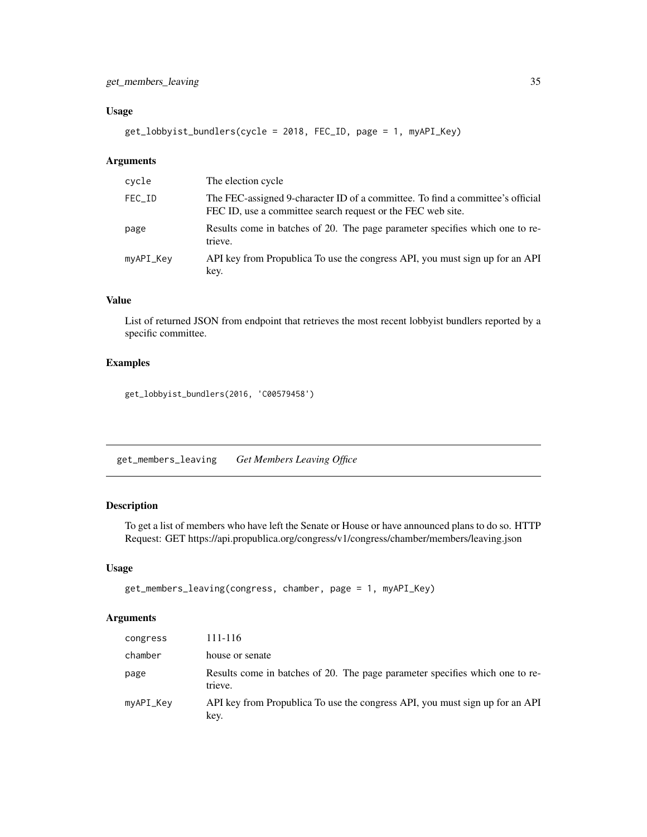#### <span id="page-34-0"></span>Usage

```
get_lobbyist_bundlers(cycle = 2018, FEC_ID, page = 1, myAPI_Key)
```
#### Arguments

| cycle     | The election cycle                                                                                                                            |
|-----------|-----------------------------------------------------------------------------------------------------------------------------------------------|
| FEC_ID    | The FEC-assigned 9-character ID of a committee. To find a committee's official<br>FEC ID, use a committee search request or the FEC web site. |
| page      | Results come in batches of 20. The page parameter specifies which one to re-<br>trieve.                                                       |
| myAPI_Key | API key from Propublica To use the congress API, you must sign up for an API<br>key.                                                          |

# Value

List of returned JSON from endpoint that retrieves the most recent lobbyist bundlers reported by a specific committee.

#### Examples

get\_lobbyist\_bundlers(2016, 'C00579458')

get\_members\_leaving *Get Members Leaving Office*

#### Description

To get a list of members who have left the Senate or House or have announced plans to do so. HTTP Request: GET https://api.propublica.org/congress/v1/congress/chamber/members/leaving.json

#### Usage

```
get_members_leaving(congress, chamber, page = 1, myAPI_Key)
```
#### Arguments

| congress  | 111-116                                                                                 |
|-----------|-----------------------------------------------------------------------------------------|
| chamber   | house or senate                                                                         |
| page      | Results come in batches of 20. The page parameter specifies which one to re-<br>trieve. |
| myAPI_Key | API key from Propublica To use the congress API, you must sign up for an API<br>key.    |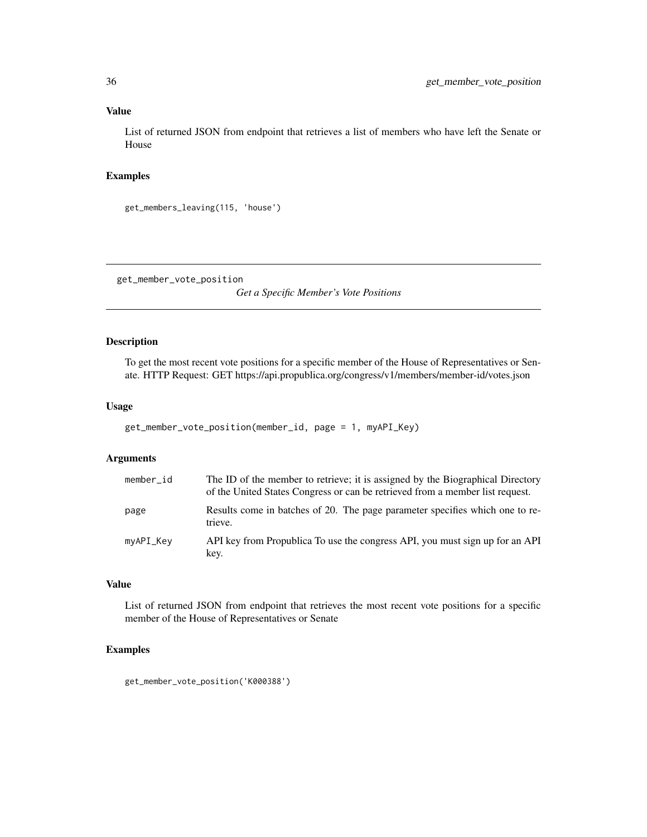#### Value

List of returned JSON from endpoint that retrieves a list of members who have left the Senate or House

#### Examples

```
get_members_leaving(115, 'house')
```
get\_member\_vote\_position

*Get a Specific Member's Vote Positions*

#### Description

To get the most recent vote positions for a specific member of the House of Representatives or Senate. HTTP Request: GET https://api.propublica.org/congress/v1/members/member-id/votes.json

#### Usage

```
get_member_vote_position(member_id, page = 1, myAPI_Key)
```
#### Arguments

| member_id | The ID of the member to retrieve; it is assigned by the Biographical Directory<br>of the United States Congress or can be retrieved from a member list request. |
|-----------|-----------------------------------------------------------------------------------------------------------------------------------------------------------------|
| page      | Results come in batches of 20. The page parameter specifies which one to re-<br>trieve.                                                                         |
| myAPI_Key | API key from Propublica To use the congress API, you must sign up for an API<br>key.                                                                            |

#### Value

List of returned JSON from endpoint that retrieves the most recent vote positions for a specific member of the House of Representatives or Senate

#### Examples

get\_member\_vote\_position('K000388')

<span id="page-35-0"></span>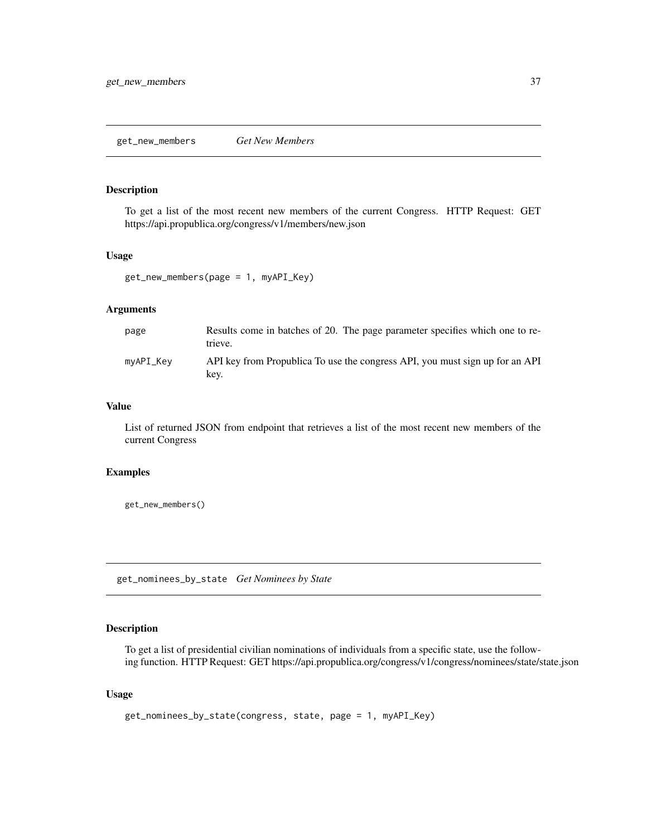# Description

To get a list of the most recent new members of the current Congress. HTTP Request: GET https://api.propublica.org/congress/v1/members/new.json

## Usage

```
get_new_members(page = 1, myAPI_Key)
```
## Arguments

| page      | Results come in batches of 20. The page parameter specifies which one to re-<br>trieve. |
|-----------|-----------------------------------------------------------------------------------------|
| myAPI_Key | API key from Propublica To use the congress API, you must sign up for an API<br>kev.    |

### Value

List of returned JSON from endpoint that retrieves a list of the most recent new members of the current Congress

### Examples

get\_new\_members()

get\_nominees\_by\_state *Get Nominees by State*

# Description

To get a list of presidential civilian nominations of individuals from a specific state, use the following function. HTTP Request: GET https://api.propublica.org/congress/v1/congress/nominees/state/state.json

```
get_nominees_by_state(congress, state, page = 1, myAPI_Key)
```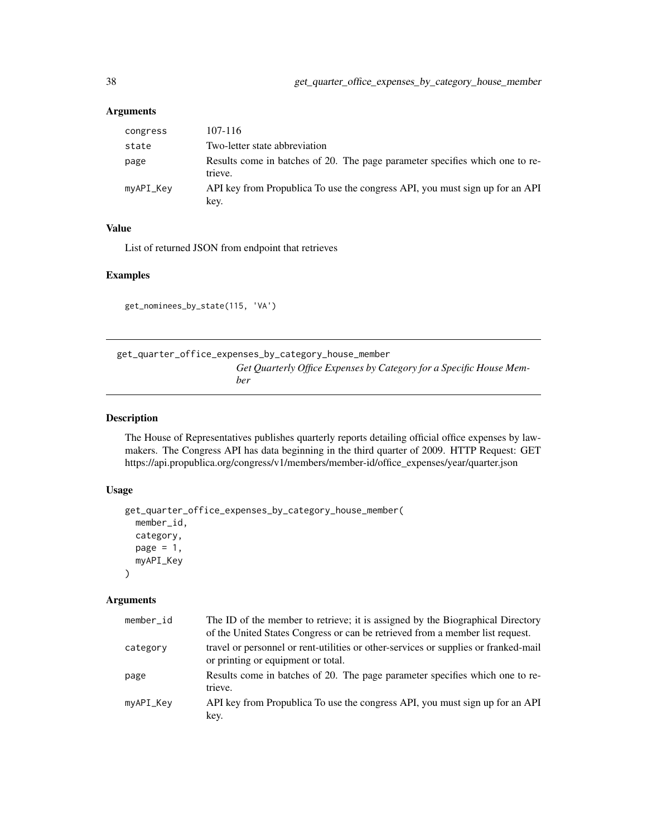| congress  | 107-116                                                                                 |
|-----------|-----------------------------------------------------------------------------------------|
| state     | Two-letter state abbreviation                                                           |
| page      | Results come in batches of 20. The page parameter specifies which one to re-<br>trieve. |
| myAPI_Key | API key from Propublica To use the congress API, you must sign up for an API<br>key.    |

## Value

List of returned JSON from endpoint that retrieves

## Examples

get\_nominees\_by\_state(115, 'VA')

get\_quarter\_office\_expenses\_by\_category\_house\_member *Get Quarterly Office Expenses by Category for a Specific House Member*

## Description

The House of Representatives publishes quarterly reports detailing official office expenses by lawmakers. The Congress API has data beginning in the third quarter of 2009. HTTP Request: GET https://api.propublica.org/congress/v1/members/member-id/office\_expenses/year/quarter.json

### Usage

```
get_quarter_office_expenses_by_category_house_member(
  member_id,
  category,
  page = 1,
  myAPI_Key
\mathcal{L}
```
### Arguments

| member_id | The ID of the member to retrieve; it is assigned by the Biographical Directory<br>of the United States Congress or can be retrieved from a member list request. |
|-----------|-----------------------------------------------------------------------------------------------------------------------------------------------------------------|
| category  | travel or personnel or rent-utilities or other-services or supplies or franked-mail<br>or printing or equipment or total.                                       |
| page      | Results come in batches of 20. The page parameter specifies which one to re-<br>trieve.                                                                         |
| myAPI_Key | API key from Propublica To use the congress API, you must sign up for an API<br>key.                                                                            |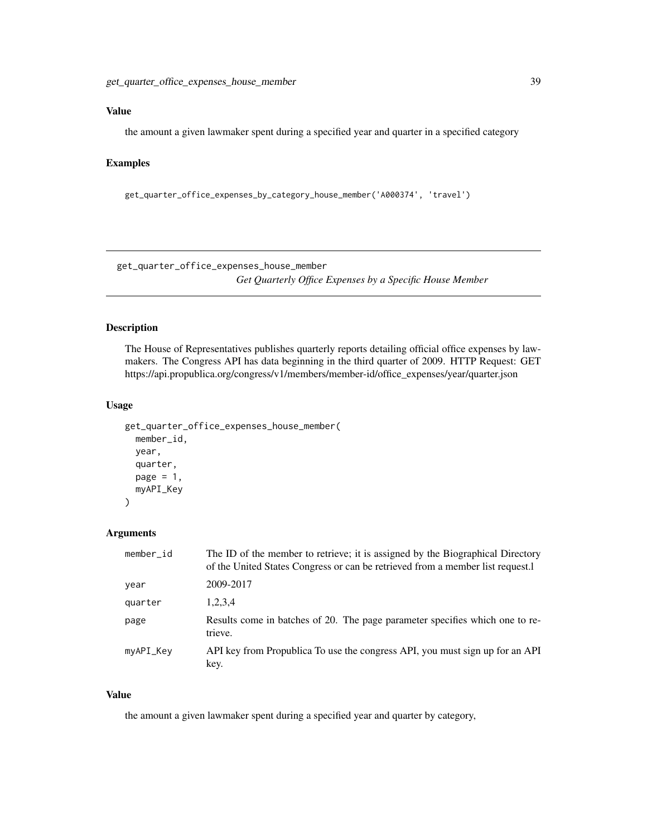## Value

the amount a given lawmaker spent during a specified year and quarter in a specified category

## Examples

get\_quarter\_office\_expenses\_by\_category\_house\_member('A000374', 'travel')

get\_quarter\_office\_expenses\_house\_member *Get Quarterly Office Expenses by a Specific House Member*

## Description

The House of Representatives publishes quarterly reports detailing official office expenses by lawmakers. The Congress API has data beginning in the third quarter of 2009. HTTP Request: GET https://api.propublica.org/congress/v1/members/member-id/office\_expenses/year/quarter.json

### Usage

```
get_quarter_office_expenses_house_member(
 member_id,
 year,
  quarter,
 page = 1,
 myAPI_Key
)
```
#### Arguments

| member_id | The ID of the member to retrieve; it is assigned by the Biographical Directory<br>of the United States Congress or can be retrieved from a member list request. |
|-----------|-----------------------------------------------------------------------------------------------------------------------------------------------------------------|
| year      | 2009-2017                                                                                                                                                       |
| quarter   | 1,2,3,4                                                                                                                                                         |
| page      | Results come in batches of 20. The page parameter specifies which one to re-<br>trieve.                                                                         |
| myAPI_Key | API key from Propublica To use the congress API, you must sign up for an API<br>key.                                                                            |

#### Value

the amount a given lawmaker spent during a specified year and quarter by category,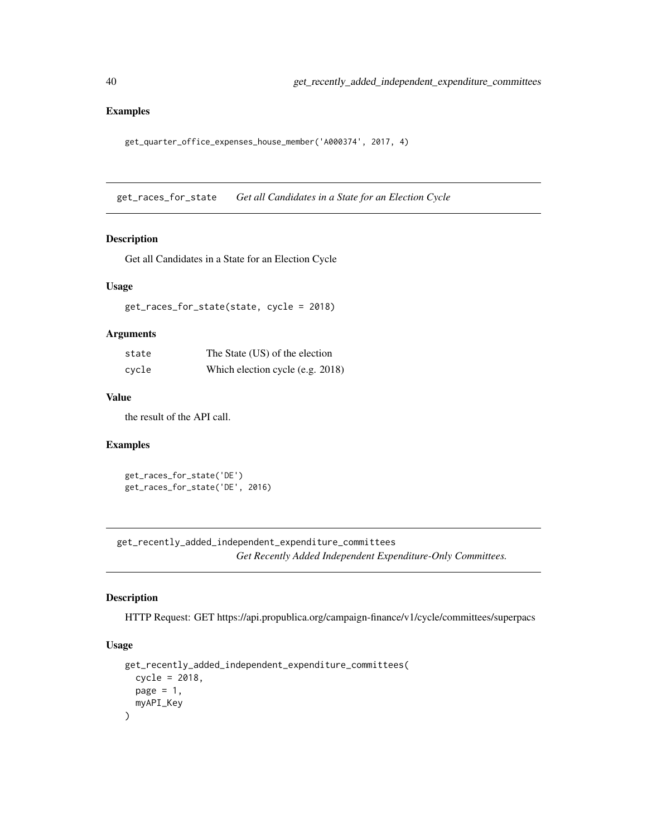## Examples

get\_quarter\_office\_expenses\_house\_member('A000374', 2017, 4)

get\_races\_for\_state *Get all Candidates in a State for an Election Cycle*

### Description

Get all Candidates in a State for an Election Cycle

#### Usage

get\_races\_for\_state(state, cycle = 2018)

#### Arguments

| state | The State (US) of the election   |
|-------|----------------------------------|
| cycle | Which election cycle (e.g. 2018) |

### Value

the result of the API call.

## Examples

```
get_races_for_state('DE')
get_races_for_state('DE', 2016)
```
get\_recently\_added\_independent\_expenditure\_committees *Get Recently Added Independent Expenditure-Only Committees.*

## Description

HTTP Request: GET https://api.propublica.org/campaign-finance/v1/cycle/committees/superpacs

```
get_recently_added_independent_expenditure_committees(
  cycle = 2018,
  page = 1,
  myAPI_Key
\mathcal{E}
```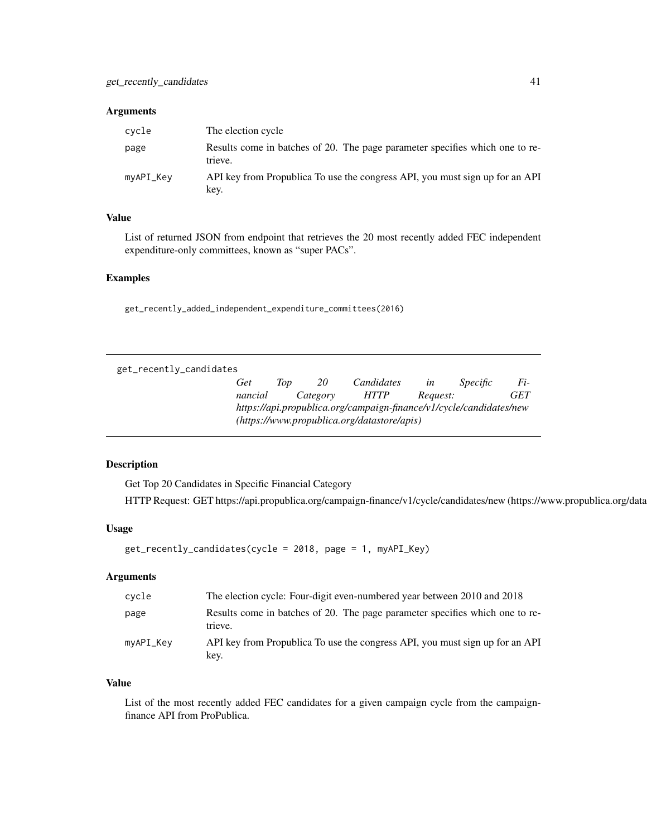| cvcle     | The election cycle                                                                      |
|-----------|-----------------------------------------------------------------------------------------|
| page      | Results come in batches of 20. The page parameter specifies which one to re-<br>trieve. |
| myAPI_Key | API key from Propublica To use the congress API, you must sign up for an API<br>key.    |

## Value

List of returned JSON from endpoint that retrieves the 20 most recently added FEC independent expenditure-only committees, known as "super PACs".

# Examples

get\_recently\_added\_independent\_expenditure\_committees(2016)

| get_recently_candidates |                                                                     |     |          |                                             |          |          |     |
|-------------------------|---------------------------------------------------------------------|-----|----------|---------------------------------------------|----------|----------|-----|
|                         | Get                                                                 | Top | 20       | Candidates                                  | in       | Specific | Fi- |
|                         | nancial                                                             |     | Category | <i>HTTP</i>                                 | Request: |          | GET |
|                         | https://api.propublica.org/campaign-finance/v1/cycle/candidates/new |     |          |                                             |          |          |     |
|                         |                                                                     |     |          | (https://www.propublica.org/datastore/apis) |          |          |     |

# Description

Get Top 20 Candidates in Specific Financial Category HTTP Request: GET https://api.propublica.org/campaign-finance/v1/cycle/candidates/new (https://www.propublica.org/data

## Usage

```
get_recently_candidates(cycle = 2018, page = 1, myAPI_Key)
```
## Arguments

| cvcle     | The election cycle: Four-digit even-numbered year between 2010 and 2018                 |
|-----------|-----------------------------------------------------------------------------------------|
| page      | Results come in batches of 20. The page parameter specifies which one to re-<br>trieve. |
| myAPI_Key | API key from Propublica To use the congress API, you must sign up for an API<br>key.    |

### Value

List of the most recently added FEC candidates for a given campaign cycle from the campaignfinance API from ProPublica.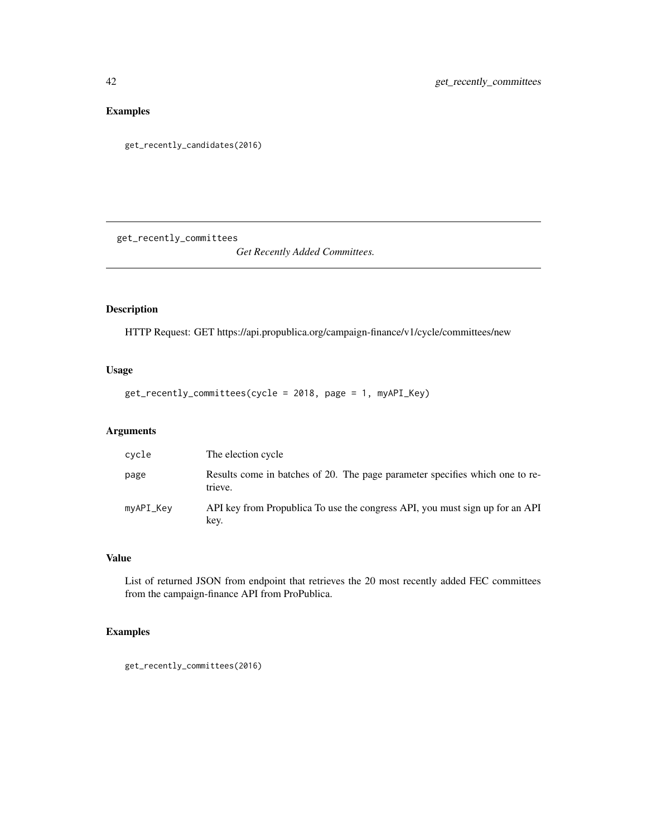# Examples

get\_recently\_candidates(2016)

get\_recently\_committees

*Get Recently Added Committees.*

# Description

HTTP Request: GET https://api.propublica.org/campaign-finance/v1/cycle/committees/new

## Usage

```
get_recently_committees(cycle = 2018, page = 1, myAPI_Key)
```
# Arguments

| cycle     | The election cycle                                                                      |
|-----------|-----------------------------------------------------------------------------------------|
| page      | Results come in batches of 20. The page parameter specifies which one to re-<br>trieve. |
| myAPI_Key | API key from Propublica To use the congress API, you must sign up for an API<br>key.    |

# Value

List of returned JSON from endpoint that retrieves the 20 most recently added FEC committees from the campaign-finance API from ProPublica.

## Examples

get\_recently\_committees(2016)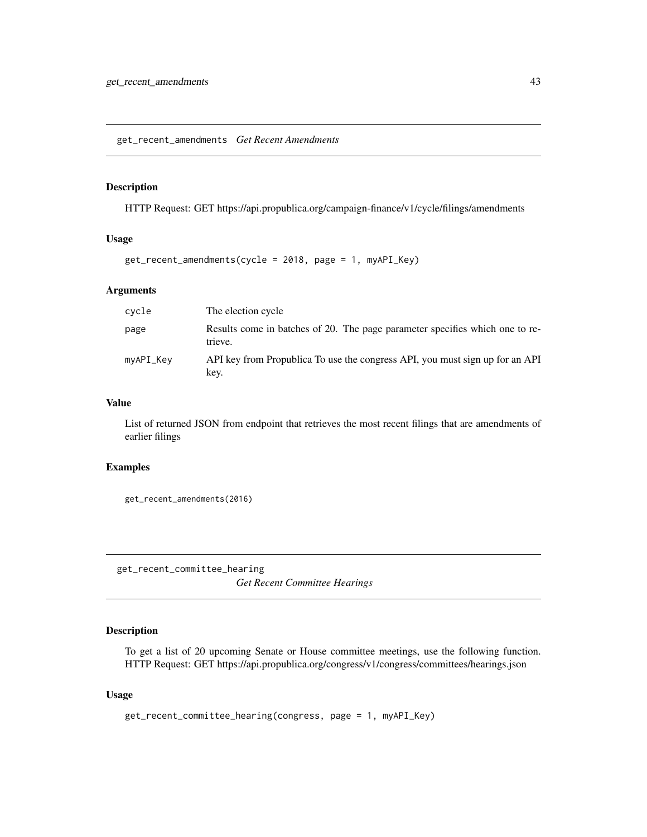get\_recent\_amendments *Get Recent Amendments*

### Description

HTTP Request: GET https://api.propublica.org/campaign-finance/v1/cycle/filings/amendments

## Usage

```
get_recent_amendments(cycle = 2018, page = 1, myAPI_Key)
```
## Arguments

| cycle     | The election cycle                                                                      |
|-----------|-----------------------------------------------------------------------------------------|
| page      | Results come in batches of 20. The page parameter specifies which one to re-<br>trieve. |
| myAPI_Key | API key from Propublica To use the congress API, you must sign up for an API<br>key.    |

## Value

List of returned JSON from endpoint that retrieves the most recent filings that are amendments of earlier filings

## Examples

get\_recent\_amendments(2016)

get\_recent\_committee\_hearing *Get Recent Committee Hearings*

## Description

To get a list of 20 upcoming Senate or House committee meetings, use the following function. HTTP Request: GET https://api.propublica.org/congress/v1/congress/committees/hearings.json

```
get_recent_committee_hearing(congress, page = 1, myAPI_Key)
```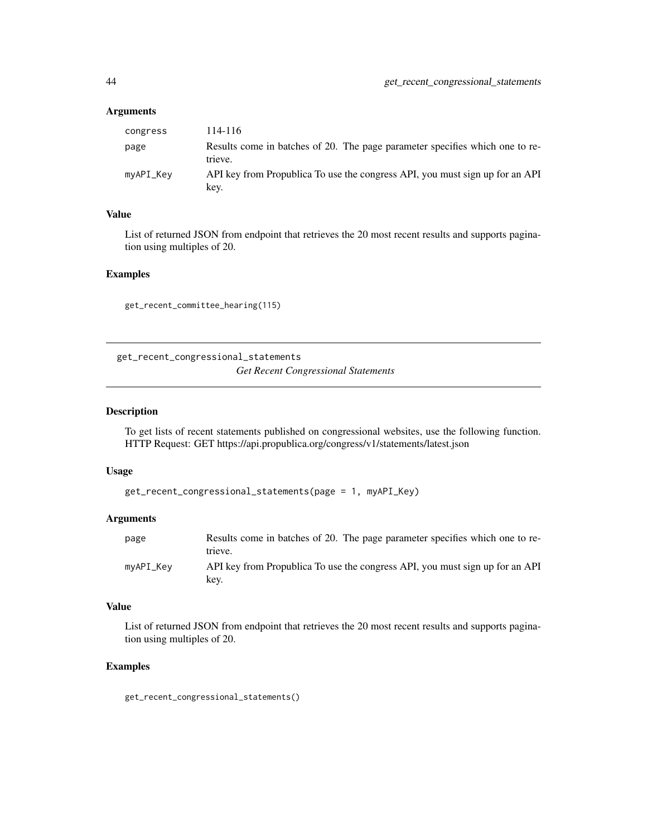| congress  | 114-116                                                                                 |
|-----------|-----------------------------------------------------------------------------------------|
| page      | Results come in batches of 20. The page parameter specifies which one to re-<br>trieve. |
| myAPI_Key | API key from Propublica To use the congress API, you must sign up for an API<br>key.    |

### Value

List of returned JSON from endpoint that retrieves the 20 most recent results and supports pagination using multiples of 20.

### Examples

get\_recent\_committee\_hearing(115)

get\_recent\_congressional\_statements *Get Recent Congressional Statements*

### Description

To get lists of recent statements published on congressional websites, use the following function. HTTP Request: GET https://api.propublica.org/congress/v1/statements/latest.json

#### Usage

```
get_recent_congressional_statements(page = 1, myAPI_Key)
```
#### Arguments

| page      | Results come in batches of 20. The page parameter specifies which one to re-<br>trieve. |
|-----------|-----------------------------------------------------------------------------------------|
| mvAPI Kev | API key from Propublica To use the congress API, you must sign up for an API<br>kev.    |

### Value

List of returned JSON from endpoint that retrieves the 20 most recent results and supports pagination using multiples of 20.

#### Examples

get\_recent\_congressional\_statements()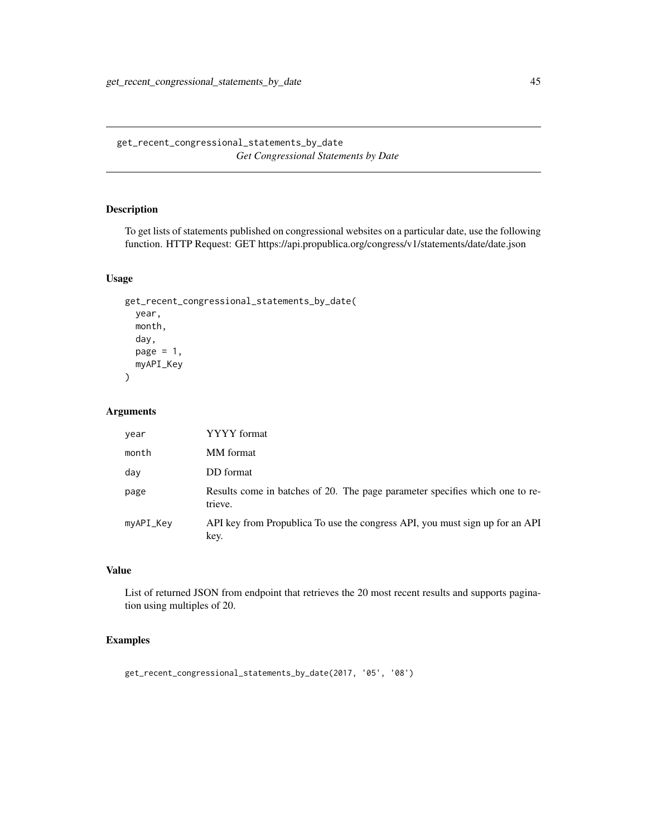get\_recent\_congressional\_statements\_by\_date *Get Congressional Statements by Date*

## Description

To get lists of statements published on congressional websites on a particular date, use the following function. HTTP Request: GET https://api.propublica.org/congress/v1/statements/date/date.json

## Usage

```
get_recent_congressional_statements_by_date(
 year,
 month,
 day,
 page = 1,
 myAPI_Key
)
```
## Arguments

| year      | YYYY format                                                                             |
|-----------|-----------------------------------------------------------------------------------------|
| month     | MM format                                                                               |
| day       | DD format                                                                               |
| page      | Results come in batches of 20. The page parameter specifies which one to re-<br>trieve. |
| myAPI_Key | API key from Propublica To use the congress API, you must sign up for an API<br>key.    |

# Value

List of returned JSON from endpoint that retrieves the 20 most recent results and supports pagination using multiples of 20.

## Examples

get\_recent\_congressional\_statements\_by\_date(2017, '05', '08')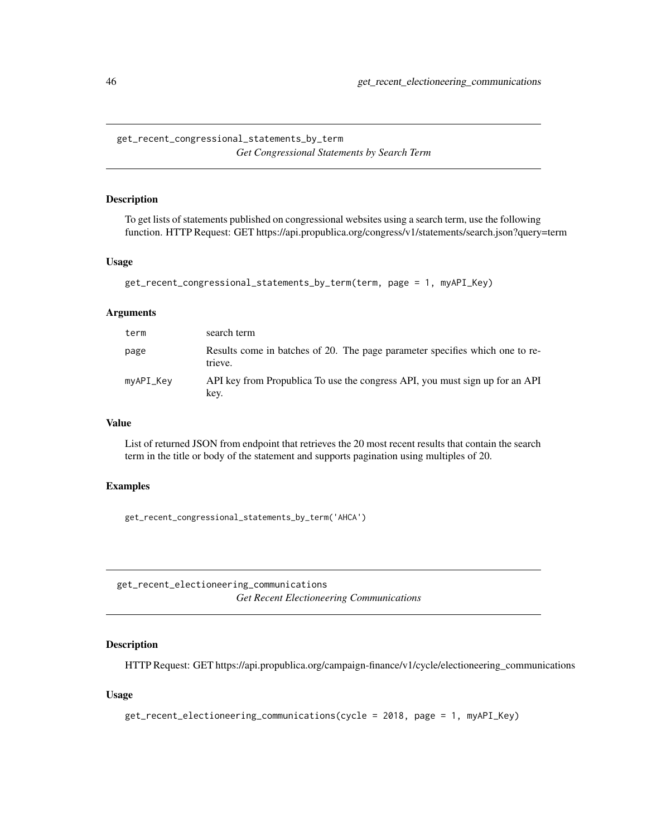get\_recent\_congressional\_statements\_by\_term *Get Congressional Statements by Search Term*

#### Description

To get lists of statements published on congressional websites using a search term, use the following function. HTTP Request: GET https://api.propublica.org/congress/v1/statements/search.json?query=term

#### Usage

```
get_recent_congressional_statements_by_term(term, page = 1, myAPI_Key)
```
### Arguments

| term      | search term                                                                             |
|-----------|-----------------------------------------------------------------------------------------|
| page      | Results come in batches of 20. The page parameter specifies which one to re-<br>trieve. |
| myAPI_Key | API key from Propublica To use the congress API, you must sign up for an API<br>key.    |

### Value

List of returned JSON from endpoint that retrieves the 20 most recent results that contain the search term in the title or body of the statement and supports pagination using multiples of 20.

#### Examples

get\_recent\_congressional\_statements\_by\_term('AHCA')

get\_recent\_electioneering\_communications *Get Recent Electioneering Communications*

## Description

HTTP Request: GET https://api.propublica.org/campaign-finance/v1/cycle/electioneering\_communications

```
get_recent_electioneering_communications(cycle = 2018, page = 1, myAPI_Key)
```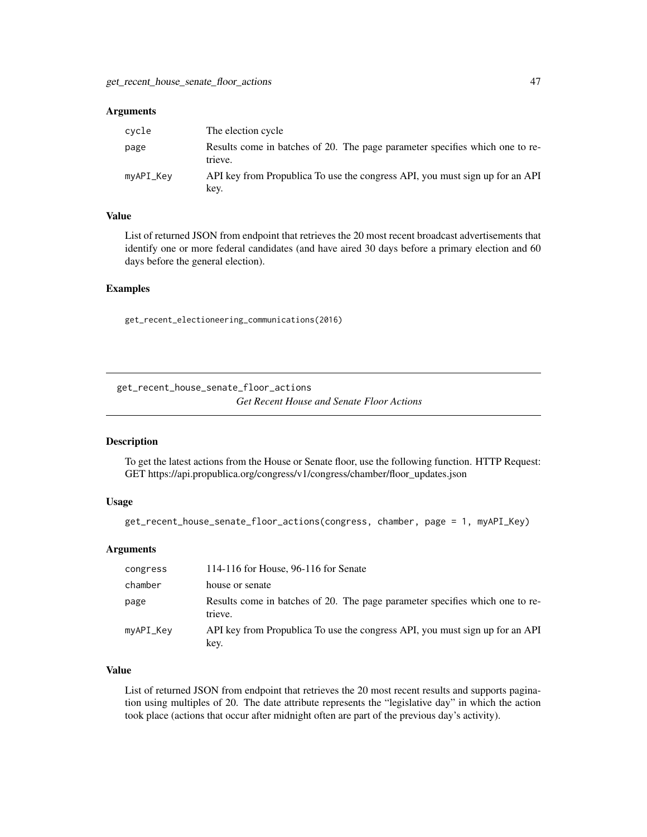| cvcle     | The election cycle                                                                      |
|-----------|-----------------------------------------------------------------------------------------|
| page      | Results come in batches of 20. The page parameter specifies which one to re-<br>trieve. |
| myAPI_Key | API key from Propublica To use the congress API, you must sign up for an API<br>key.    |

## Value

List of returned JSON from endpoint that retrieves the 20 most recent broadcast advertisements that identify one or more federal candidates (and have aired 30 days before a primary election and 60 days before the general election).

#### Examples

get\_recent\_electioneering\_communications(2016)

get\_recent\_house\_senate\_floor\_actions *Get Recent House and Senate Floor Actions*

## Description

To get the latest actions from the House or Senate floor, use the following function. HTTP Request: GET https://api.propublica.org/congress/v1/congress/chamber/floor\_updates.json

### Usage

```
get_recent_house_senate_floor_actions(congress, chamber, page = 1, myAPI_Key)
```
### Arguments

| congress  | 114-116 for House, 96-116 for Senate                                                    |
|-----------|-----------------------------------------------------------------------------------------|
| chamber   | house or senate                                                                         |
| page      | Results come in batches of 20. The page parameter specifies which one to re-<br>trieve. |
| myAPI_Key | API key from Propublica To use the congress API, you must sign up for an API<br>key.    |

## Value

List of returned JSON from endpoint that retrieves the 20 most recent results and supports pagination using multiples of 20. The date attribute represents the "legislative day" in which the action took place (actions that occur after midnight often are part of the previous day's activity).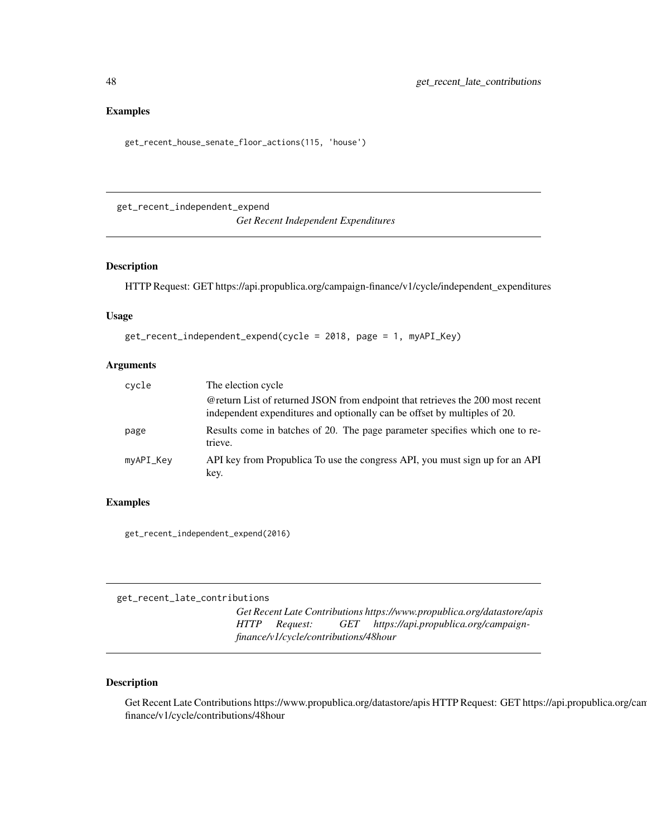### Examples

```
get_recent_house_senate_floor_actions(115, 'house')
```
get\_recent\_independent\_expend

*Get Recent Independent Expenditures*

### Description

HTTP Request: GET https://api.propublica.org/campaign-finance/v1/cycle/independent\_expenditures

## Usage

```
get_recent_independent_expend(cycle = 2018, page = 1, myAPI_Key)
```
## Arguments

| cycle     | The election cycle                                                                                                                                          |
|-----------|-------------------------------------------------------------------------------------------------------------------------------------------------------------|
|           | @return List of returned JSON from endpoint that retrieves the 200 most recent<br>independent expenditures and optionally can be offset by multiples of 20. |
| page      | Results come in batches of 20. The page parameter specifies which one to re-<br>trieve.                                                                     |
| myAPI_Key | API key from Propublica To use the congress API, you must sign up for an API<br>key.                                                                        |

#### Examples

get\_recent\_independent\_expend(2016)

get\_recent\_late\_contributions

*Get Recent Late Contributions https://www.propublica.org/datastore/apis HTTP Request: GET https://api.propublica.org/campaignfinance/v1/cycle/contributions/48hour*

### Description

Get Recent Late Contributions https://www.propublica.org/datastore/apis HTTP Request: GET https://api.propublica.org/can finance/v1/cycle/contributions/48hour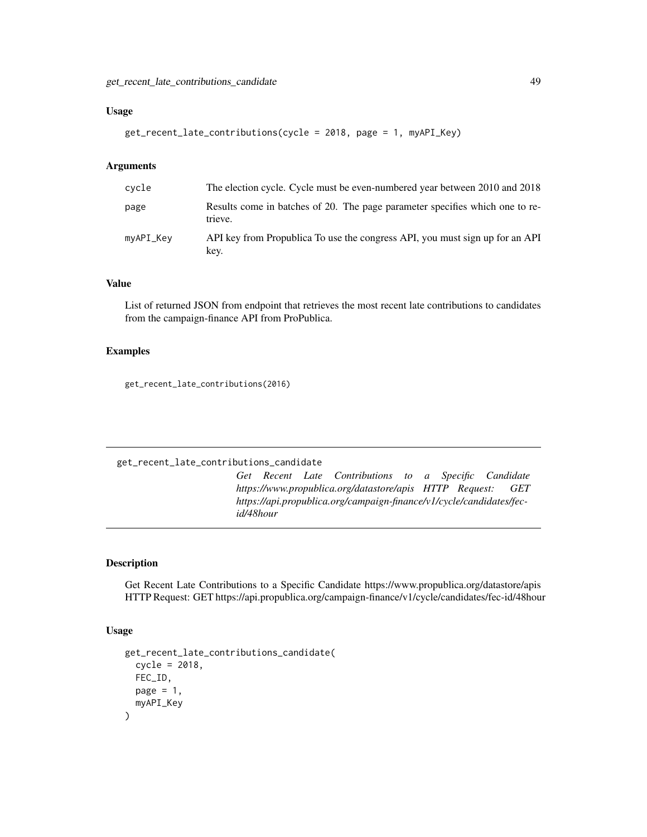## Usage

```
get_recent_late_contributions(cycle = 2018, page = 1, myAPI_Key)
```
### Arguments

| cvcle     | The election cycle. Cycle must be even-numbered year between 2010 and 2018              |
|-----------|-----------------------------------------------------------------------------------------|
| page      | Results come in batches of 20. The page parameter specifies which one to re-<br>trieve. |
| myAPI_Key | API key from Propublica To use the congress API, you must sign up for an API<br>key.    |

### Value

List of returned JSON from endpoint that retrieves the most recent late contributions to candidates from the campaign-finance API from ProPublica.

### Examples

get\_recent\_late\_contributions(2016)

#### get\_recent\_late\_contributions\_candidate

*Get Recent Late Contributions to a Specific Candidate https://www.propublica.org/datastore/apis HTTP Request: GET https://api.propublica.org/campaign-finance/v1/cycle/candidates/fecid/48hour*

## Description

Get Recent Late Contributions to a Specific Candidate https://www.propublica.org/datastore/apis HTTP Request: GET https://api.propublica.org/campaign-finance/v1/cycle/candidates/fec-id/48hour

```
get_recent_late_contributions_candidate(
 cycle = 2018,
 FEC_ID,
 page = 1,
 myAPI_Key
)
```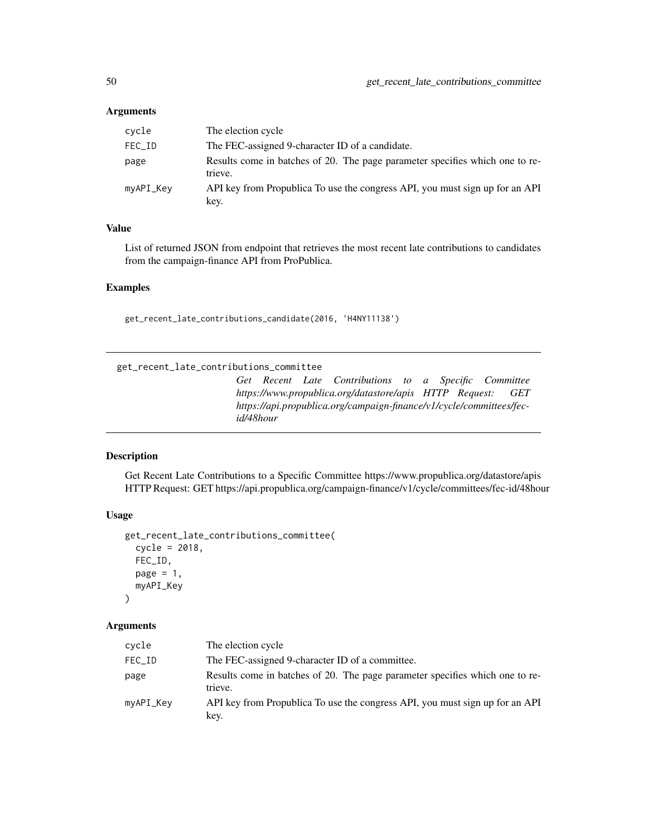| cycle     | The election cycle                                                                      |
|-----------|-----------------------------------------------------------------------------------------|
| FEC_ID    | The FEC-assigned 9-character ID of a candidate.                                         |
| page      | Results come in batches of 20. The page parameter specifies which one to re-<br>trieve. |
| myAPI_Key | API key from Propublica To use the congress API, you must sign up for an API<br>key.    |

## Value

List of returned JSON from endpoint that retrieves the most recent late contributions to candidates from the campaign-finance API from ProPublica.

#### Examples

get\_recent\_late\_contributions\_candidate(2016, 'H4NY11138')

get\_recent\_late\_contributions\_committee

*Get Recent Late Contributions to a Specific Committee https://www.propublica.org/datastore/apis HTTP Request: GET https://api.propublica.org/campaign-finance/v1/cycle/committees/fecid/48hour*

### Description

Get Recent Late Contributions to a Specific Committee https://www.propublica.org/datastore/apis HTTP Request: GET https://api.propublica.org/campaign-finance/v1/cycle/committees/fec-id/48hour

### Usage

```
get_recent_late_contributions_committee(
  cycle = 2018,
  FEC_ID,
 page = 1,
  myAPI_Key
\mathcal{L}
```
### Arguments

| cycle     | The election cycle                                                                      |
|-----------|-----------------------------------------------------------------------------------------|
| FEC_ID    | The FEC-assigned 9-character ID of a committee.                                         |
| page      | Results come in batches of 20. The page parameter specifies which one to re-<br>trieve. |
| myAPI_Key | API key from Propublica To use the congress API, you must sign up for an API<br>key.    |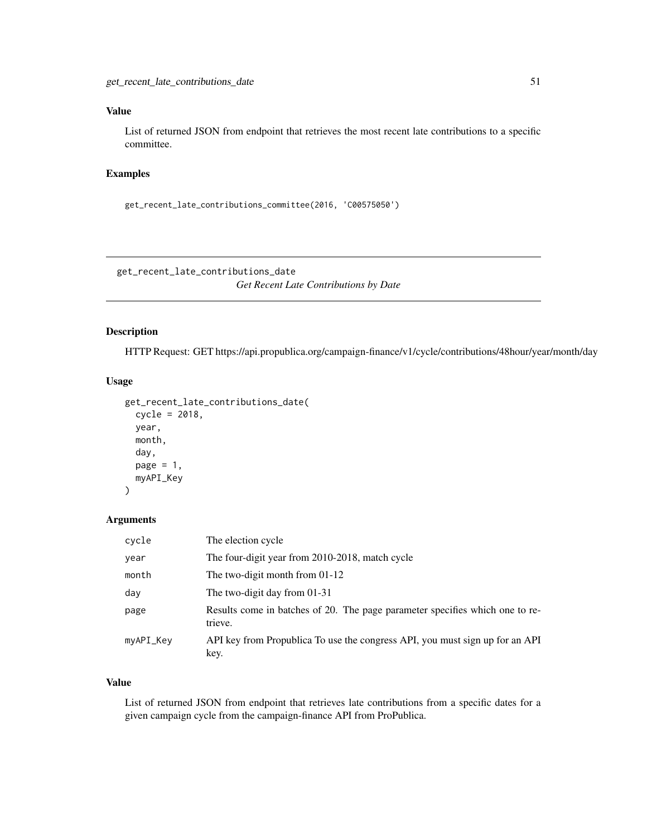# Value

List of returned JSON from endpoint that retrieves the most recent late contributions to a specific committee.

## Examples

```
get_recent_late_contributions_committee(2016, 'C00575050')
```
get\_recent\_late\_contributions\_date

*Get Recent Late Contributions by Date*

## Description

HTTP Request: GET https://api.propublica.org/campaign-finance/v1/cycle/contributions/48hour/year/month/day

#### Usage

```
get_recent_late_contributions_date(
  cycle = 2018,
 year,
 month,
  day,
 page = 1,
 myAPI_Key
\lambda
```
## Arguments

| cycle     | The election cycle                                                                      |
|-----------|-----------------------------------------------------------------------------------------|
| year      | The four-digit year from 2010-2018, match cycle                                         |
| month     | The two-digit month from $01-12$                                                        |
| day       | The two-digit day from 01-31                                                            |
| page      | Results come in batches of 20. The page parameter specifies which one to re-<br>trieve. |
| myAPI_Key | API key from Propublica To use the congress API, you must sign up for an API<br>key.    |

#### Value

List of returned JSON from endpoint that retrieves late contributions from a specific dates for a given campaign cycle from the campaign-finance API from ProPublica.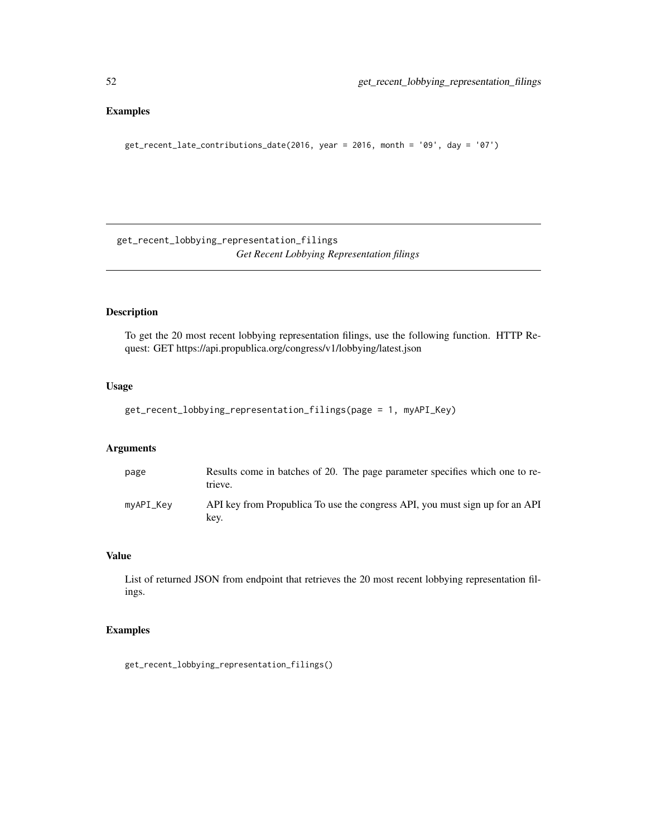## Examples

get\_recent\_late\_contributions\_date(2016, year = 2016, month = '09', day = '07')

get\_recent\_lobbying\_representation\_filings *Get Recent Lobbying Representation filings*

## Description

To get the 20 most recent lobbying representation filings, use the following function. HTTP Request: GET https://api.propublica.org/congress/v1/lobbying/latest.json

## Usage

```
get_recent_lobbying_representation_filings(page = 1, myAPI_Key)
```
## Arguments

| page      | Results come in batches of 20. The page parameter specifies which one to re-<br>trieve. |
|-----------|-----------------------------------------------------------------------------------------|
| myAPI_Key | API key from Propublica To use the congress API, you must sign up for an API<br>kev.    |

## Value

List of returned JSON from endpoint that retrieves the 20 most recent lobbying representation filings.

## Examples

get\_recent\_lobbying\_representation\_filings()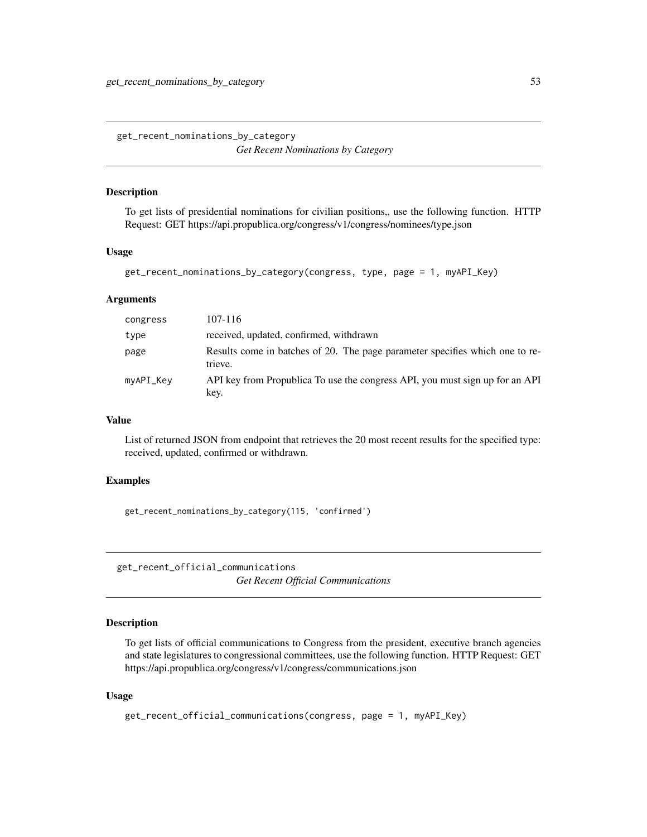get\_recent\_nominations\_by\_category *Get Recent Nominations by Category*

## Description

To get lists of presidential nominations for civilian positions, use the following function. HTTP Request: GET https://api.propublica.org/congress/v1/congress/nominees/type.json

#### Usage

```
get_recent_nominations_by_category(congress, type, page = 1, myAPI_Key)
```
#### Arguments

| congress  | 107-116                                                                                 |
|-----------|-----------------------------------------------------------------------------------------|
| type      | received, updated, confirmed, withdrawn                                                 |
| page      | Results come in batches of 20. The page parameter specifies which one to re-<br>trieve. |
| myAPI_Key | API key from Propublica To use the congress API, you must sign up for an API<br>key.    |

#### Value

List of returned JSON from endpoint that retrieves the 20 most recent results for the specified type: received, updated, confirmed or withdrawn.

### Examples

get\_recent\_nominations\_by\_category(115, 'confirmed')

get\_recent\_official\_communications *Get Recent Official Communications*

# Description

To get lists of official communications to Congress from the president, executive branch agencies and state legislatures to congressional committees, use the following function. HTTP Request: GET https://api.propublica.org/congress/v1/congress/communications.json

```
get_recent_official_communications(congress, page = 1, myAPI_Key)
```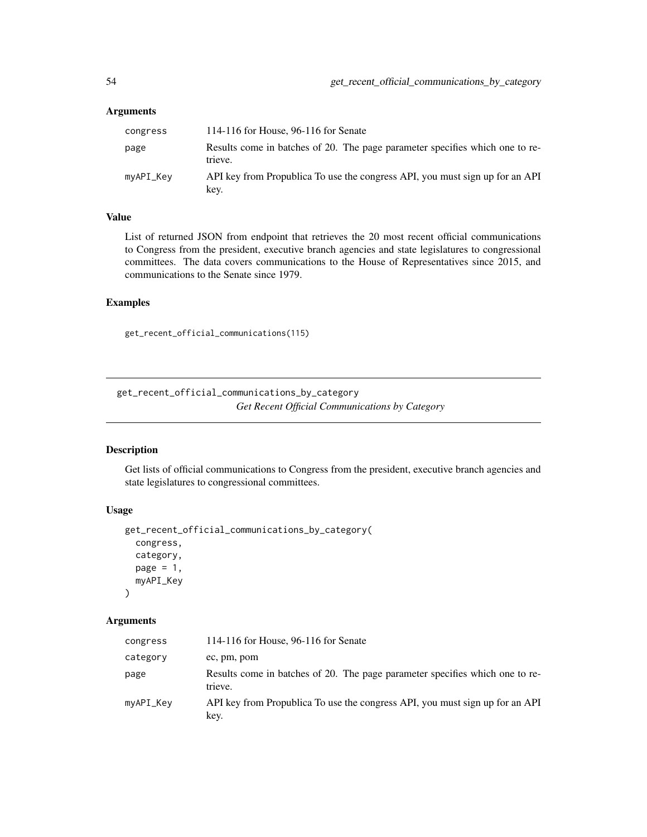| congress  | 114-116 for House, 96-116 for Senate                                                    |
|-----------|-----------------------------------------------------------------------------------------|
| page      | Results come in batches of 20. The page parameter specifies which one to re-<br>trieve. |
| myAPI_Key | API key from Propublica To use the congress API, you must sign up for an API<br>key.    |

## Value

List of returned JSON from endpoint that retrieves the 20 most recent official communications to Congress from the president, executive branch agencies and state legislatures to congressional committees. The data covers communications to the House of Representatives since 2015, and communications to the Senate since 1979.

## Examples

```
get_recent_official_communications(115)
```
get\_recent\_official\_communications\_by\_category *Get Recent Official Communications by Category*

### Description

Get lists of official communications to Congress from the president, executive branch agencies and state legislatures to congressional committees.

#### Usage

```
get_recent_official_communications_by_category(
  congress,
  category,
  page = 1,
  myAPI_Key
\mathcal{L}
```
### Arguments

| congress  | 114-116 for House, 96-116 for Senate                                                    |
|-----------|-----------------------------------------------------------------------------------------|
| category  | ec, pm, pom                                                                             |
| page      | Results come in batches of 20. The page parameter specifies which one to re-<br>trieve. |
| myAPI_Key | API key from Propublica To use the congress API, you must sign up for an API<br>key.    |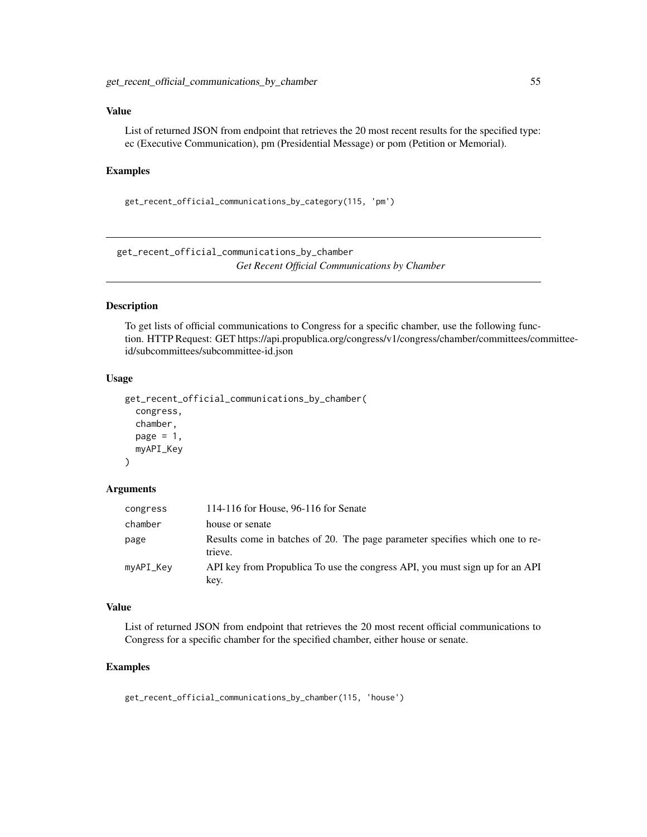### Value

List of returned JSON from endpoint that retrieves the 20 most recent results for the specified type: ec (Executive Communication), pm (Presidential Message) or pom (Petition or Memorial).

### Examples

get\_recent\_official\_communications\_by\_category(115, 'pm')

get\_recent\_official\_communications\_by\_chamber *Get Recent Official Communications by Chamber*

### Description

To get lists of official communications to Congress for a specific chamber, use the following function. HTTP Request: GET https://api.propublica.org/congress/v1/congress/chamber/committees/committeeid/subcommittees/subcommittee-id.json

#### Usage

```
get_recent_official_communications_by_chamber(
  congress,
  chamber,
  page = 1,
  myAPI_Key
)
```
# Arguments

| congress  | 114-116 for House, 96-116 for Senate                                                    |
|-----------|-----------------------------------------------------------------------------------------|
| chamber   | house or senate                                                                         |
| page      | Results come in batches of 20. The page parameter specifies which one to re-<br>trieve. |
| myAPI_Key | API key from Propublica To use the congress API, you must sign up for an API<br>key.    |

### Value

List of returned JSON from endpoint that retrieves the 20 most recent official communications to Congress for a specific chamber for the specified chamber, either house or senate.

#### Examples

get\_recent\_official\_communications\_by\_chamber(115, 'house')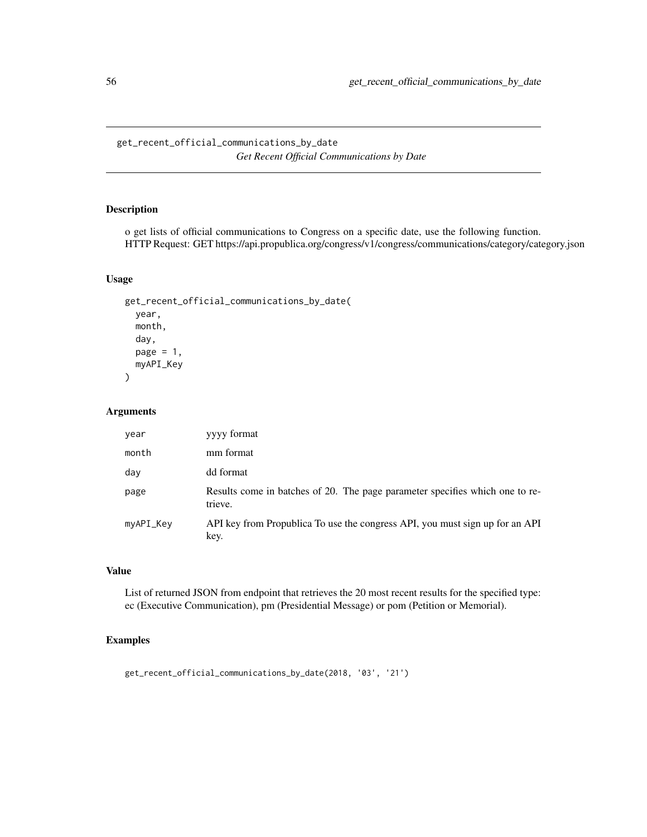get\_recent\_official\_communications\_by\_date *Get Recent Official Communications by Date*

## Description

o get lists of official communications to Congress on a specific date, use the following function. HTTP Request: GET https://api.propublica.org/congress/v1/congress/communications/category/category.json

## Usage

```
get_recent_official_communications_by_date(
 year,
  month,
  day,
 page = 1,
 myAPI_Key
)
```
### Arguments

| year      | yyyy format                                                                             |
|-----------|-----------------------------------------------------------------------------------------|
| month     | mm format                                                                               |
| day       | dd format                                                                               |
| page      | Results come in batches of 20. The page parameter specifies which one to re-<br>trieve. |
| myAPI_Key | API key from Propublica To use the congress API, you must sign up for an API<br>key.    |

## Value

List of returned JSON from endpoint that retrieves the 20 most recent results for the specified type: ec (Executive Communication), pm (Presidential Message) or pom (Petition or Memorial).

## Examples

get\_recent\_official\_communications\_by\_date(2018, '03', '21')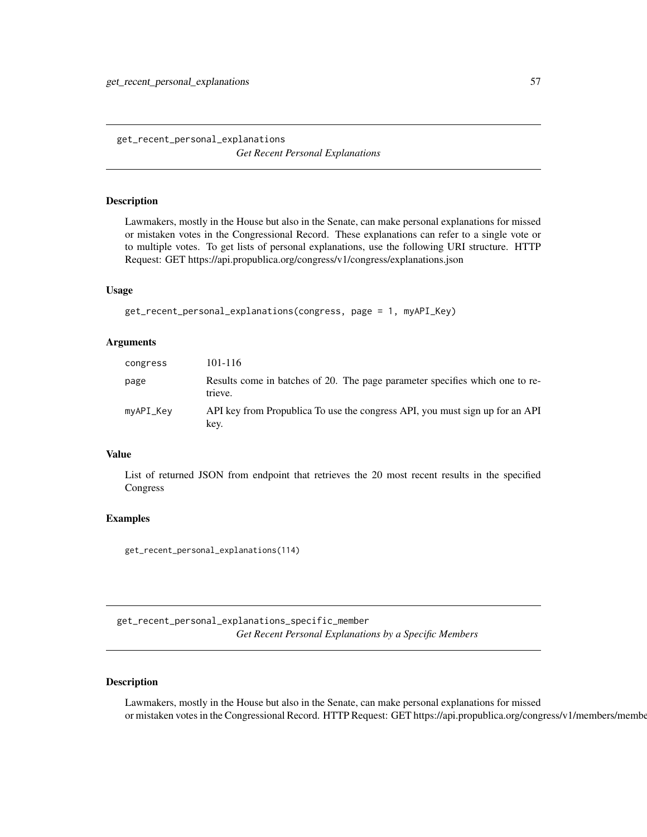get\_recent\_personal\_explanations *Get Recent Personal Explanations*

### Description

Lawmakers, mostly in the House but also in the Senate, can make personal explanations for missed or mistaken votes in the Congressional Record. These explanations can refer to a single vote or to multiple votes. To get lists of personal explanations, use the following URI structure. HTTP Request: GET https://api.propublica.org/congress/v1/congress/explanations.json

### Usage

```
get_recent_personal_explanations(congress, page = 1, myAPI_Key)
```
#### Arguments

| congress  | 101-116                                                                                 |
|-----------|-----------------------------------------------------------------------------------------|
| page      | Results come in batches of 20. The page parameter specifies which one to re-<br>trieve. |
| myAPI_Key | API key from Propublica To use the congress API, you must sign up for an API<br>kev.    |

### Value

List of returned JSON from endpoint that retrieves the 20 most recent results in the specified Congress

#### Examples

get\_recent\_personal\_explanations(114)

get\_recent\_personal\_explanations\_specific\_member *Get Recent Personal Explanations by a Specific Members*

## Description

Lawmakers, mostly in the House but also in the Senate, can make personal explanations for missed or mistaken votes in the Congressional Record. HTTP Request: GET https://api.propublica.org/congress/v1/members/membe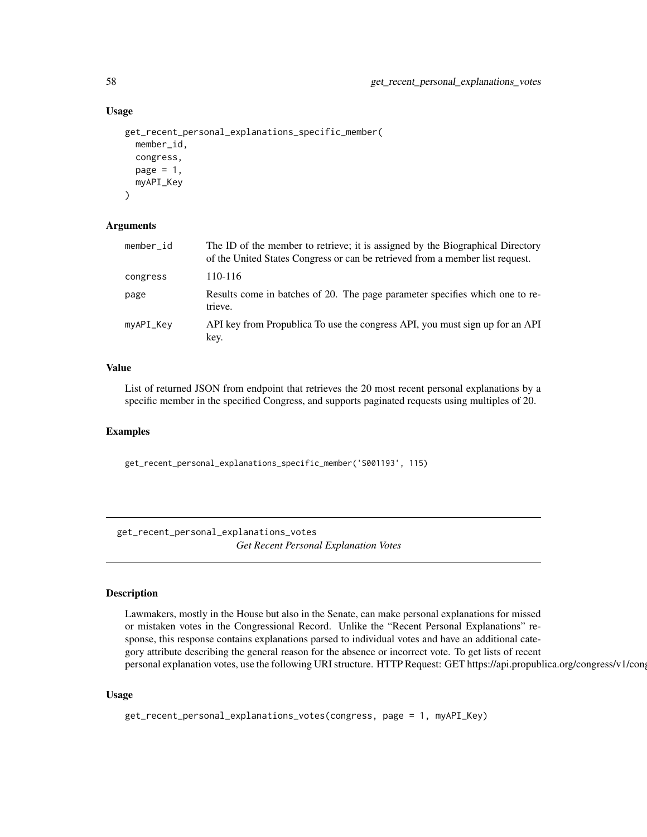#### Usage

```
get_recent_personal_explanations_specific_member(
 member_id,
  congress,
 page = 1,
 myAPI_Key
)
```
#### Arguments

| member_id | The ID of the member to retrieve; it is assigned by the Biographical Directory<br>of the United States Congress or can be retrieved from a member list request. |
|-----------|-----------------------------------------------------------------------------------------------------------------------------------------------------------------|
| congress  | 110-116                                                                                                                                                         |
| page      | Results come in batches of 20. The page parameter specifies which one to re-<br>trieve.                                                                         |
| myAPI_Key | API key from Propublica To use the congress API, you must sign up for an API<br>key.                                                                            |

## Value

List of returned JSON from endpoint that retrieves the 20 most recent personal explanations by a specific member in the specified Congress, and supports paginated requests using multiples of 20.

#### Examples

get\_recent\_personal\_explanations\_specific\_member('S001193', 115)

get\_recent\_personal\_explanations\_votes *Get Recent Personal Explanation Votes*

### Description

Lawmakers, mostly in the House but also in the Senate, can make personal explanations for missed or mistaken votes in the Congressional Record. Unlike the "Recent Personal Explanations" response, this response contains explanations parsed to individual votes and have an additional category attribute describing the general reason for the absence or incorrect vote. To get lists of recent personal explanation votes, use the following URI structure. HTTP Request: GET https://api.propublica.org/congress/v1/cong

```
get_recent_personal_explanations_votes(congress, page = 1, myAPI_Key)
```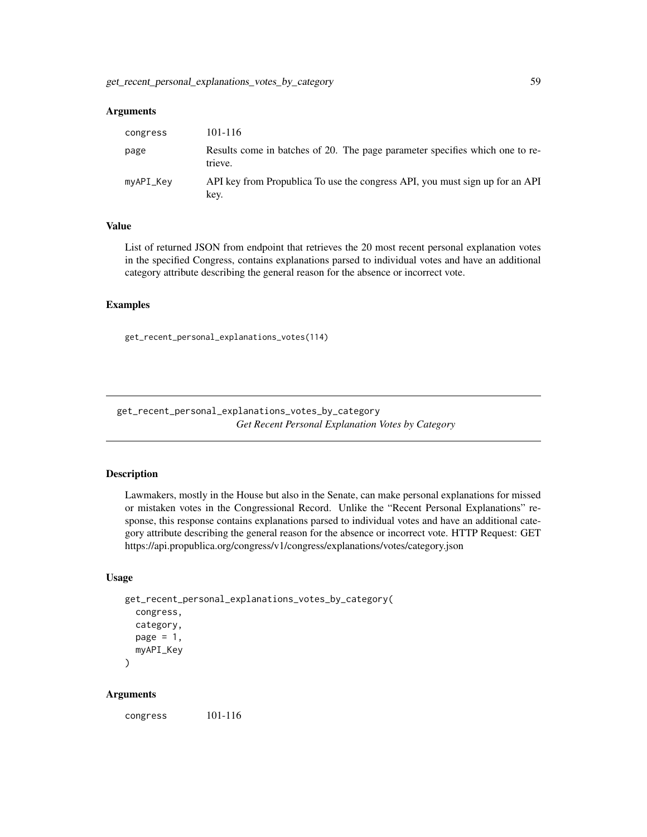| congress  | 101-116                                                                                 |
|-----------|-----------------------------------------------------------------------------------------|
| page      | Results come in batches of 20. The page parameter specifies which one to re-<br>trieve. |
| myAPI_Key | API key from Propublica To use the congress API, you must sign up for an API<br>key.    |

### Value

List of returned JSON from endpoint that retrieves the 20 most recent personal explanation votes in the specified Congress, contains explanations parsed to individual votes and have an additional category attribute describing the general reason for the absence or incorrect vote.

#### Examples

get\_recent\_personal\_explanations\_votes(114)

get\_recent\_personal\_explanations\_votes\_by\_category *Get Recent Personal Explanation Votes by Category*

#### Description

Lawmakers, mostly in the House but also in the Senate, can make personal explanations for missed or mistaken votes in the Congressional Record. Unlike the "Recent Personal Explanations" response, this response contains explanations parsed to individual votes and have an additional category attribute describing the general reason for the absence or incorrect vote. HTTP Request: GET https://api.propublica.org/congress/v1/congress/explanations/votes/category.json

### Usage

```
get_recent_personal_explanations_votes_by_category(
  congress,
  category,
  page = 1,
  myAPI_Key
)
```
### Arguments

congress 101-116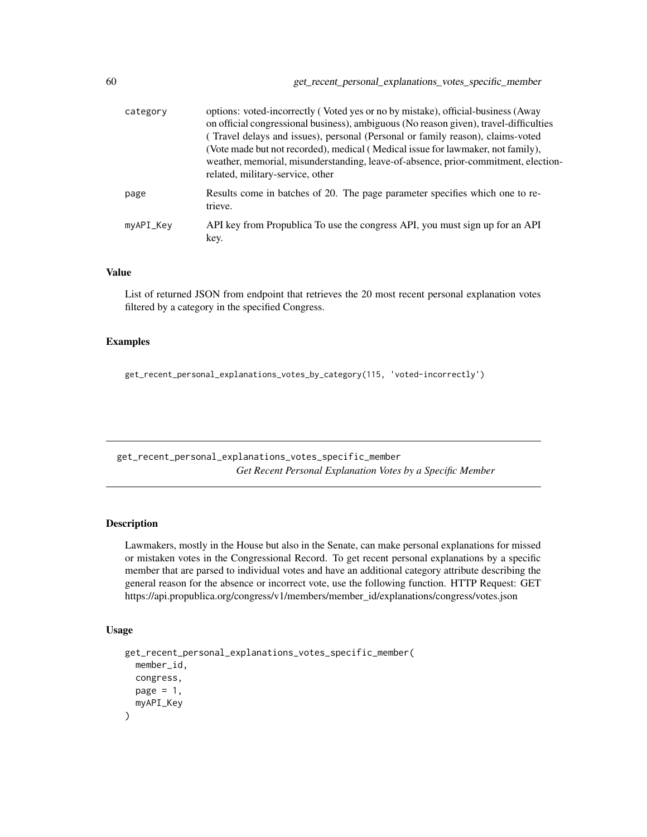| category  | options: voted-incorrectly (Voted yes or no by mistake), official-business (Away<br>on official congressional business), ambiguous (No reason given), travel-difficulties<br>(Travel delays and issues), personal (Personal or family reason), claims-voted<br>(Vote made but not recorded), medical (Medical issue for lawmaker, not family),<br>weather, memorial, misunderstanding, leave-of-absence, prior-commitment, election-<br>related, military-service, other |
|-----------|--------------------------------------------------------------------------------------------------------------------------------------------------------------------------------------------------------------------------------------------------------------------------------------------------------------------------------------------------------------------------------------------------------------------------------------------------------------------------|
| page      | Results come in batches of 20. The page parameter specifies which one to re-<br>trieve.                                                                                                                                                                                                                                                                                                                                                                                  |
| myAPI_Key | API key from Propublica To use the congress API, you must sign up for an API<br>key.                                                                                                                                                                                                                                                                                                                                                                                     |

### Value

List of returned JSON from endpoint that retrieves the 20 most recent personal explanation votes filtered by a category in the specified Congress.

#### Examples

get\_recent\_personal\_explanations\_votes\_by\_category(115, 'voted-incorrectly')

get\_recent\_personal\_explanations\_votes\_specific\_member *Get Recent Personal Explanation Votes by a Specific Member*

## Description

Lawmakers, mostly in the House but also in the Senate, can make personal explanations for missed or mistaken votes in the Congressional Record. To get recent personal explanations by a specific member that are parsed to individual votes and have an additional category attribute describing the general reason for the absence or incorrect vote, use the following function. HTTP Request: GET https://api.propublica.org/congress/v1/members/member\_id/explanations/congress/votes.json

```
get_recent_personal_explanations_votes_specific_member(
 member_id,
 congress,
 page = 1,
 myAPI_Key
)
```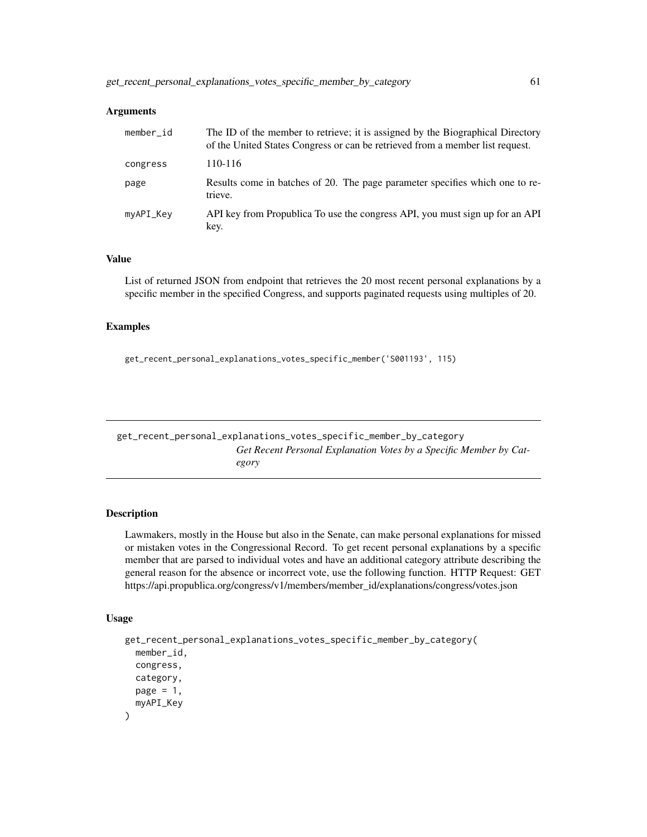| member id | The ID of the member to retrieve; it is assigned by the Biographical Directory<br>of the United States Congress or can be retrieved from a member list request. |
|-----------|-----------------------------------------------------------------------------------------------------------------------------------------------------------------|
| congress  | 110-116                                                                                                                                                         |
| page      | Results come in batches of 20. The page parameter specifies which one to re-<br>trieve.                                                                         |
| myAPI_Key | API key from Propublica To use the congress API, you must sign up for an API<br>key.                                                                            |

#### Value

List of returned JSON from endpoint that retrieves the 20 most recent personal explanations by a specific member in the specified Congress, and supports paginated requests using multiples of 20.

#### Examples

get\_recent\_personal\_explanations\_votes\_specific\_member('S001193', 115)

get\_recent\_personal\_explanations\_votes\_specific\_member\_by\_category *Get Recent Personal Explanation Votes by a Specific Member by Category*

#### Description

Lawmakers, mostly in the House but also in the Senate, can make personal explanations for missed or mistaken votes in the Congressional Record. To get recent personal explanations by a specific member that are parsed to individual votes and have an additional category attribute describing the general reason for the absence or incorrect vote, use the following function. HTTP Request: GET https://api.propublica.org/congress/v1/members/member\_id/explanations/congress/votes.json

```
get_recent_personal_explanations_votes_specific_member_by_category(
 member_id,
 congress,
  category,
 page = 1,
  myAPI_Key
)
```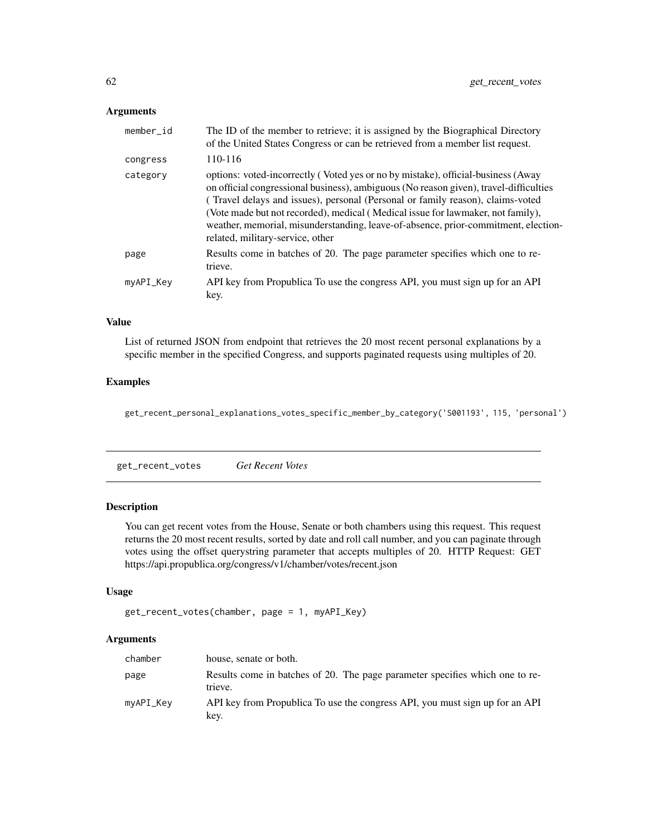| member_id | The ID of the member to retrieve; it is assigned by the Biographical Directory<br>of the United States Congress or can be retrieved from a member list request.                                                                                                                                                                                                                                                                                                          |
|-----------|--------------------------------------------------------------------------------------------------------------------------------------------------------------------------------------------------------------------------------------------------------------------------------------------------------------------------------------------------------------------------------------------------------------------------------------------------------------------------|
| congress  | 110-116                                                                                                                                                                                                                                                                                                                                                                                                                                                                  |
| category  | options: voted-incorrectly (Voted yes or no by mistake), official-business (Away<br>on official congressional business), ambiguous (No reason given), travel-difficulties<br>(Travel delays and issues), personal (Personal or family reason), claims-voted<br>(Vote made but not recorded), medical (Medical issue for lawmaker, not family),<br>weather, memorial, misunderstanding, leave-of-absence, prior-commitment, election-<br>related, military-service, other |
| page      | Results come in batches of 20. The page parameter specifies which one to re-<br>trieve.                                                                                                                                                                                                                                                                                                                                                                                  |
| myAPI_Key | API key from Propublica To use the congress API, you must sign up for an API<br>key.                                                                                                                                                                                                                                                                                                                                                                                     |

# Value

List of returned JSON from endpoint that retrieves the 20 most recent personal explanations by a specific member in the specified Congress, and supports paginated requests using multiples of 20.

#### Examples

get\_recent\_personal\_explanations\_votes\_specific\_member\_by\_category('S001193', 115, 'personal')

get\_recent\_votes *Get Recent Votes*

## Description

You can get recent votes from the House, Senate or both chambers using this request. This request returns the 20 most recent results, sorted by date and roll call number, and you can paginate through votes using the offset querystring parameter that accepts multiples of 20. HTTP Request: GET https://api.propublica.org/congress/v1/chamber/votes/recent.json

## Usage

```
get_recent_votes(chamber, page = 1, myAPI_Key)
```
### Arguments

| chamber   | house, senate or both.                                                                  |
|-----------|-----------------------------------------------------------------------------------------|
| page      | Results come in batches of 20. The page parameter specifies which one to re-<br>trieve. |
| myAPI_Key | API key from Propublica To use the congress API, you must sign up for an API<br>kev.    |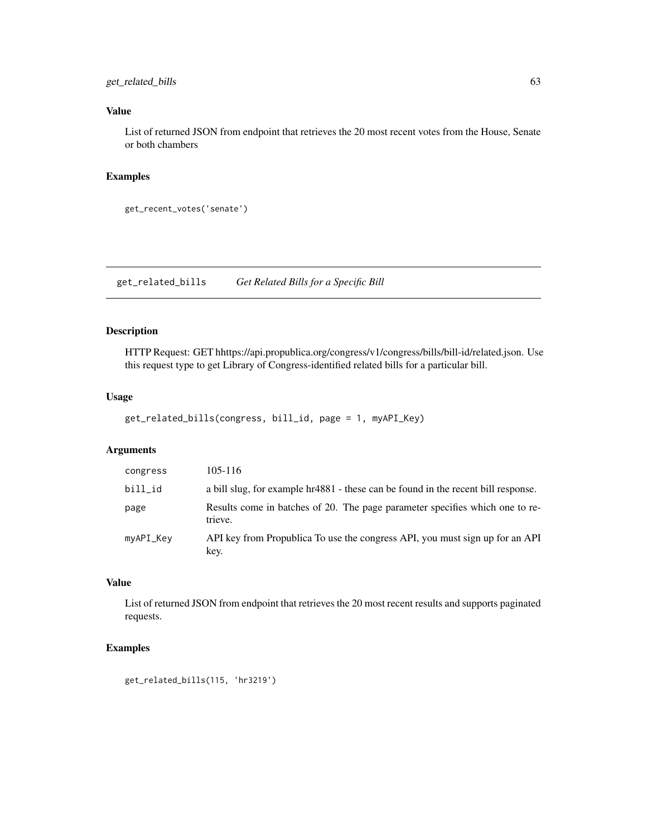## get\_related\_bills 63

## Value

List of returned JSON from endpoint that retrieves the 20 most recent votes from the House, Senate or both chambers

### Examples

```
get_recent_votes('senate')
```
get\_related\_bills *Get Related Bills for a Specific Bill*

# Description

HTTP Request: GET hhttps://api.propublica.org/congress/v1/congress/bills/bill-id/related.json. Use this request type to get Library of Congress-identified related bills for a particular bill.

## Usage

```
get_related_bills(congress, bill_id, page = 1, myAPI_Key)
```
### Arguments

| congress  | 105-116                                                                                 |
|-----------|-----------------------------------------------------------------------------------------|
| bill_id   | a bill slug, for example hr4881 - these can be found in the recent bill response.       |
| page      | Results come in batches of 20. The page parameter specifies which one to re-<br>trieve. |
| myAPI_Key | API key from Propublica To use the congress API, you must sign up for an API<br>key.    |

## Value

List of returned JSON from endpoint that retrieves the 20 most recent results and supports paginated requests.

## Examples

get\_related\_bills(115, 'hr3219')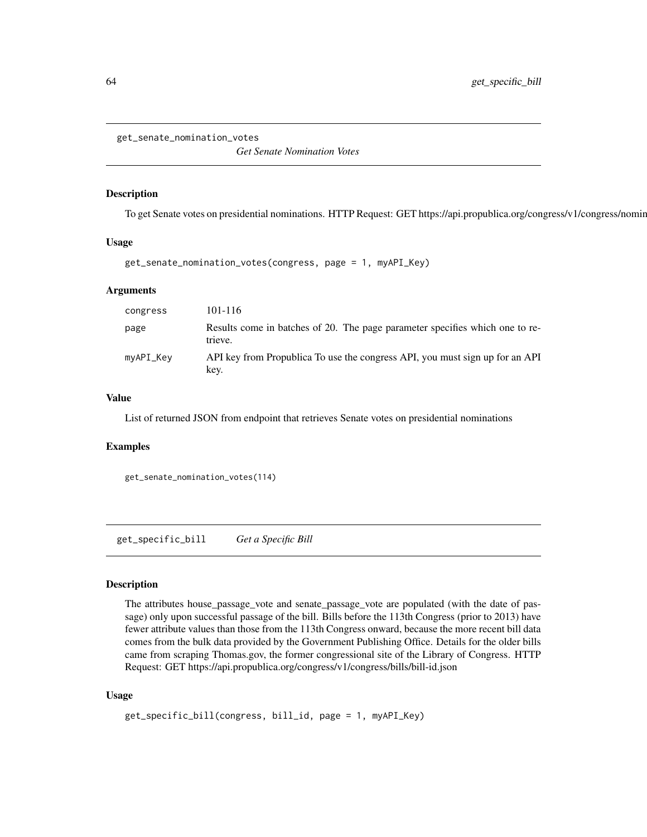get\_senate\_nomination\_votes

*Get Senate Nomination Votes*

#### Description

To get Senate votes on presidential nominations. HTTP Request: GET https://api.propublica.org/congress/v1/congress/nomin

#### Usage

```
get_senate_nomination_votes(congress, page = 1, myAPI_Key)
```
### Arguments

| congress  | 101-116                                                                                 |
|-----------|-----------------------------------------------------------------------------------------|
| page      | Results come in batches of 20. The page parameter specifies which one to re-<br>trieve. |
| myAPI_Key | API key from Propublica To use the congress API, you must sign up for an API<br>key.    |

#### Value

List of returned JSON from endpoint that retrieves Senate votes on presidential nominations

### Examples

```
get_senate_nomination_votes(114)
```
get\_specific\_bill *Get a Specific Bill*

## Description

The attributes house\_passage\_vote and senate\_passage\_vote are populated (with the date of passage) only upon successful passage of the bill. Bills before the 113th Congress (prior to 2013) have fewer attribute values than those from the 113th Congress onward, because the more recent bill data comes from the bulk data provided by the Government Publishing Office. Details for the older bills came from scraping Thomas.gov, the former congressional site of the Library of Congress. HTTP Request: GET https://api.propublica.org/congress/v1/congress/bills/bill-id.json

```
get_specific_bill(congress, bill_id, page = 1, myAPI_Key)
```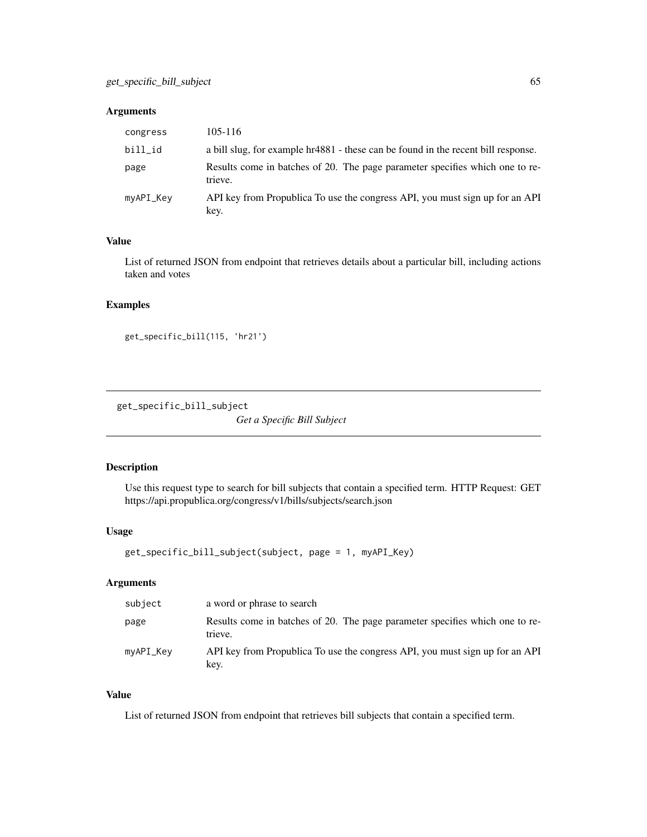| congress  | 105-116                                                                                 |
|-----------|-----------------------------------------------------------------------------------------|
| bill_id   | a bill slug, for example hr4881 - these can be found in the recent bill response.       |
| page      | Results come in batches of 20. The page parameter specifies which one to re-<br>trieve. |
| myAPI_Key | API key from Propublica To use the congress API, you must sign up for an API<br>key.    |

### Value

List of returned JSON from endpoint that retrieves details about a particular bill, including actions taken and votes

### Examples

```
get_specific_bill(115, 'hr21')
```
get\_specific\_bill\_subject

*Get a Specific Bill Subject*

### Description

Use this request type to search for bill subjects that contain a specified term. HTTP Request: GET https://api.propublica.org/congress/v1/bills/subjects/search.json

#### Usage

```
get_specific_bill_subject(subject, page = 1, myAPI_Key)
```
## Arguments

| subject   | a word or phrase to search                                                              |
|-----------|-----------------------------------------------------------------------------------------|
| page      | Results come in batches of 20. The page parameter specifies which one to re-<br>trieve. |
| myAPI_Key | API key from Propublica To use the congress API, you must sign up for an API<br>key.    |

#### Value

List of returned JSON from endpoint that retrieves bill subjects that contain a specified term.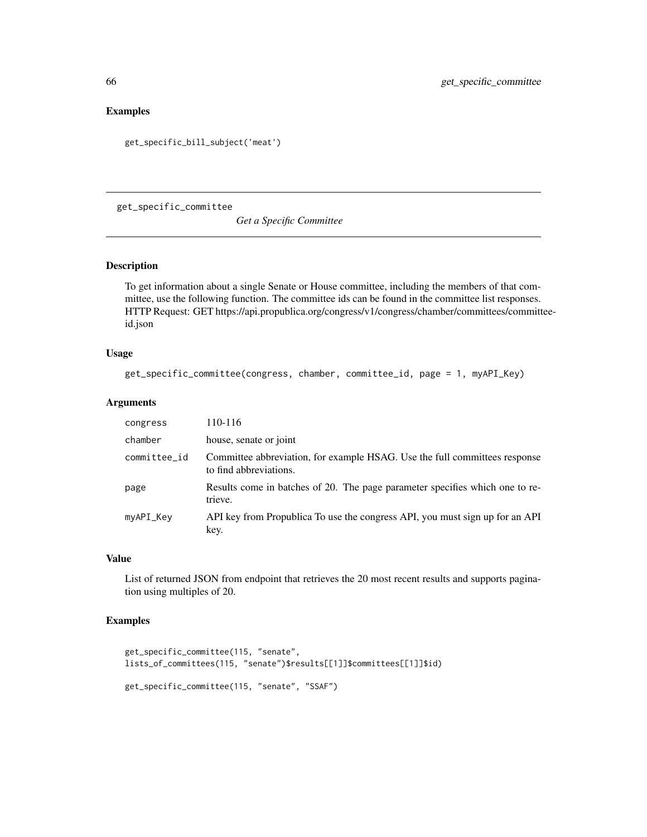## Examples

```
get_specific_bill_subject('meat')
```
get\_specific\_committee

*Get a Specific Committee*

#### Description

To get information about a single Senate or House committee, including the members of that committee, use the following function. The committee ids can be found in the committee list responses. HTTP Request: GET https://api.propublica.org/congress/v1/congress/chamber/committees/committeeid.json

### Usage

```
get_specific_committee(congress, chamber, committee_id, page = 1, myAPI_Key)
```
## Arguments

| congress     | 110-116                                                                                              |
|--------------|------------------------------------------------------------------------------------------------------|
| chamber      | house, senate or joint                                                                               |
| committee_id | Committee abbreviation, for example HSAG. Use the full committees response<br>to find abbreviations. |
| page         | Results come in batches of 20. The page parameter specifies which one to re-<br>trieve.              |
| myAPI_Key    | API key from Propublica To use the congress API, you must sign up for an API<br>key.                 |

## Value

List of returned JSON from endpoint that retrieves the 20 most recent results and supports pagination using multiples of 20.

### Examples

```
get_specific_committee(115, "senate",
lists_of_committees(115, "senate")$results[[1]]$committees[[1]]$id)
get_specific_committee(115, "senate", "SSAF")
```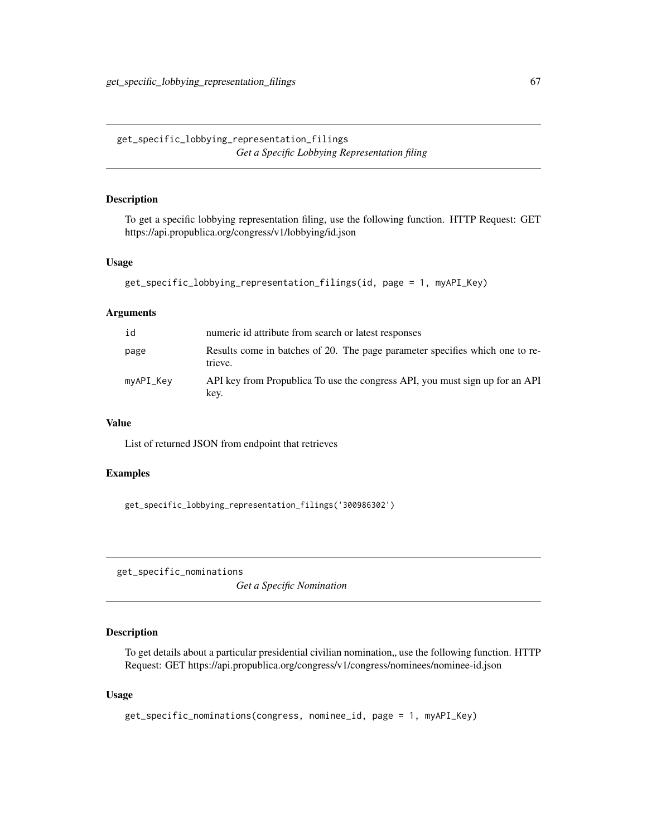get\_specific\_lobbying\_representation\_filings *Get a Specific Lobbying Representation filing*

## Description

To get a specific lobbying representation filing, use the following function. HTTP Request: GET https://api.propublica.org/congress/v1/lobbying/id.json

#### Usage

```
get_specific_lobbying_representation_filings(id, page = 1, myAPI_Key)
```
### Arguments

| id        | numeric id attribute from search or latest responses                                    |
|-----------|-----------------------------------------------------------------------------------------|
| page      | Results come in batches of 20. The page parameter specifies which one to re-<br>trieve. |
| myAPI_Key | API key from Propublica To use the congress API, you must sign up for an API<br>key.    |

#### Value

List of returned JSON from endpoint that retrieves

### Examples

get\_specific\_lobbying\_representation\_filings('300986302')

get\_specific\_nominations

*Get a Specific Nomination*

### Description

To get details about a particular presidential civilian nomination,, use the following function. HTTP Request: GET https://api.propublica.org/congress/v1/congress/nominees/nominee-id.json

```
get_specific_nominations(congress, nominee_id, page = 1, myAPI_Key)
```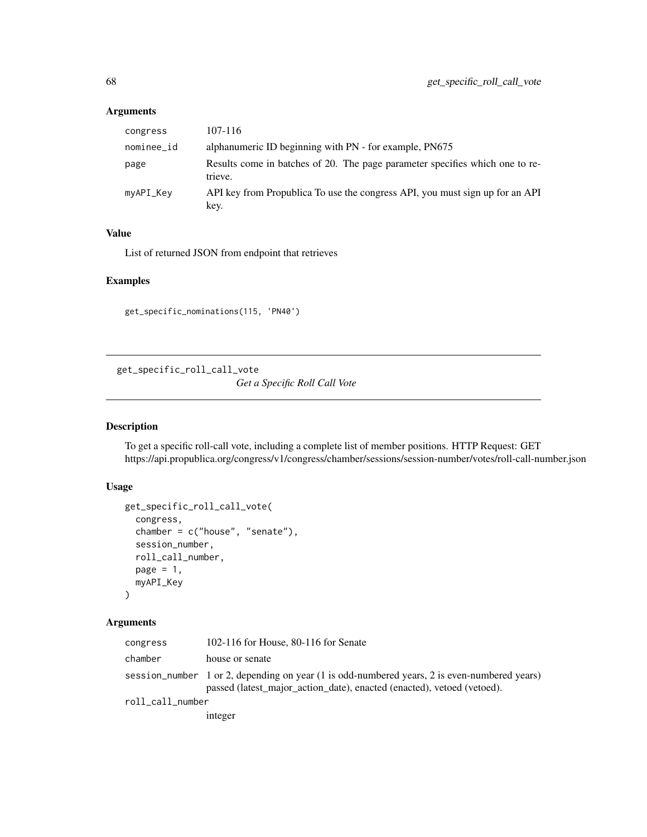| congress   | 107-116                                                                                 |
|------------|-----------------------------------------------------------------------------------------|
| nominee_id | alphanumeric ID beginning with PN - for example, PN675                                  |
| page       | Results come in batches of 20. The page parameter specifies which one to re-<br>trieve. |
| myAPI_Key  | API key from Propublica To use the congress API, you must sign up for an API<br>key.    |

# Value

List of returned JSON from endpoint that retrieves

### Examples

get\_specific\_nominations(115, 'PN40')

get\_specific\_roll\_call\_vote *Get a Specific Roll Call Vote*

## Description

To get a specific roll-call vote, including a complete list of member positions. HTTP Request: GET https://api.propublica.org/congress/v1/congress/chamber/sessions/session-number/votes/roll-call-number.json

#### Usage

```
get_specific_roll_call_vote(
 congress,
 chamber = c("house", "senate"),session_number,
 roll_call_number,
 page = 1,
 myAPI_Key
)
```
## Arguments

| congress         | 102-116 for House, 80-116 for Senate                                                                                                                                   |
|------------------|------------------------------------------------------------------------------------------------------------------------------------------------------------------------|
| chamber          | house or senate                                                                                                                                                        |
|                  | session_number 1 or 2, depending on year (1 is odd-numbered years, 2 is even-numbered years)<br>passed (latest_major_action_date), enacted (enacted), vetoed (vetoed). |
| roll_call_number |                                                                                                                                                                        |
|                  | integer                                                                                                                                                                |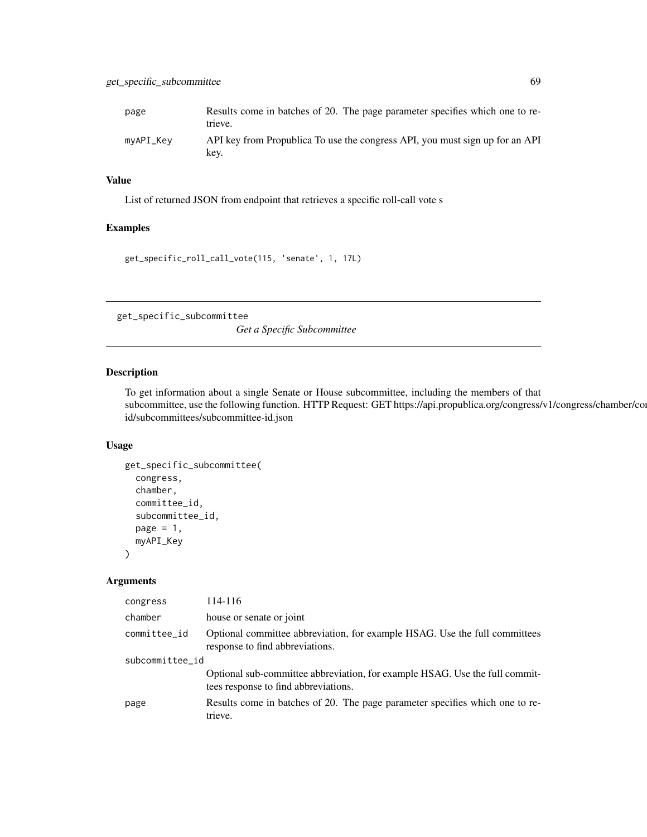## Value

List of returned JSON from endpoint that retrieves a specific roll-call vote s

#### Examples

get\_specific\_roll\_call\_vote(115, 'senate', 1, 17L)

get\_specific\_subcommittee

*Get a Specific Subcommittee*

## Description

To get information about a single Senate or House subcommittee, including the members of that subcommittee, use the following function. HTTP Request: GET https://api.propublica.org/congress/v1/congress/chamber/com id/subcommittees/subcommittee-id.json

#### Usage

```
get_specific_subcommittee(
  congress,
  chamber,
  committee_id,
  subcommittee_id,
  page = 1,
  myAPI_Key
)
```
### Arguments

| congress        | 114-116                                                                                                             |  |
|-----------------|---------------------------------------------------------------------------------------------------------------------|--|
| chamber         | house or senate or joint                                                                                            |  |
| committee_id    | Optional committee abbreviation, for example HSAG. Use the full committees<br>response to find abbreviations.       |  |
| subcommittee_id |                                                                                                                     |  |
|                 | Optional sub-committee abbreviation, for example HSAG. Use the full commit-<br>tees response to find abbreviations. |  |
| page            | Results come in batches of 20. The page parameter specifies which one to re-<br>trieve.                             |  |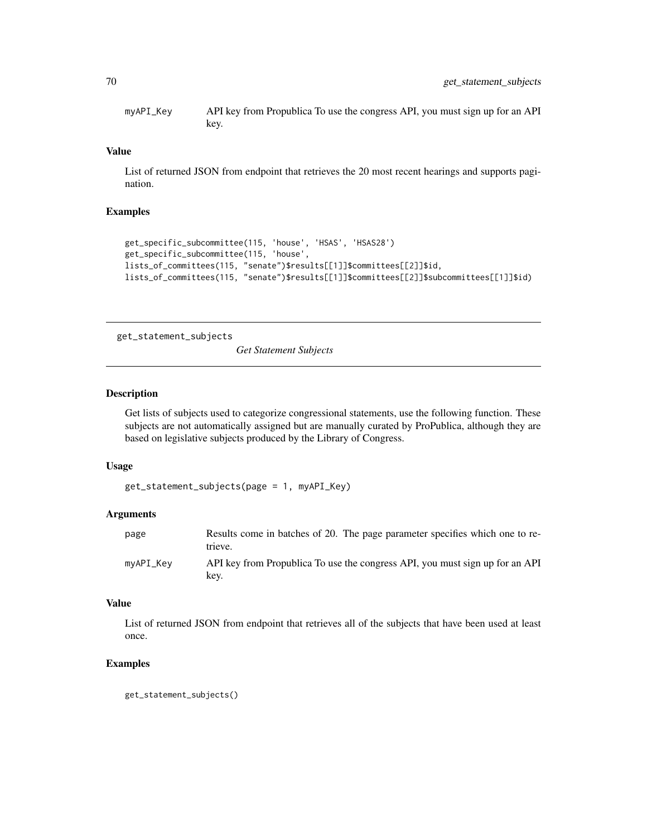myAPI\_Key API key from Propublica To use the congress API, you must sign up for an API key.

### Value

List of returned JSON from endpoint that retrieves the 20 most recent hearings and supports pagination.

## Examples

```
get_specific_subcommittee(115, 'house', 'HSAS', 'HSAS28')
get_specific_subcommittee(115, 'house',
lists_of_committees(115, "senate")$results[[1]]$committees[[2]]$id,
lists_of_committees(115, "senate")$results[[1]]$committees[[2]]$subcommittees[[1]]$id)
```
get\_statement\_subjects

*Get Statement Subjects*

#### Description

Get lists of subjects used to categorize congressional statements, use the following function. These subjects are not automatically assigned but are manually curated by ProPublica, although they are based on legislative subjects produced by the Library of Congress.

#### Usage

```
get_statement_subjects(page = 1, myAPI_Key)
```
### Arguments

| page      | Results come in batches of 20. The page parameter specifies which one to re-<br>trieve. |
|-----------|-----------------------------------------------------------------------------------------|
| myAPI_Key | API key from Propublica To use the congress API, you must sign up for an API<br>kev.    |

### Value

List of returned JSON from endpoint that retrieves all of the subjects that have been used at least once.

#### Examples

get\_statement\_subjects()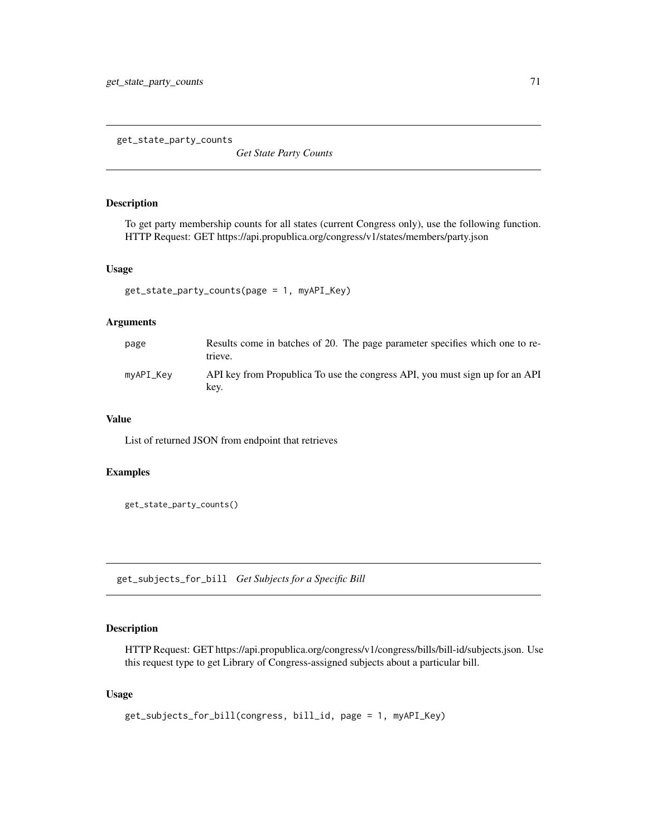get\_state\_party\_counts

*Get State Party Counts*

## Description

To get party membership counts for all states (current Congress only), use the following function. HTTP Request: GET https://api.propublica.org/congress/v1/states/members/party.json

#### Usage

```
get_state_party_counts(page = 1, myAPI_Key)
```
#### Arguments

| page      | Results come in batches of 20. The page parameter specifies which one to re-<br>trieve. |
|-----------|-----------------------------------------------------------------------------------------|
| mvAPI Kev | API key from Propublica To use the congress API, you must sign up for an API<br>kev.    |

### Value

List of returned JSON from endpoint that retrieves

## Examples

```
get_state_party_counts()
```
get\_subjects\_for\_bill *Get Subjects for a Specific Bill*

## Description

HTTP Request: GET https://api.propublica.org/congress/v1/congress/bills/bill-id/subjects.json. Use this request type to get Library of Congress-assigned subjects about a particular bill.

```
get_subjects_for_bill(congress, bill_id, page = 1, myAPI_Key)
```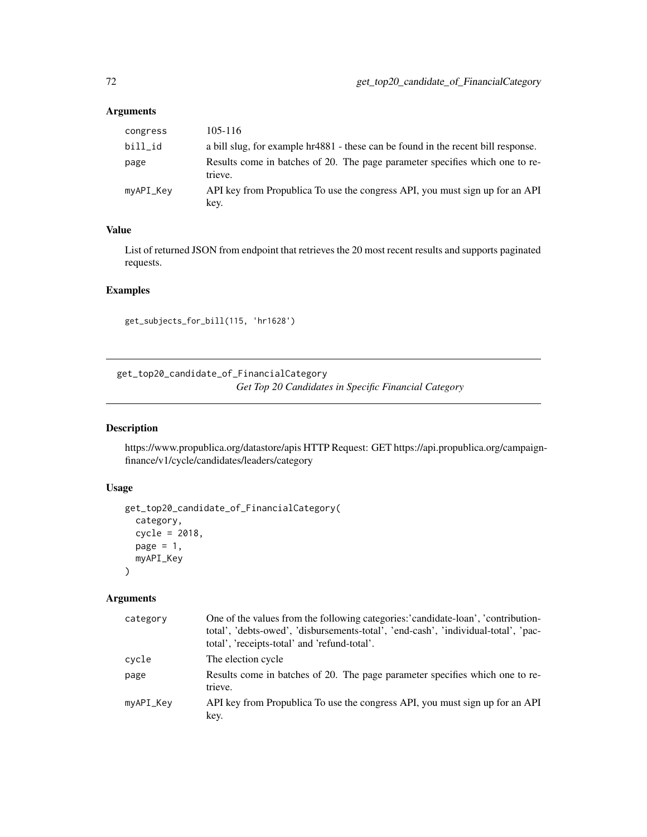| congress  | 105-116                                                                                 |
|-----------|-----------------------------------------------------------------------------------------|
| bill_id   | a bill slug, for example hr4881 - these can be found in the recent bill response.       |
| page      | Results come in batches of 20. The page parameter specifies which one to re-<br>trieve. |
| myAPI_Key | API key from Propublica To use the congress API, you must sign up for an API<br>key.    |

# Value

List of returned JSON from endpoint that retrieves the 20 most recent results and supports paginated requests.

## Examples

get\_subjects\_for\_bill(115, 'hr1628')

get\_top20\_candidate\_of\_FinancialCategory *Get Top 20 Candidates in Specific Financial Category*

## Description

https://www.propublica.org/datastore/apis HTTP Request: GET https://api.propublica.org/campaignfinance/v1/cycle/candidates/leaders/category

## Usage

```
get_top20_candidate_of_FinancialCategory(
  category,
  cycle = 2018,
  page = 1,
 myAPI_Key
)
```
## Arguments

| category  | One of the values from the following categories: candidate-loan', 'contribution-<br>total', 'debts-owed', 'disbursements-total', 'end-cash', 'individual-total', 'pac-<br>total', 'receipts-total' and 'refund-total'. |
|-----------|------------------------------------------------------------------------------------------------------------------------------------------------------------------------------------------------------------------------|
| cycle     | The election cycle                                                                                                                                                                                                     |
| page      | Results come in batches of 20. The page parameter specifies which one to re-<br>trieve.                                                                                                                                |
| myAPI_Key | API key from Propublica To use the congress API, you must sign up for an API<br>key.                                                                                                                                   |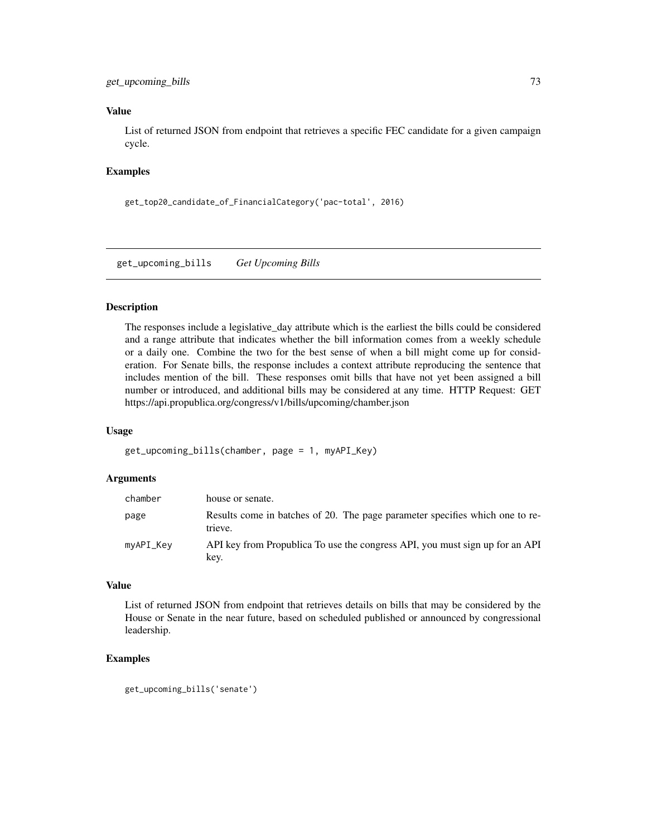# <span id="page-72-0"></span>get\_upcoming\_bills 73

#### Value

List of returned JSON from endpoint that retrieves a specific FEC candidate for a given campaign cycle.

# Examples

```
get_top20_candidate_of_FinancialCategory('pac-total', 2016)
```
get\_upcoming\_bills *Get Upcoming Bills*

# Description

The responses include a legislative\_day attribute which is the earliest the bills could be considered and a range attribute that indicates whether the bill information comes from a weekly schedule or a daily one. Combine the two for the best sense of when a bill might come up for consideration. For Senate bills, the response includes a context attribute reproducing the sentence that includes mention of the bill. These responses omit bills that have not yet been assigned a bill number or introduced, and additional bills may be considered at any time. HTTP Request: GET https://api.propublica.org/congress/v1/bills/upcoming/chamber.json

#### Usage

```
get_upcoming_bills(chamber, page = 1, myAPI_Key)
```
#### Arguments

| chamber   | house or senate.                                                                        |
|-----------|-----------------------------------------------------------------------------------------|
| page      | Results come in batches of 20. The page parameter specifies which one to re-<br>trieve. |
| myAPI_Key | API key from Propublica To use the congress API, you must sign up for an API<br>key.    |

#### Value

List of returned JSON from endpoint that retrieves details on bills that may be considered by the House or Senate in the near future, based on scheduled published or announced by congressional leadership.

```
get_upcoming_bills('senate')
```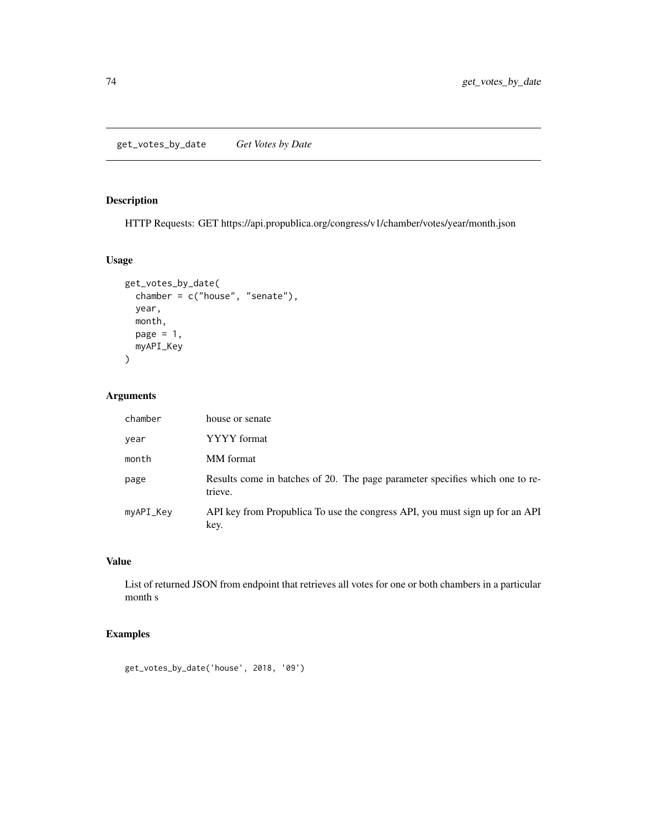# <span id="page-73-0"></span>Description

HTTP Requests: GET https://api.propublica.org/congress/v1/chamber/votes/year/month.json

# Usage

```
get_votes_by_date(
 chamber = c("house", "senate"),
 year,
 month,
 page = 1,
 myAPI_Key
)
```
# Arguments

| chamber   | house or senate                                                                         |
|-----------|-----------------------------------------------------------------------------------------|
| year      | YYYY format                                                                             |
| month     | MM format                                                                               |
| page      | Results come in batches of 20. The page parameter specifies which one to re-<br>trieve. |
| myAPI_Key | API key from Propublica To use the congress API, you must sign up for an API<br>key.    |

# Value

List of returned JSON from endpoint that retrieves all votes for one or both chambers in a particular month s

```
get_votes_by_date('house', 2018, '09')
```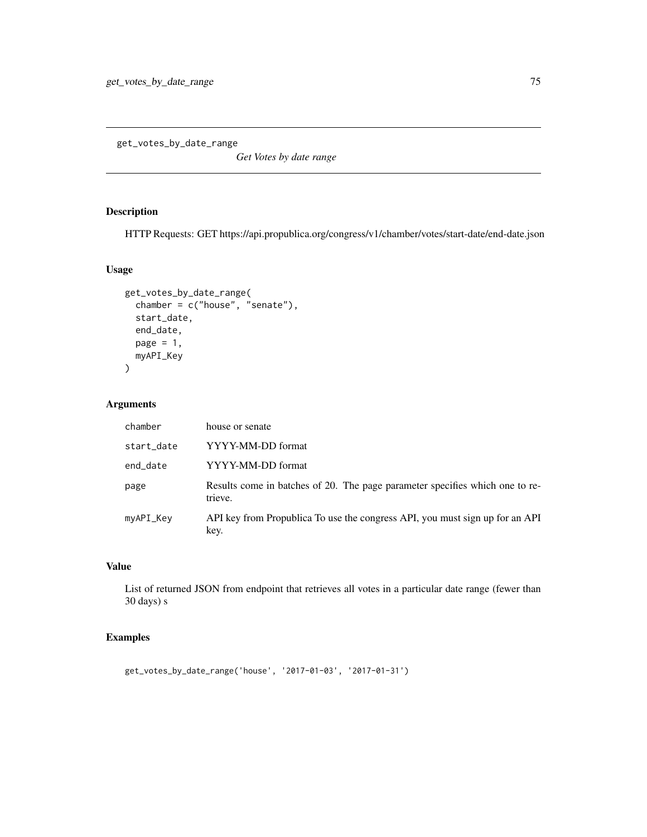<span id="page-74-0"></span>get\_votes\_by\_date\_range

*Get Votes by date range*

# Description

HTTP Requests: GET https://api.propublica.org/congress/v1/chamber/votes/start-date/end-date.json

# Usage

```
get_votes_by_date_range(
 chamber = c("house", "senate"),
  start_date,
 end_date,
 page = 1,
 myAPI_Key
)
```
# Arguments

| chamber    | house or senate                                                                         |
|------------|-----------------------------------------------------------------------------------------|
| start_date | YYYY-MM-DD format                                                                       |
| end_date   | YYYY-MM-DD format                                                                       |
| page       | Results come in batches of 20. The page parameter specifies which one to re-<br>trieve. |
| myAPI_Key  | API key from Propublica To use the congress API, you must sign up for an API<br>key.    |

# Value

List of returned JSON from endpoint that retrieves all votes in a particular date range (fewer than 30 days) s

```
get_votes_by_date_range('house', '2017-01-03', '2017-01-31')
```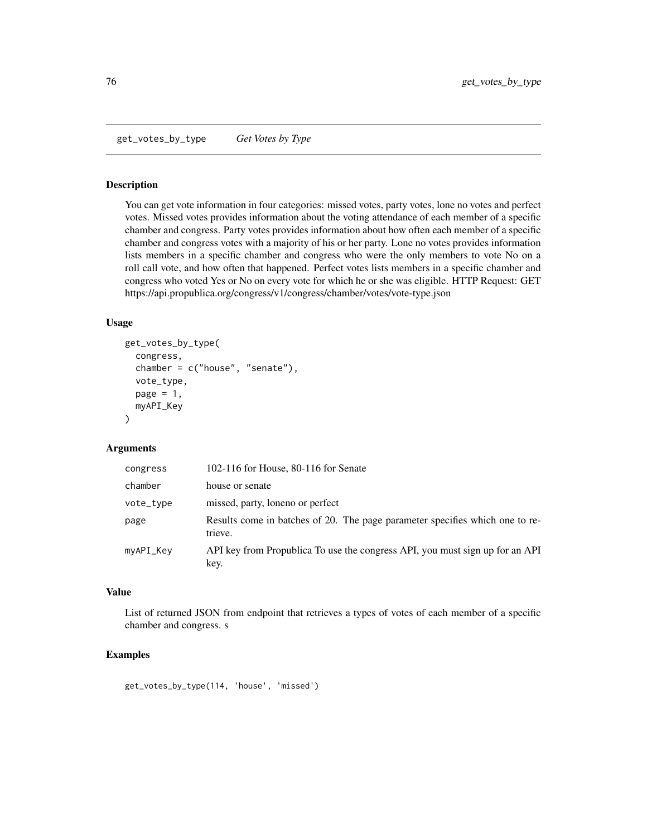<span id="page-75-0"></span>get\_votes\_by\_type *Get Votes by Type*

#### Description

You can get vote information in four categories: missed votes, party votes, lone no votes and perfect votes. Missed votes provides information about the voting attendance of each member of a specific chamber and congress. Party votes provides information about how often each member of a specific chamber and congress votes with a majority of his or her party. Lone no votes provides information lists members in a specific chamber and congress who were the only members to vote No on a roll call vote, and how often that happened. Perfect votes lists members in a specific chamber and congress who voted Yes or No on every vote for which he or she was eligible. HTTP Request: GET https://api.propublica.org/congress/v1/congress/chamber/votes/vote-type.json

#### Usage

```
get_votes_by_type(
  congress,
  chamber = c("house", "senate"),vote_type,
  page = 1,
  myAPI_Key
)
```
#### Arguments

| congress  | 102-116 for House, 80-116 for Senate                                                    |
|-----------|-----------------------------------------------------------------------------------------|
| chamber   | house or senate                                                                         |
| vote_type | missed, party, loneno or perfect                                                        |
| page      | Results come in batches of 20. The page parameter specifies which one to re-<br>trieve. |
| myAPI_Key | API key from Propublica To use the congress API, you must sign up for an API<br>key.    |

# Value

List of returned JSON from endpoint that retrieves a types of votes of each member of a specific chamber and congress. s

#### Examples

get\_votes\_by\_type(114, 'house', 'missed')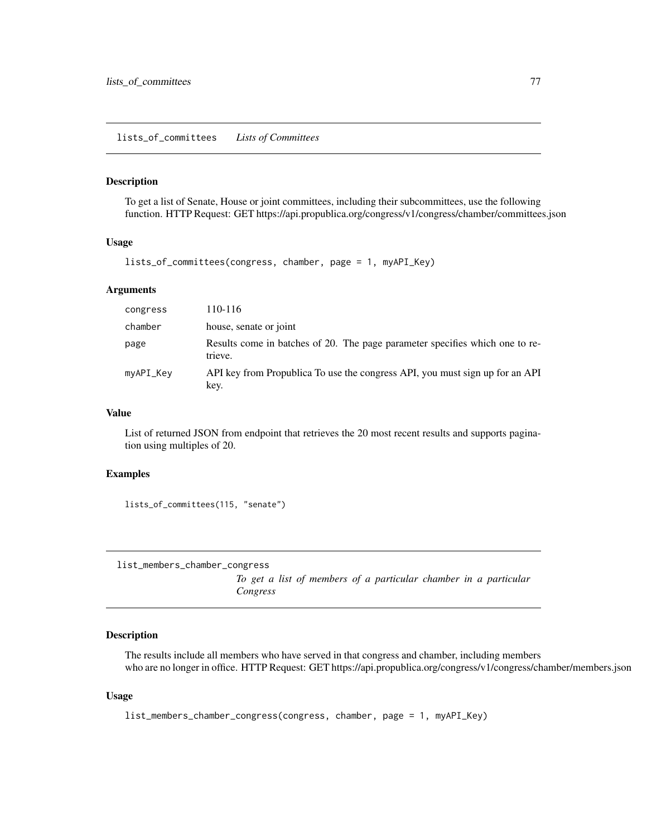<span id="page-76-0"></span>lists\_of\_committees *Lists of Committees*

# Description

To get a list of Senate, House or joint committees, including their subcommittees, use the following function. HTTP Request: GET https://api.propublica.org/congress/v1/congress/chamber/committees.json

#### Usage

lists\_of\_committees(congress, chamber, page = 1, myAPI\_Key)

# Arguments

| congress  | 110-116                                                                                 |
|-----------|-----------------------------------------------------------------------------------------|
| chamber   | house, senate or joint                                                                  |
| page      | Results come in batches of 20. The page parameter specifies which one to re-<br>trieve. |
| myAPI_Key | API key from Propublica To use the congress API, you must sign up for an API<br>key.    |

#### Value

List of returned JSON from endpoint that retrieves the 20 most recent results and supports pagination using multiples of 20.

#### Examples

lists\_of\_committees(115, "senate")

list\_members\_chamber\_congress

*To get a list of members of a particular chamber in a particular Congress*

#### Description

The results include all members who have served in that congress and chamber, including members who are no longer in office. HTTP Request: GET https://api.propublica.org/congress/v1/congress/chamber/members.json

#### Usage

list\_members\_chamber\_congress(congress, chamber, page = 1, myAPI\_Key)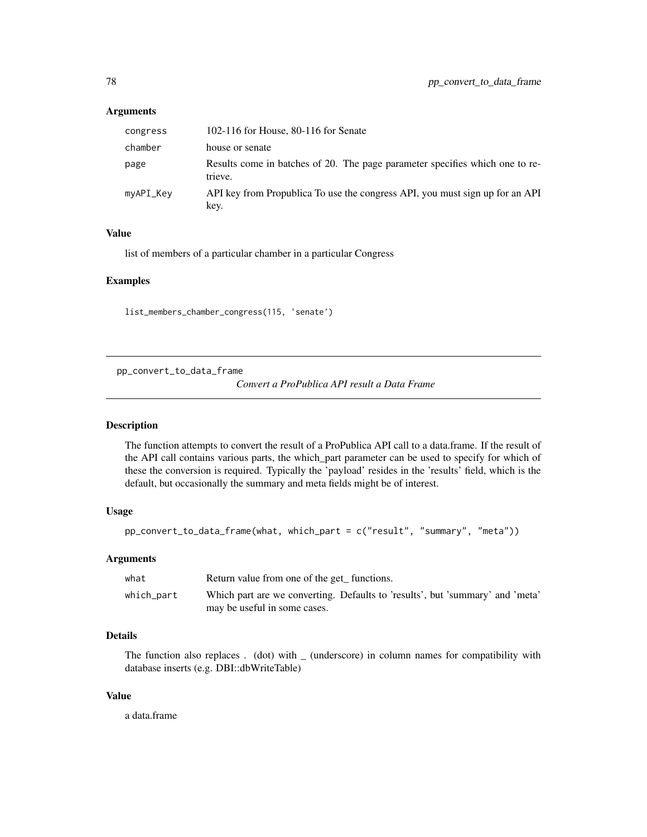#### <span id="page-77-0"></span>Arguments

| congress  | 102-116 for House, 80-116 for Senate                                                    |
|-----------|-----------------------------------------------------------------------------------------|
| chamber   | house or senate                                                                         |
| page      | Results come in batches of 20. The page parameter specifies which one to re-<br>trieve. |
| myAPI_Key | API key from Propublica To use the congress API, you must sign up for an API<br>key.    |

# Value

list of members of a particular chamber in a particular Congress

#### Examples

list\_members\_chamber\_congress(115, 'senate')

pp\_convert\_to\_data\_frame

*Convert a ProPublica API result a Data Frame*

## Description

The function attempts to convert the result of a ProPublica API call to a data.frame. If the result of the API call contains various parts, the which\_part parameter can be used to specify for which of these the conversion is required. Typically the 'payload' resides in the 'results' field, which is the default, but occasionally the summary and meta fields might be of interest.

# Usage

```
pp_convert_to_data_frame(what, which_part = c("result", "summary", "meta"))
```
# Arguments

| what       | Return value from one of the get functions.                                                                   |  |  |
|------------|---------------------------------------------------------------------------------------------------------------|--|--|
| which_part | Which part are we converting. Defaults to 'results', but 'summary' and 'meta'<br>may be useful in some cases. |  |  |

# Details

The function also replaces . (dot) with \_ (underscore) in column names for compatibility with database inserts (e.g. DBI::dbWriteTable)

#### Value

a data.frame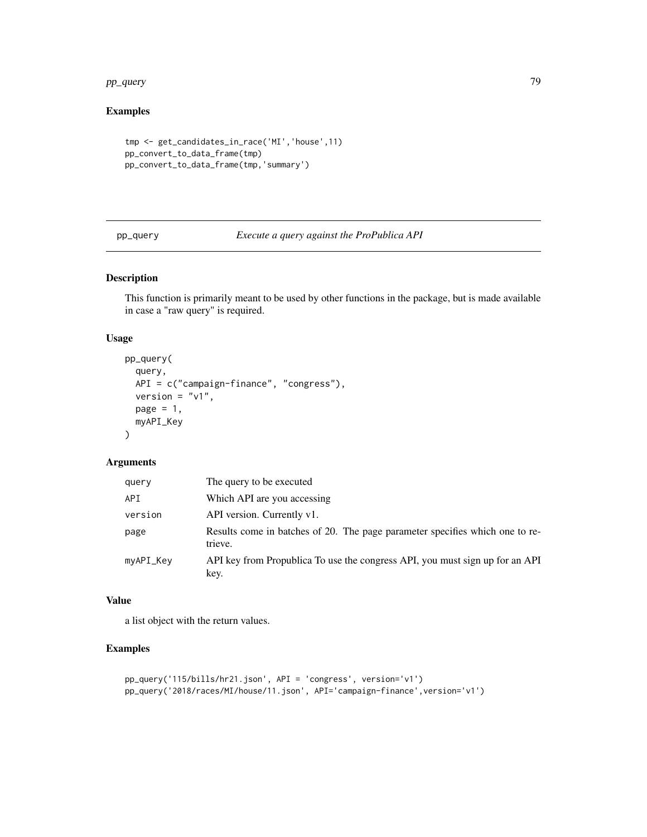#### <span id="page-78-0"></span>pp\_query 79

# Examples

```
tmp <- get_candidates_in_race('MI','house',11)
pp_convert_to_data_frame(tmp)
pp_convert_to_data_frame(tmp,'summary')
```
pp\_query *Execute a query against the ProPublica API*

# Description

This function is primarily meant to be used by other functions in the package, but is made available in case a "raw query" is required.

#### Usage

```
pp_query(
  query,
 API = c("campaign-finance", "congress"),
  version = "v1",page = 1,
 myAPI_Key
)
```
#### Arguments

| query     | The query to be executed                                                                |
|-----------|-----------------------------------------------------------------------------------------|
| API       | Which API are you accessing                                                             |
| version   | API version. Currently v1.                                                              |
| page      | Results come in batches of 20. The page parameter specifies which one to re-<br>trieve. |
| myAPI_Key | API key from Propublica To use the congress API, you must sign up for an API<br>key.    |

# Value

a list object with the return values.

```
pp_query('115/bills/hr21.json', API = 'congress', version='v1')
pp_query('2018/races/MI/house/11.json', API='campaign-finance',version='v1')
```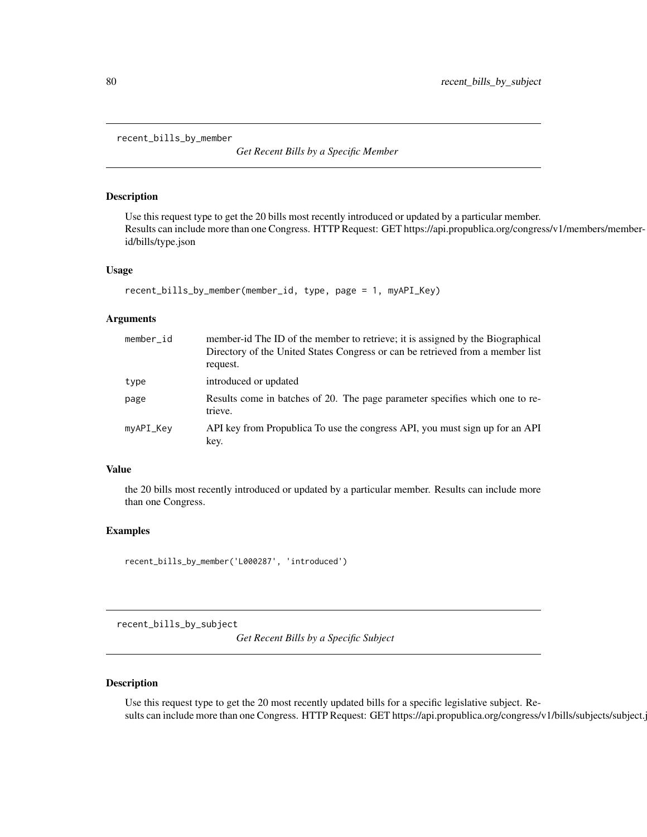<span id="page-79-0"></span>recent\_bills\_by\_member

*Get Recent Bills by a Specific Member*

#### Description

Use this request type to get the 20 bills most recently introduced or updated by a particular member. Results can include more than one Congress. HTTP Request: GET https://api.propublica.org/congress/v1/members/memberid/bills/type.json

#### Usage

```
recent_bills_by_member(member_id, type, page = 1, myAPI_Key)
```
# Arguments

| member id | member-id The ID of the member to retrieve; it is assigned by the Biographical<br>Directory of the United States Congress or can be retrieved from a member list<br>request. |
|-----------|------------------------------------------------------------------------------------------------------------------------------------------------------------------------------|
| type      | introduced or updated                                                                                                                                                        |
| page      | Results come in batches of 20. The page parameter specifies which one to re-<br>trieve.                                                                                      |
| myAPI_Key | API key from Propublica To use the congress API, you must sign up for an API<br>key.                                                                                         |

# Value

the 20 bills most recently introduced or updated by a particular member. Results can include more than one Congress.

#### Examples

```
recent_bills_by_member('L000287', 'introduced')
```
recent\_bills\_by\_subject

*Get Recent Bills by a Specific Subject*

#### Description

Use this request type to get the 20 most recently updated bills for a specific legislative subject. Results can include more than one Congress. HTTP Request: GET https://api.propublica.org/congress/v1/bills/subjects/subject.j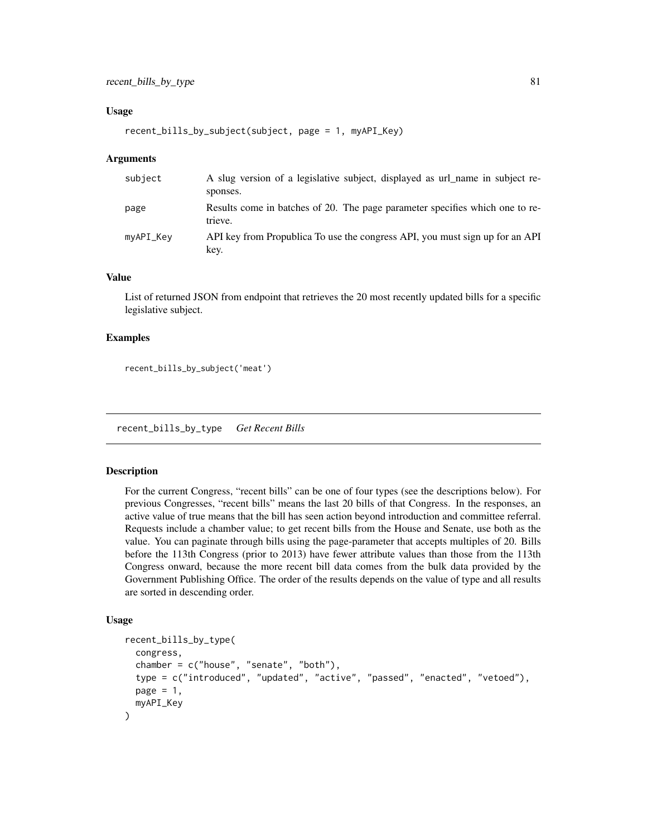#### <span id="page-80-0"></span>Usage

```
recent_bills_by_subject(subject, page = 1, myAPI_Key)
```
#### Arguments

| subject   | A slug version of a legislative subject, displayed as url_name in subject re-<br>sponses. |
|-----------|-------------------------------------------------------------------------------------------|
| page      | Results come in batches of 20. The page parameter specifies which one to re-<br>trieve.   |
| myAPI_Key | API key from Propublica To use the congress API, you must sign up for an API<br>key.      |

# Value

List of returned JSON from endpoint that retrieves the 20 most recently updated bills for a specific legislative subject.

#### Examples

recent\_bills\_by\_subject('meat')

recent\_bills\_by\_type *Get Recent Bills*

#### Description

For the current Congress, "recent bills" can be one of four types (see the descriptions below). For previous Congresses, "recent bills" means the last 20 bills of that Congress. In the responses, an active value of true means that the bill has seen action beyond introduction and committee referral. Requests include a chamber value; to get recent bills from the House and Senate, use both as the value. You can paginate through bills using the page-parameter that accepts multiples of 20. Bills before the 113th Congress (prior to 2013) have fewer attribute values than those from the 113th Congress onward, because the more recent bill data comes from the bulk data provided by the Government Publishing Office. The order of the results depends on the value of type and all results are sorted in descending order.

#### Usage

```
recent_bills_by_type(
  congress,
  chamber = c("house", "senate", "both"),
  type = c("introduced", "updated", "active", "passed", "enacted", "vetoed"),
  page = 1,
  myAPI_Key
)
```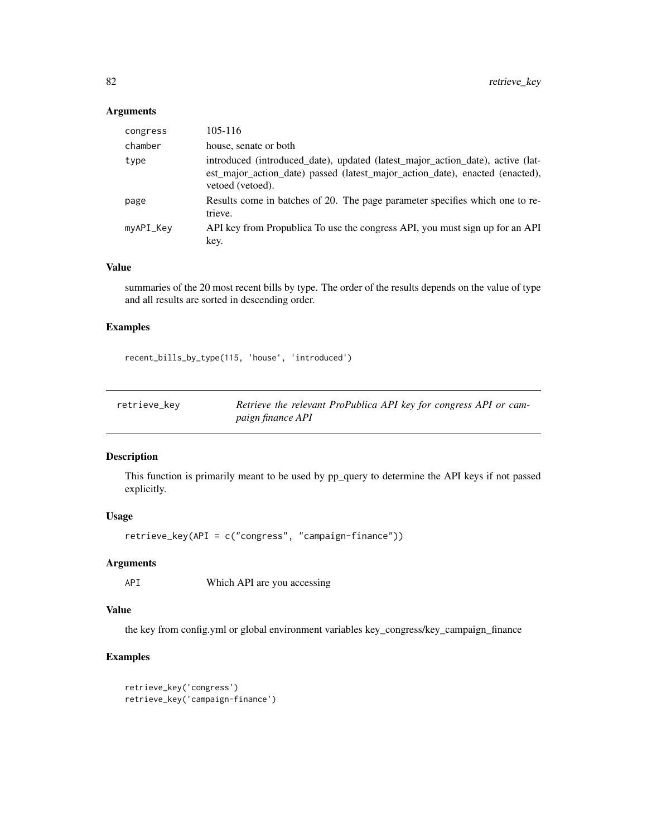# <span id="page-81-0"></span>Arguments

| congress  | $105 - 116$                                                                                                                                                                        |
|-----------|------------------------------------------------------------------------------------------------------------------------------------------------------------------------------------|
| chamber   | house, senate or both                                                                                                                                                              |
| type      | introduced (introduced_date), updated (latest_major_action_date), active (lat-<br>est_major_action_date) passed (latest_major_action_date), enacted (enacted),<br>vetoed (vetoed). |
| page      | Results come in batches of 20. The page parameter specifies which one to re-<br>trieve.                                                                                            |
| myAPI_Key | API key from Propublica To use the congress API, you must sign up for an API<br>key.                                                                                               |

#### Value

summaries of the 20 most recent bills by type. The order of the results depends on the value of type and all results are sorted in descending order.

## Examples

recent\_bills\_by\_type(115, 'house', 'introduced')

| retrieve_key | Retrieve the relevant ProPublica API key for congress API or cam- |
|--------------|-------------------------------------------------------------------|
|              | paign finance API                                                 |

# Description

This function is primarily meant to be used by pp\_query to determine the API keys if not passed explicitly.

# Usage

retrieve\_key(API = c("congress", "campaign-finance"))

# Arguments

API Which API are you accessing

# Value

the key from config.yml or global environment variables key\_congress/key\_campaign\_finance

```
retrieve_key('congress')
retrieve_key('campaign-finance')
```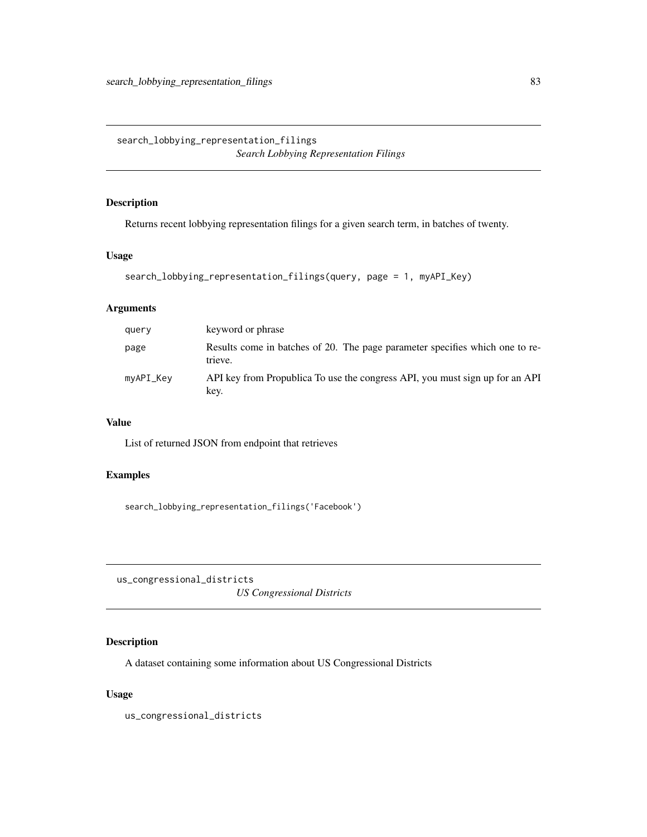<span id="page-82-0"></span>search\_lobbying\_representation\_filings *Search Lobbying Representation Filings*

# Description

Returns recent lobbying representation filings for a given search term, in batches of twenty.

# Usage

```
search_lobbying_representation_filings(query, page = 1, myAPI_Key)
```
# Arguments

| query     | keyword or phrase                                                                       |
|-----------|-----------------------------------------------------------------------------------------|
| page      | Results come in batches of 20. The page parameter specifies which one to re-<br>trieve. |
| myAPI_Key | API key from Propublica To use the congress API, you must sign up for an API<br>key.    |

# Value

List of returned JSON from endpoint that retrieves

# Examples

search\_lobbying\_representation\_filings('Facebook')

us\_congressional\_districts *US Congressional Districts*

# Description

A dataset containing some information about US Congressional Districts

#### Usage

us\_congressional\_districts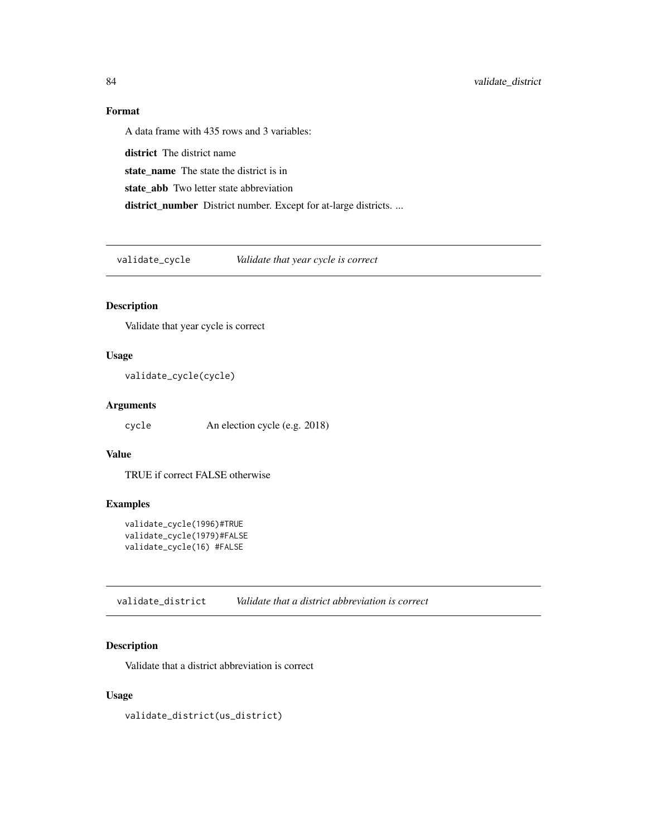# <span id="page-83-0"></span>Format

A data frame with 435 rows and 3 variables: district The district name state\_name The state the district is in state\_abb Two letter state abbreviation district\_number District number. Except for at-large districts. ...

validate\_cycle *Validate that year cycle is correct*

# Description

Validate that year cycle is correct

# Usage

```
validate_cycle(cycle)
```
#### Arguments

cycle An election cycle (e.g. 2018)

# Value

TRUE if correct FALSE otherwise

# Examples

```
validate_cycle(1996)#TRUE
validate_cycle(1979)#FALSE
validate_cycle(16) #FALSE
```
validate\_district *Validate that a district abbreviation is correct*

# Description

Validate that a district abbreviation is correct

# Usage

validate\_district(us\_district)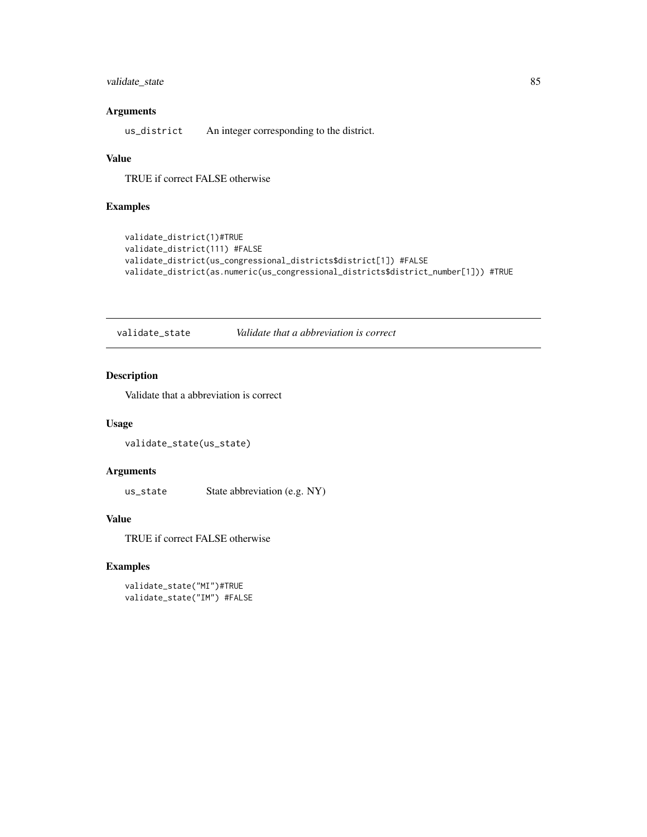# <span id="page-84-0"></span>validate\_state 85

# Arguments

us\_district An integer corresponding to the district.

# Value

TRUE if correct FALSE otherwise

# Examples

```
validate_district(1)#TRUE
validate_district(111) #FALSE
validate_district(us_congressional_districts$district[1]) #FALSE
validate_district(as.numeric(us_congressional_districts$district_number[1])) #TRUE
```
validate\_state *Validate that a abbreviation is correct*

# Description

Validate that a abbreviation is correct

# Usage

```
validate_state(us_state)
```
# Arguments

us\_state State abbreviation (e.g. NY)

# Value

TRUE if correct FALSE otherwise

```
validate_state("MI")#TRUE
validate_state("IM") #FALSE
```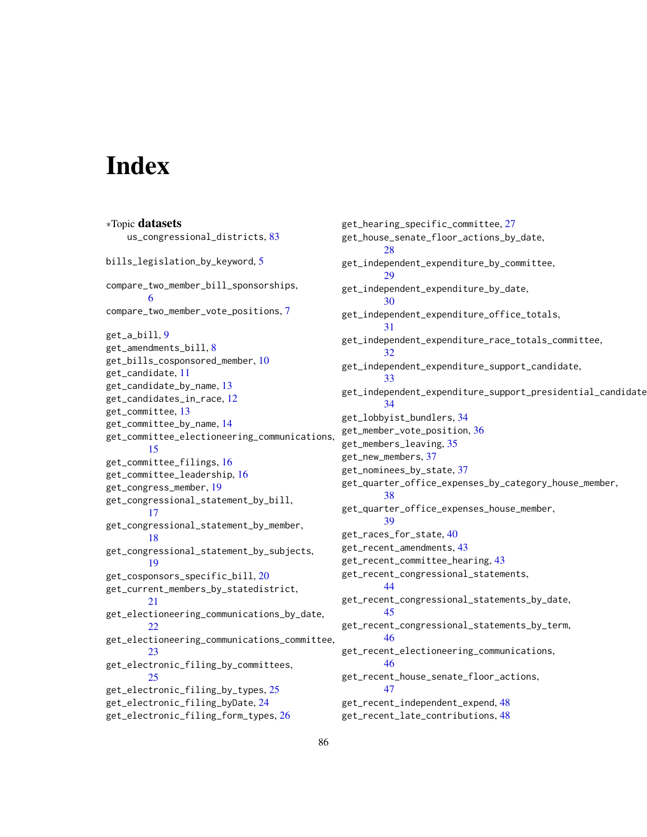# **Index**

∗Topic datasets us\_congressional\_districts, [83](#page-82-0) bills\_legislation\_by\_keyword, [5](#page-4-0) compare\_two\_member\_bill\_sponsorships, [6](#page-5-0) compare\_two\_member\_vote\_positions, [7](#page-6-0) get\_a\_bill, [9](#page-8-0) get\_amendments\_bill, [8](#page-7-0) get\_bills\_cosponsored\_member, [10](#page-9-0) get\_candidate, [11](#page-10-0) get\_candidate\_by\_name, [13](#page-12-0) get\_candidates\_in\_race, [12](#page-11-0) get\_committee, [13](#page-12-0) get\_committee\_by\_name, [14](#page-13-0) get\_committee\_electioneering\_communications, [15](#page-14-0) get\_committee\_filings, [16](#page-15-0) get\_committee\_leadership, [16](#page-15-0) get\_congress\_member, [19](#page-18-0) get\_congressional\_statement\_by\_bill, [17](#page-16-0) get\_congressional\_statement\_by\_member, [18](#page-17-0) get\_congressional\_statement\_by\_subjects, [19](#page-18-0) get\_cosponsors\_specific\_bill, [20](#page-19-0) get\_current\_members\_by\_statedistrict, [21](#page-20-0) get\_electioneering\_communications\_by\_date, [22](#page-21-0) get\_electioneering\_communications\_committee, [23](#page-22-0) get\_electronic\_filing\_by\_committees, [25](#page-24-0) get\_electronic\_filing\_by\_types, [25](#page-24-0) get\_electronic\_filing\_byDate, [24](#page-23-0) get\_electronic\_filing\_form\_types, [26](#page-25-0)

get\_hearing\_specific\_committee, [27](#page-26-0) get\_house\_senate\_floor\_actions\_by\_date, [28](#page-27-0) get\_independent\_expenditure\_by\_committee, [29](#page-28-0) get\_independent\_expenditure\_by\_date, [30](#page-29-0) get\_independent\_expenditure\_office\_totals, [31](#page-30-0) get\_independent\_expenditure\_race\_totals\_committee, [32](#page-31-0) get\_independent\_expenditure\_support\_candidate, [33](#page-32-0) get\_independent\_expenditure\_support\_presidential\_candidate, [34](#page-33-0) get\_lobbyist\_bundlers, [34](#page-33-0) get\_member\_vote\_position, [36](#page-35-0) get\_members\_leaving, [35](#page-34-0) get\_new\_members, [37](#page-36-0) get\_nominees\_by\_state, [37](#page-36-0) get\_quarter\_office\_expenses\_by\_category\_house\_member, [38](#page-37-0) get\_quarter\_office\_expenses\_house\_member, [39](#page-38-0) get\_races\_for\_state, [40](#page-39-0) get\_recent\_amendments, [43](#page-42-0) get\_recent\_committee\_hearing, [43](#page-42-0) get\_recent\_congressional\_statements, [44](#page-43-0) get\_recent\_congressional\_statements\_by\_date, [45](#page-44-0) get\_recent\_congressional\_statements\_by\_term, [46](#page-45-0) get\_recent\_electioneering\_communications, [46](#page-45-0) get\_recent\_house\_senate\_floor\_actions, [47](#page-46-0) get\_recent\_independent\_expend, [48](#page-47-0) get\_recent\_late\_contributions, [48](#page-47-0)